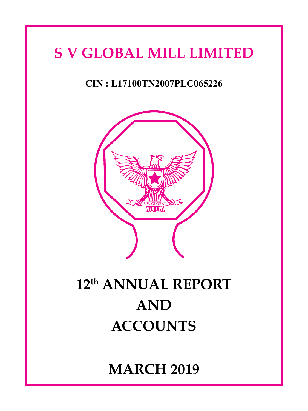## **S V GLOBAL MILL LIMITED**

## **CIN : L17100TN2007PLC065226**



# **12th ANNUAL REPORT AND ACCOUNTS**

**MARCH 2019**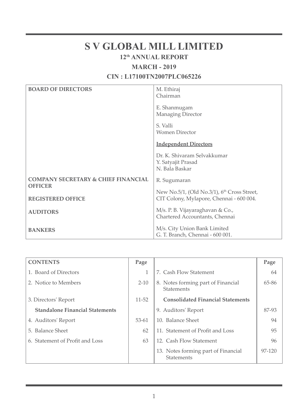## **S V GLOBAL MILL LIMITED**

## **12th ANNUAL REPORT**

## **MARCH - 2019**

## **CIN : L17100TN2007PLC065226**

| <b>BOARD OF DIRECTORS</b>                                        | M. Ethiraj                                                                                          |
|------------------------------------------------------------------|-----------------------------------------------------------------------------------------------------|
|                                                                  | Chairman                                                                                            |
|                                                                  | E. Shanmugam<br>Managing Director                                                                   |
|                                                                  | S. Valli<br><b>Women Director</b>                                                                   |
|                                                                  | <b>Independent Directors</b>                                                                        |
|                                                                  | Dr. K. Shiyaram Selvakkumar<br>Y. Satyajit Prasad<br>N. Bala Baskar                                 |
| <b>COMPANY SECRETARY &amp; CHIEF FINANCIAL</b><br><b>OFFICER</b> | R. Sugumaran                                                                                        |
| <b>REGISTERED OFFICE</b>                                         | New No.5/1, (Old No.3/1), 6 <sup>th</sup> Cross Street,<br>CIT Colony, Mylapore, Chennai - 600 004. |
| <b>AUDITORS</b>                                                  | M/s. P. B. Vijayaraghavan & Co.,<br>Chartered Accountants, Chennai                                  |
| <b>BANKERS</b>                                                   | M/s. City Union Bank Limited<br>G. T. Branch, Chennai - 600 001.                                    |

| <b>CONTENTS</b>                        | Page      |                                                          | Page       |
|----------------------------------------|-----------|----------------------------------------------------------|------------|
| 1. Board of Directors                  | 1         | 7. Cash Flow Statement                                   | 64         |
| 2. Notice to Members                   | $2 - 10$  | 8. Notes forming part of Financial<br><b>Statements</b>  | 65-86      |
| 3. Directors' Report                   | $11 - 52$ | <b>Consolidated Financial Statements</b>                 |            |
| <b>Standalone Financial Statements</b> |           | 9. Auditors' Report                                      | 87-93      |
| 4. Auditors' Report                    | $53-61$   | 10. Balance Sheet                                        | 94         |
| 5. Balance Sheet                       | 62        | 11. Statement of Profit and Loss                         | 95         |
| 6. Statement of Profit and Loss        | 63        | 12. Cash Flow Statement                                  | 96         |
|                                        |           | 13. Notes forming part of Financial<br><b>Statements</b> | $97 - 120$ |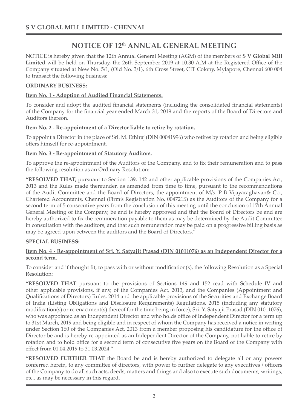## **NOTICE OF 12th ANNUAL GENERAL MEETING**

NOTICE is hereby given that the 12th Annual General Meeting (AGM) of the members of **S V Global Mill Limited** will be held on Thursday, the 26th September 2019 at 10.30 A.M at the Registered Office of the Company situated at New No. 5/1, (Old No. 3/1), 6th Cross Street, CIT Colony, Mylapore, Chennai 600 004 to transact the following business:

#### **ORDINARY BUSINESS:**

#### **Item No. 1 - Adoption of Audited Financial Statements.**

To consider and adopt the audited financial statements (including the consolidated financial statements) of the Company for the financial year ended March 31, 2019 and the reports of the Board of Directors and Auditors thereon.

#### **Item No. 2 - Re-appointment of a Director liable to retire by rotation.**

To appoint a Director in the place of Sri. M. Ethiraj (DIN 00041996) who retires by rotation and being eligible offers himself for re-appointment.

#### **Item No. 3 - Re-appointment of Statutory Auditors.**

To approve the re-appointment of the Auditors of the Company, and to fix their remuneration and to pass the following resolution as an Ordinary Resolution:

**"RESOLVED THAT,** pursuant to Section 139, 142 and other applicable provisions of the Companies Act, 2013 and the Rules made thereunder, as amended from time to time, pursuant to the recommendations of the Audit Committee and the Board of Directors, the appointment of M/s. P B Vijayaraghavan& Co., Chartered Accountants, Chennai (Firm's Registration No. 004721S) as the Auditors of the Company for a second term of 5 consecutive years from the conclusion of this meeting until the conclusion of 17th Annual General Meeting of the Company, be and is hereby approved and that the Board of Directors be and are hereby authorized to fix the remuneration payable to them as may be determined by the Audit Committee in consultation with the auditors, and that such remuneration may be paid on a progressive billing basis as may be agreed upon between the auditors and the Board of Directors."

#### **SPECIAL BUSINESS:**

#### **Item No. 4 - Re-appointment of Sri. Y. Satyajit Prasad (DIN 01011076) as an Independent Director for a second term.**

To consider and if thought fit, to pass with or without modification(s), the following Resolution as a Special Resolution:

**"RESOLVED THAT** pursuant to the provisions of Sections 149 and 152 read with Schedule IV and other applicable provisions, if any, of the Companies Act, 2013, and the Companies (Appointment and Qualifications of Directors) Rules, 2014 and the applicable provisions of the Securities and Exchange Board of India (Listing Obligations and Disclosure Requirements) Regulations, 2015 (including any statutory modification(s) or re-enactment(s) thereof for the time being in force), Sri. Y. Satyajit Prasad (DIN 01011076), who was appointed as an Independent Director and who holds office of Independent Director for a term up to 31st March, 2019 and being eligible and in respect of whom the Company has received a notice in writing under Section 160 of the Companies Act, 2013 from a member proposing his candidature for the office of Director be and is hereby re-appointed as an Independent Director of the Company, not liable to retire by rotation and to hold office for a second term of consecutive five years on the Board of the Company with effect from 01.04.2019 to 31.03.2024."

**"RESOLVED FURTHER THAT** the Board be and is hereby authorized to delegate all or any powers conferred herein, to any committee of directors, with power to further delegate to any executives / officers of the Company to do all such acts, deeds, matters and things and also to execute such documents, writings, etc., as may be necessary in this regard.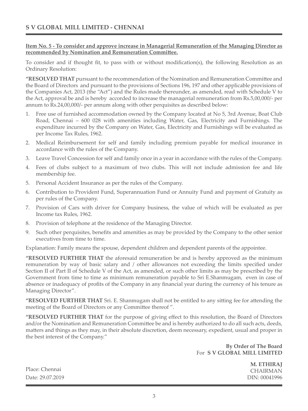#### **Item No. 5 - To consider and approve increase in Managerial Remuneration of the Managing Director as recommended by Nomination and Remuneration Committee.**

To consider and if thought fit, to pass with or without modification(s), the following Resolution as an Ordinary Resolution:

**"RESOLVED THAT** pursuant to the recommendation of the Nomination and Remuneration Committee and the Board of Directors and pursuant to the provisions of Sections 196, 197 and other applicable provisions of the Companies Act, 2013 (the "Act") and the Rules made thereunder, as amended, read with Schedule V to the Act, approval be and is hereby accorded to increase the managerial remuneration from Rs.5,00,000/- per annum to Rs.24,00,000/- per annum along with other perquisites as described below:

- 1. Free use of furnished accommodation owned by the Company located at No 5, 3rd Avenue, Boat Club Road, Chennai – 600 028 with amenities including Water, Gas, Electricity and Furnishings. The expenditure incurred by the Company on Water, Gas, Electricity and Furnishings will be evaluated as per Income Tax Rules, 1962.
- 2. Medical Reimbursement for self and family including premium payable for medical insurance in accordance with the rules of the Company.
- 3. Leave Travel Concession for self and family once in a year in accordance with the rules of the Company.
- 4. Fees of clubs subject to a maximum of two clubs. This will not include admission fee and life membership fee.
- 5. Personal Accident Insurance as per the rules of the Company.
- 6. Contribution to Provident Fund, Superannuation Fund or Annuity Fund and payment of Gratuity as per rules of the Company.
- 7. Provision of Cars with driver for Company business, the value of which will be evaluated as per Income tax Rules, 1962.
- 8. Provision of telephone at the residence of the Managing Director.
- 9. Such other perquisites, benefits and amenities as may be provided by the Company to the other senior executives from time to time.

Explanation: Family means the spouse, dependent children and dependent parents of the appointee.

**"RESOLVED FURTHER THAT** the aforesaid remuneration be and is hereby approved as the minimum remuneration by way of basic salary and / other allowances not exceeding the limits specified under Section II of Part II of Schedule V of the Act, as amended, or such other limits as may be prescribed by the Government from time to time as minimum remuneration payable to Sri E.Shanmugam, even in case of absence or inadequacy of profits of the Company in any financial year during the currency of his tenure as Managing Director".

**"RESOLVED FURTHER THAT** Sri. E. Shanmugam shall not be entitled to any sitting fee for attending the meeting of the Board of Directors or any Committee thereof ".

**"RESOLVED FURTHER THAT** for the purpose of giving effect to this resolution, the Board of Directors and/or the Nomination and Remuneration Committee be and is hereby authorized to do all such acts, deeds, matters and things as they may, in their absolute discretion, deem necessary, expedient, usual and proper in the best interest of the Company."

> **By Order of The Board** For **S V GLOBAL MILL LIMITED**

> > **M. ETHIRAJ** CHAIRMAN DIN: 00041996

Place: Chennai Date: 29.07.2019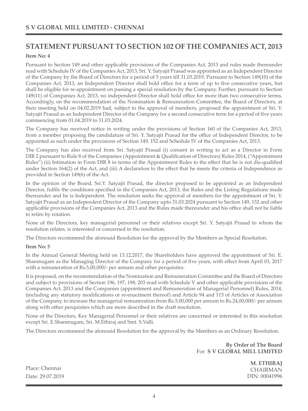## **STATEMENT PURSUANT TO SECTION 102 OF THE COMPANIES ACT, 2013**

#### **Item No: 4**

Pursuant to Section 149 and other applicable provisions of the Companies Act, 2013 and rules made thereunder read with Schedule IV of the Companies Act, 2013, Sri. Y. Satyajit Prasad was appointed as an Independent Director of the Company by the Board of Directors for a period of 5 years till 31.03.2019. Pursuant to Section 149(10) of the Companies Act, 2013, an Independent Director shall hold office for a term of up to five consecutive years, but shall be eligible for re-appointment on passing a special resolution by the Company. Further, pursuant to Section 149(11) of Companies Act, 2013, no independent Director shall hold office for more than two consecutive terms. Accordingly, on the recommendation of the Nomination & Remuneration Committee, the Board of Directors, at their meeting held on 04.02.2019 had, subject to the approval of members, proposed the appointment of Sri. Y. Satyajit Prasad as an Independent Director of the Company for a second consecutive term for a period of five years commencing from 01.04.2019 to 31.03.2024.

The Company has received notice in writing under the provisions of Section 160 of the Companies Act, 2013, from a member proposing the candidature of Sri. Y. Satyajit Prasad for the office of Independent Director, to be appointed as such under the provisions of Section 149, 152 and Schedule IV of the Companies Act, 2013.

The Company has also received from Sri. Satyajit Prasad (i) consent in writing to act as a Director in Form DIR 2 pursuant to Rule 8 of the Companies (Appointment & Qualification of Directors) Rules 2014, ("Appointment Rules") (ii) Intimation in Form DIR 8 in terms of the Appointment Rules to the effect that he is not dis-qualified under Section 164(2) of the Act, and (iii) A declaration to the effect that he meets the criteria of Independence as provided in Section 149(6) of the Act.

In the opinion of the Board, Sri.Y. Satyajit Prasad, the director proposed to be appointed as an Independent Director, fulfils the conditions specified in the Companies Act, 2013, the Rules and the Listing Regulations made thereunder and he is Independent. The resolution seeks the approval of members for the appointment of Sri. Y. Satyajit Prasad as an Independent Director of the Company upto 31.03.2024 pursuant to Section 149, 152 and other applicable provisions of the Companies Act, 2013 and the Rules made thereunder and his office shall not be liable to retire by rotation.

None of the Directors, key managerial personnel or their relatives except Sri. Y. Satyajit Prasad to whom the resolution relates, is interested or concerned in the resolution.

The Directors recommend the aforesaid Resolution for the approval by the Members as Special Resolution.

#### **Item No: 5**

In the Annual General Meeting held on 13.12.2017, the Shareholders have approved the appointment of Sri. E. Shanmugam as the Managing Director of the Company for a period of five years, with effect from April 03, 2017 with a remuneration of Rs.5,00,000/- per annum and other perquisites.

It is proposed, on the recommendation of the Nomination and Remuneration Committee and the Board of Directors and subject to provisions of Section 196, 197, 198, 203 read with Schedule V and other applicable provisions of the Companies Act, 2013 and the Companies (appointment and Remuneration of Managerial Personnel) Rules, 2014, (including any statutory modifications or re-enactment thereof) and Article 94 and 115 of Articles of Association of the Company, to increase the managerial remuneration from Rs.5,00,000 per annum to Rs.24,00,000/- per annum along with other perquisites which are more described in the draft resolution.

None of the Directors, Key Managerial Personnel or their relatives are concerned or interested in this resolution except Sri. E.Shanmugam, Sri. M.Ethiraj and Smt. S.Valli.

The Directors recommend the aforesaid Resolution for the approval by the Members as an Ordinary Resolution.

**By Order of The Board** For **S V GLOBAL MILL LIMITED**

> **M. ETHIRAJ** CHAIRMAN DIN: 00041996

Place: Chennai Date: 29.07.2019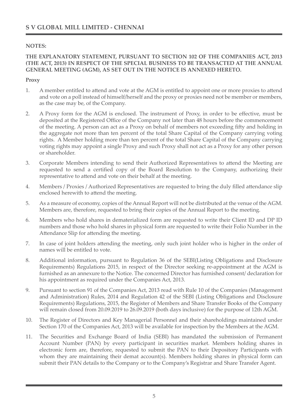#### **NOTES:**

#### **THE EXPLANATORY STATEMENT, PURSUANT TO SECTION 102 OF THE COMPANIES ACT, 2013 (THE ACT, 2013) IN RESPECT OF THE SPECIAL BUSINESS TO BE TRANSACTED AT THE ANNUAL GENERAL MEETING (AGM), AS SET OUT IN THE NOTICE IS ANNEXED HERETO.**

#### **Proxy**

- 1. A member entitled to attend and vote at the AGM is entitled to appoint one or more proxies to attend and vote on a poll instead of himself/herself and the proxy or proxies need not be member or members, as the case may be, of the Company.
- 2. A Proxy form for the AGM is enclosed. The instrument of Proxy, in order to be effective, must be deposited at the Registered Office of the Company not later than 48 hours before the commencement of the meeting. A person can act as a Proxy on behalf of members not exceeding fifty and holding in the aggregate not more than ten percent of the total Share Capital of the Company carrying voting rights. A Member holding more than ten percent of the total Share Capital of the Company carrying voting rights may appoint a single Proxy and such Proxy shall not act as a Proxy for any other person or shareholder.
- 3. Corporate Members intending to send their Authorized Representatives to attend the Meeting are requested to send a certified copy of the Board Resolution to the Company, authorizing their representative to attend and vote on their behalf at the meeting.
- 4. Members / Proxies / Authorized Representatives are requested to bring the duly filled attendance slip enclosed herewith to attend the meeting.
- 5. As a measure of economy, copies of the Annual Report will not be distributed at the venue of the AGM. Members are, therefore, requested to bring their copies of the Annual Report to the meeting.
- 6. Members who hold shares in dematerialized form are requested to write their Client ID and DP ID numbers and those who hold shares in physical form are requested to write their Folio Number in the Attendance Slip for attending the meeting.
- 7. In case of joint holders attending the meeting, only such joint holder who is higher in the order of names will be entitled to vote.
- 8. Additional information, pursuant to Regulation 36 of the SEBI(Listing Obligations and Disclosure Requirements) Regulations 2015, in respect of the Director seeking re-appointment at the AGM is furnished as an annexure to the Notice. The concerned Director has furnished consent/ declaration for his appointment as required under the Companies Act, 2013.
- 9. Pursuant to section 91 of the Companies Act, 2013 read with Rule 10 of the Companies (Management and Administration) Rules, 2014 and Regulation 42 of the SEBI (Listing Obligations and Disclosure Requirements) Regulations, 2015, the Register of Members and Share Transfer Books of the Company will remain closed from 20.09.2019 to 26.09.2019 (both days inclusive) for the purpose of 12th AGM.
- 10. The Register of Directors and Key Managerial Personnel and their shareholdings maintained under Section 170 of the Companies Act, 2013 will be available for inspection by the Members at the AGM.
- 11. The Securities and Exchange Board of India (SEBI) has mandated the submission of Permanent Account Number (PAN) by every participant in securities market. Members holding shares in electronic form are, therefore, requested to submit the PAN to their Depository Participants with whom they are maintaining their demat account(s). Members holding shares in physical form can submit their PAN details to the Company or to the Company's Registrar and Share Transfer Agent.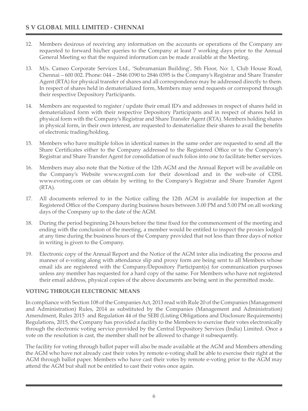- 12. Members desirous of receiving any information on the accounts or operations of the Company are requested to forward his/her queries to the Company at least 7 working days prior to the Annual General Meeting so that the required information can be made available at the Meeting.
- 13. M/s. Cameo Corporate Services Ltd., 'Subramanian Building', 5th Floor, No: 1, Club House Road, Chennai – 600 002. Phone: 044 – 2846 0390 to 2846 0395 is the Company's Registrar and Share Transfer Agent (RTA) for physical transfer of shares and all correspondence may be addressed directly to them. In respect of shares held in dematerialized form, Members may send requests or correspond through their respective Depository Participants.
- 14. Members are requested to register / update their email ID's and addresses in respect of shares held in dematerialized form with their respective Depository Participants and in respect of shares held in physical form with the Company's Registrar and Share Transfer Agent (RTA). Members holding shares in physical form, in their own interest, are requested to dematerialize their shares to avail the benefits of electronic trading/holding.
- 15. Members who have multiple folios in identical names in the same order are requested to send all the Share Certificates either to the Company addressed to the Registered Office or to the Company's Registrar and Share Transfer Agent for consolidation of such folios into one to facilitate better services.
- 16. Members may also note that the Notice of the 12th AGM and the Annual Report will be available on the Company's Website www.svgml.com for their download and in the web-site of CDSL www.evoting.com or can obtain by writing to the Company's Registrar and Share Transfer Agent (RTA).
- 17. All documents referred to in the Notice calling the 12th AGM is available for inspection at the Registered Office of the Company during business hours between 3.00 PM and 5.00 PM on all working days of the Company up to the date of the AGM.
- 18. During the period beginning 24 hours before the time fixed for the commencement of the meeting and ending with the conclusion of the meeting, a member would be entitled to inspect the proxies lodged at any time during the business hours of the Company provided that not less than three days of notice in writing is given to the Company.
- 19. Electronic copy of the Annual Report and the Notice of the AGM inter alia indicating the process and manner of e-voting along with attendance slip and proxy form are being sent to all Members whose email ids are registered with the Company/Depository Participant(s) for communication purposes unless any member has requested for a hard copy of the same. For Members who have not registered their email address, physical copies of the above documents are being sent in the permitted mode.

#### **VOTING THROUGH ELECTRONIC MEANS**

In compliance with Section 108 of the Companies Act, 2013 read with Rule 20 of the Companies (Management and Administration) Rules, 2014 as substituted by the Companies (Management and Administration) Amendment, Rules 2015 and Regulation 44 of the SEBI (Listing Obligations and Disclosure Requirements) Regulations, 2015, the Company has provided a facility to the Members to exercise their votes electronically through the electronic voting service provided by the Central Depository Services (India) Limited. Once a vote on the resolution is cast, the member shall not be allowed to change it subsequently.

The facility for voting through ballot paper will also be made available at the AGM and Members attending the AGM who have not already cast their votes by remote e-voting shall be able to exercise their right at the AGM through ballot paper. Members who have cast their votes by remote e-voting prior to the AGM may attend the AGM but shall not be entitled to cast their votes once again.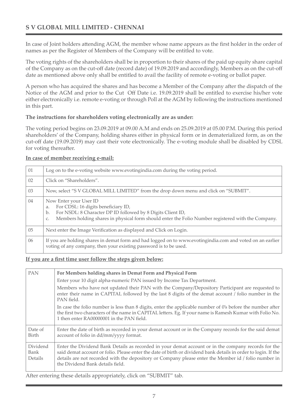In case of Joint holders attending AGM, the member whose name appears as the first holder in the order of names as per the Register of Members of the Company will be entitled to vote.

The voting rights of the shareholders shall be in proportion to their shares of the paid up equity share capital of the Company as on the cut-off date (record date) of 19.09.2019 and accordingly, Members as on the cut-off date as mentioned above only shall be entitled to avail the facility of remote e-voting or ballot paper.

A person who has acquired the shares and has become a Member of the Company after the dispatch of the Notice of the AGM and prior to the Cut Off Date i.e. 19.09.2019 shall be entitled to exercise his/her vote either electronically i.e. remote e-voting or through Poll at the AGM by following the instructions mentioned in this part.

#### **The instructions for shareholders voting electronically are as under:**

The voting period begins on 23.09.2019 at 09.00 A.M and ends on 25.09.2019 at 05.00 P.M. During this period shareholders' of the Company, holding shares either in physical form or in dematerialized form, as on the cut-off date (19.09.2019) may cast their vote electronically. The e-voting module shall be disabled by CDSL for voting thereafter.

| 01 | Log on to the e-voting website www.evotingindia.com during the voting period.                                                                                                                                                                        |
|----|------------------------------------------------------------------------------------------------------------------------------------------------------------------------------------------------------------------------------------------------------|
| 02 | Click on "Shareholders".                                                                                                                                                                                                                             |
| 03 | Now, select "S V GLOBAL MILL LIMITED" from the drop down menu and click on "SUBMIT".                                                                                                                                                                 |
| 04 | Now Enter your User ID<br>For CDSL: 16 digits beneficiary ID,<br>a.<br>For NSDL: 8 Character DP ID followed by 8 Digits Client ID,<br>b.<br>Members holding shares in physical form should enter the Folio Number registered with the Company.<br>C. |
| 05 | Next enter the Image Verification as displayed and Click on Login.                                                                                                                                                                                   |
| 06 | If you are holding shares in demat form and had logged on to www.evotingindia.com and voted on an earlier<br>voting of any company, then your existing password is to be used.                                                                       |

#### **In case of member receiving e-mail:**

#### **If you are a first time user follow the steps given below:**

| PAN                         | For Members holding shares in Demat Form and Physical Form                                                                                                                                                                                                                                                                                                        |
|-----------------------------|-------------------------------------------------------------------------------------------------------------------------------------------------------------------------------------------------------------------------------------------------------------------------------------------------------------------------------------------------------------------|
|                             | Enter your 10 digit alpha-numeric PAN issued by Income Tax Department.                                                                                                                                                                                                                                                                                            |
|                             | Members who have not updated their PAN with the Company/Depository Participant are requested to<br>enter their name in CAPITAL followed by the last 8 digits of the demat account / folio number in the<br>PAN field.                                                                                                                                             |
|                             | In case the folio number is less than 8 digits, enter the applicable number of $0$ 's before the number after<br>the first two characters of the name in CAPITAL letters. Eg. If your name is Ramesh Kumar with Folio No.<br>1 then enter RA00000001 in the PAN field.                                                                                            |
| Date of<br>Birth            | Enter the date of birth as recorded in your demat account or in the Company records for the said demat<br>account of folio in dd/mm/yyyy format.                                                                                                                                                                                                                  |
| Dividend<br>Bank<br>Details | Enter the Dividend Bank Details as recorded in your demat account or in the company records for the<br>said demat account or folio. Please enter the date of birth or dividend bank details in order to login. If the<br>details are not recorded with the depository or Company please enter the Member id / folio number in<br>the Dividend Bank details field. |

After entering these details appropriately, click on "SUBMIT" tab.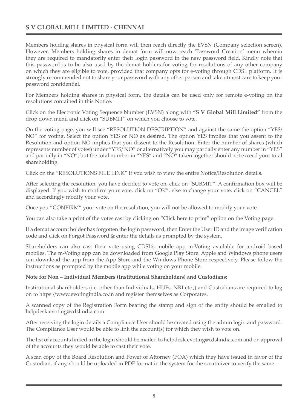Members holding shares in physical form will then reach directly the EVSN (Company selection screen). However, Members holding shares in demat form will now reach 'Password Creation' menu wherein they are required to mandatorily enter their login password in the new password field. Kindly note that this password is to be also used by the demat holders for voting for resolutions of any other company on which they are eligible to vote, provided that company opts for e-voting through CDSL platform. It is strongly recommended not to share your password with any other person and take utmost care to keep your password confidential.

For Members holding shares in physical form, the details can be used only for remote e-voting on the resolutions contained in this Notice.

Click on the Electronic Voting Sequence Number (EVSN) along with **"S V Global Mill Limited"** from the drop down menu and click on "SUBMIT" on which you choose to vote.

On the voting page, you will see "RESOLUTION DESCRIPTION" and against the same the option "YES/ NO" for voting. Select the option YES or NO as desired. The option YES implies that you assent to the Resolution and option NO implies that you dissent to the Resolution. Enter the number of shares (which represents number of votes) under "YES/ NO" or alternatively you may partially enter any number in "YES" and partially in "NO", but the total number in "YES" and "NO" taken together should not exceed your total shareholding.

Click on the "RESOLUTIONS FILE LINK" if you wish to view the entire Notice/Resolution details.

After selecting the resolution, you have decided to vote on, click on "SUBMIT". A confirmation box will be displayed. If you wish to confirm your vote, click on "OK", else to change your vote, click on "CANCEL" and accordingly modify your vote.

Once you "CONFIRM" your vote on the resolution, you will not be allowed to modify your vote.

You can also take a print of the votes cast by clicking on "Click here to print" option on the Voting page.

If a demat account holder has forgotten the login password, then Enter the User ID and the image verification code and click on Forgot Password & enter the details as prompted by the system.

Shareholders can also cast their vote using CDSL's mobile app m-Voting available for android based mobiles. The m-Voting app can be downloaded from Google Play Store. Apple and Windows phone users can download the app from the App Store and the Windows Phone Store respectively. Please follow the instructions as prompted by the mobile app while voting on your mobile.

#### **Note for Non – Individual Members (Institutional Shareholders) and Custodians:**

Institutional shareholders (i.e. other than Individuals, HUFs, NRI etc.,) and Custodians are required to log on to https://www.evotingindia.co.in and register themselves as Corporates.

A scanned copy of the Registration Form bearing the stamp and sign of the entity should be emailed to helpdesk.evoting@cdslindia.com.

After receiving the login details a Compliance User should be created using the admin login and password. The Compliance User would be able to link the account(s) for which they wish to vote on.

The list of accounts linked in the login should be mailed to helpdesk.evoting@cdslindia.com and on approval of the accounts they would be able to cast their vote.

A scan copy of the Board Resolution and Power of Attorney (POA) which they have issued in favor of the Custodian, if any, should be uploaded in PDF format in the system for the scrutinizer to verify the same.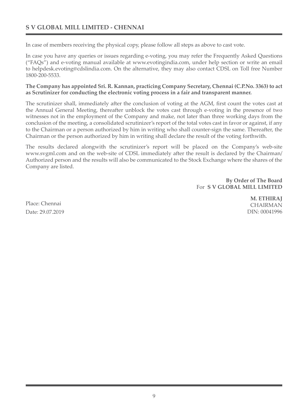In case of members receiving the physical copy, please follow all steps as above to cast vote.

In case you have any queries or issues regarding e-voting, you may refer the Frequently Asked Questions ("FAQs") and e-voting manual available at www.evotingindia.com, under help section or write an email to helpdesk.evoting@cdslindia.com. On the alternative, they may also contact CDSL on Toll free Number 1800-200-5533.

#### **The Company has appointed Sri. R. Kannan, practicing Company Secretary, Chennai (C.P.No. 3363) to act as Scrutinizer for conducting the electronic voting process in a fair and transparent manner.**

The scrutinizer shall, immediately after the conclusion of voting at the AGM, first count the votes cast at the Annual General Meeting, thereafter unblock the votes cast through e-voting in the presence of two witnesses not in the employment of the Company and make, not later than three working days from the conclusion of the meeting, a consolidated scrutinizer's report of the total votes cast in favor or against, if any to the Chairman or a person authorized by him in writing who shall counter-sign the same. Thereafter, the Chairman or the person authorized by him in writing shall declare the result of the voting forthwith.

The results declared alongwith the scrutinizer's report will be placed on the Company's web-site www.svgml.com and on the web-site of CDSL immediately after the result is declared by the Chairman/ Authorized person and the results will also be communicated to the Stock Exchange where the shares of the Company are listed.

> **By Order of The Board** For **S V GLOBAL MILL LIMITED**

Place: Chennai Date: 29.07.2019

**M. ETHIRAJ CHAIRMAN** DIN: 00041996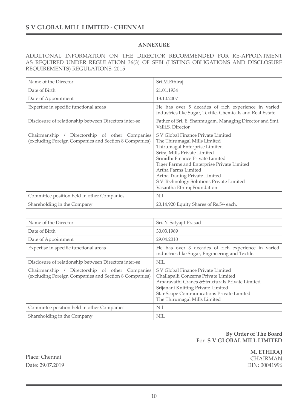#### **ANNEXURE**

ADDIITONAL INFORMATION ON THE DIRECTOR RECOMMENDED FOR RE-APPOINTMENT AS REQUIRED UNDER REGULATION 36(3) OF SEBI (LISTING OBLIGATIONS AND DISCLOSURE REQUIREMENTS) REGULATIONS, 2015

| Name of the Director                                                                                    | Sri.M.Ethiraj                                                                                                                                                                                                                                                                                                                                            |
|---------------------------------------------------------------------------------------------------------|----------------------------------------------------------------------------------------------------------------------------------------------------------------------------------------------------------------------------------------------------------------------------------------------------------------------------------------------------------|
| Date of Birth                                                                                           | 21.01.1934                                                                                                                                                                                                                                                                                                                                               |
| Date of Appointment                                                                                     | 13.10.2007                                                                                                                                                                                                                                                                                                                                               |
| Expertise in specific functional areas                                                                  | He has over 5 decades of rich experience in varied<br>industries like Sugar, Textile, Chemicals and Real Estate.                                                                                                                                                                                                                                         |
| Disclosure of relationship between Directors inter-se                                                   | Father of Sri. E. Shanmugam, Managing Director and Smt.<br>Valli.S, Director                                                                                                                                                                                                                                                                             |
| Chairmanship / Directorship of other Companies<br>(excluding Foreign Companies and Section 8 Companies) | S V Global Finance Private Limited<br>The Thirumagal Mills Limited<br>Thirumagal Enterprise Limited<br>Sriraj Mills Private Limited<br>Srinidhi Finance Private Limited<br>Tiger Farms and Enterprise Private Limited<br>Artha Farms Limited<br>Artha Trading Private Limited<br>S V Technology Solutions Private Limited<br>Vasantha Ethiraj Foundation |
| Committee position held in other Companies                                                              | Nil                                                                                                                                                                                                                                                                                                                                                      |
| Shareholding in the Company                                                                             | 20,14,920 Equity Shares of Rs.5/- each.                                                                                                                                                                                                                                                                                                                  |
|                                                                                                         |                                                                                                                                                                                                                                                                                                                                                          |
| Name of the Director                                                                                    | Sri. Y. Satyajit Prasad                                                                                                                                                                                                                                                                                                                                  |
| Date of Birth                                                                                           | 30.03.1969                                                                                                                                                                                                                                                                                                                                               |
| Date of Appointment                                                                                     | 29.04.2010                                                                                                                                                                                                                                                                                                                                               |
| Expertise in specific functional areas                                                                  | He has over 3 decades of rich experience in varied<br>industries like Sugar, Engineering and Textile.                                                                                                                                                                                                                                                    |
| Disclosure of relationship between Directors inter-se                                                   | NIL                                                                                                                                                                                                                                                                                                                                                      |
| Chairmanship / Directorship of other Companies<br>(excluding Foreign Companies and Section 8 Companies) | S V Global Finance Private Limited<br>Challapalli Concerns Private Limited<br>Amaravathi Cranes & Structurals Private Limited<br>Srijanani Knitting Private Limited<br>Star Scape Communications Private Limited<br>The Thirumagal Mills Limited                                                                                                         |
| Committee position held in other Companies                                                              | Nil                                                                                                                                                                                                                                                                                                                                                      |
| Shareholding in the Company                                                                             | <b>NIL</b>                                                                                                                                                                                                                                                                                                                                               |

#### **By Order of The Board** For **S V GLOBAL MILL LIMITED**

**M. ETHIRAJ** CHAIRMAN DIN: 00041996

Place: Chennai Date: 29.07.2019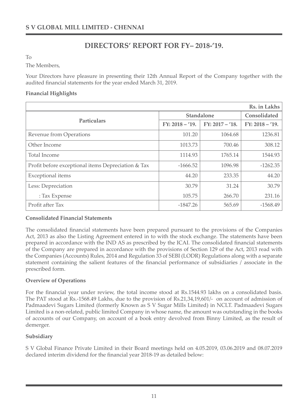## **DIRECTORS' REPORT FOR FY– 2018-'19.**

#### To

The Members,

Your Directors have pleasure in presenting their 12th Annual Report of the Company together with the audited financial statements for the year ended March 31, 2019.

#### **Financial Highlights**

| Rs. in Lakhs                                       |                   |                   |                   |
|----------------------------------------------------|-------------------|-------------------|-------------------|
|                                                    | Standalone        |                   | Consolidated      |
| Particulars                                        | $FY: 2018 - '19.$ | $FY: 2017 - '18.$ | $FY: 2018 - '19.$ |
| Revenue from Operations                            | 101.20            | 1064.68           | 1236.81           |
| Other Income                                       | 1013.73           | 700.46            | 308.12            |
| <b>Total Income</b>                                | 1114.93           | 1765.14           | 1544.93           |
| Profit before exceptional items Depreciation & Tax | $-1666.52$        | 1096.98           | $-1262.35$        |
| Exceptional items                                  | 44.20             | 233.35            | 44.20             |
| Less: Depreciation                                 | 30.79             | 31.24             | 30.79             |
| : Tax Expense                                      | 105.75            | 266.70            | 231.16            |
| Profit after Tax                                   | $-1847.26$        | 565.69            | $-1568.49$        |

#### **Consolidated Financial Statements**

The consolidated financial statements have been prepared pursuant to the provisions of the Companies Act, 2013 as also the Listing Agreement entered in to with the stock exchange. The statements have been prepared in accordance with the IND AS as prescribed by the ICAI. The consolidated financial statements of the Company are prepared in accordance with the provisions of Section 129 of the Act, 2013 read with the Companies (Accounts) Rules, 2014 and Regulation 33 of SEBI (LODR) Regulations along with a separate statement containing the salient features of the financial performance of subsidiaries / associate in the prescribed form.

#### **Overview of Operations**

For the financial year under review, the total income stood at Rs.1544.93 lakhs on a consolidated basis. The PAT stood at Rs.-1568.49 Lakhs, due to the provision of Rs.21,34,19,601/- on account of admission of Padmaadevi Sugars Limited (formerly Known as S V Sugar Mills Limited) in NCLT. Padmaadevi Sugars Limited is a non-related, public limited Company in whose name, the amount was outstanding in the books of accounts of our Company, on account of a book entry devolved from Binny Limited, as the result of demerger.

#### **Subsidiary**

S V Global Finance Private Limited in their Board meetings held on 4.05.2019, 03.06.2019 and 08.07.2019 declared interim dividend for the financial year 2018-19 as detailed below: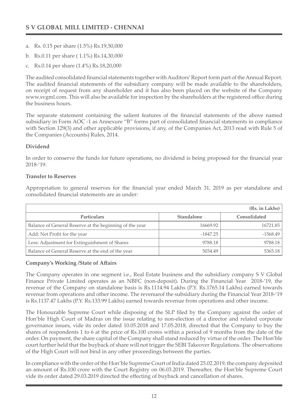- a. Rs. 0.15 per share (1.5%) Rs.19,50,000
- b. Rs.0.11 per share ( 1.1%) Rs.14,30,000
- c. Rs.0.14 per share (1.4%) Rs.18,20,000

The audited consolidated financial statements together with Auditors' Report form part of the Annual Report. The audited financial statements of the subsidiary company will be made available to the shareholders, on receipt of request from any shareholder and it has also been placed on the website of the Company www.svgml.com. This will also be available for inspection by the shareholders at the registered office during the business hours.

The separate statement containing the salient features of the financial statements of the above named subsidiary in Form AOC -1 as Annexure "B" forms part of consolidated financial statements in compliance with Section 129(3) and other applicable provisions, if any, of the Companies Act, 2013 read with Rule 5 of the Companies (Accounts) Rules, 2014.

#### **Dividend**

In order to conserve the funds for future operations, no dividend is being proposed for the financial year 2018-'19.

#### **Transfer to Reserves**

Appropriation to general reserves for the financial year ended March 31, 2019 as per standalone and consolidated financial statements are as under:

|                                                         |            | (Rs. in Lakhs) |
|---------------------------------------------------------|------------|----------------|
| Particulars                                             | Standalone | Consolidated   |
| Balance of General Reserve at the beginning of the year | 16669.92   | 16721.85       |
| Add: Net Profit for the year                            | $-1847.25$ | $-1568.49$     |
| Less: Adjustment for Extinguishment of Shares           | 9788.18    | 9788.18        |
| Balance of General Reserve at the end of the year       | 5034.49    | 5365.18        |

#### **Company's Working /State of Affairs**

The Company operates in one segment i.e., Real Estate business and the subsidiary company S V Global Finance Private Limited operates as an NBFC (non-deposit). During the Financial Year 2018-'19, the revenue of the Company on standalone basis is Rs.1114.94 Lakhs (P.Y. Rs.1765.14 Lakhs) earned towards revenue from operations and other income. The revenueof the subsidiary during the Financial Year 2018-'19 is Rs.1137.47 Lakhs (P.Y. Rs.133.99 Lakhs) earned towards revenue from operations and other income.

The Honourable Supreme Court while disposing of the SLP filed by the Company against the order of Hon'ble High Court of Madras on the issue relating to non-election of a director and related corporate governance issues, vide its order dated 10.05.2018 and 17.05.2018, directed that the Company to buy the shares of respondents 1 to 6 at the price of Rs.100 crores within a period of 9 months from the date of the order. On payment, the share capital of the Company shall stand reduced by virtue of the order. The Hon'ble court further held that the buyback of share will not trigger the SEBI Takeover Regulations. The observations of the High Court will not bind in any other proceedings between the parties.

In compliance with the order of the Hon'ble Supreme Court of India dated 25.02.2019, the company deposited an amount of Rs.100 crore with the Court Registry on 06.03.2019. Thereafter, the Hon'ble Supreme Court vide its order dated 29.03.2019 directed the effecting of buyback and cancellation of shares.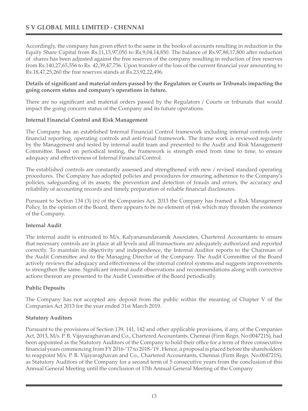Accordingly, the company has given effect to the same in the books of accounts resulting in reduction in the Equity Share Capital from Rs.11,15,97,050 to Rs.9,04,14,850. The balance of Rs.97,88,17,800 after reduction of shares has been adjusted against the free reserves of the company resulting in reduction of free reserves from Rs.140,27,65,556 to Rs. 42,39,47,756. Upon transfer of the loss of the current financial year amounting to Rs.18,47,25,260 the free reserves stands at Rs.23,92,22,496.

#### **Details of significant and material orders passed by the Regulators or Courts or Tribunals impacting the going concern status and company's operations in future.**

There are no significant and material orders passed by the Regulators / Courts or tribunals that would impact the going concern status of the Company and its future operations.

#### **Internal Financial Control and Risk Management**

The Company has an established Internal Financial Control framework including internal controls over financial reporting, operating controls and anti-fraud framework. The frame work is reviewed regularly by the Management and tested by internal audit team and presented to the Audit and Risk Management Committee. Based on periodical testing, the framework is strength ened from time to time, to ensure adequacy and effectiveness of Internal Financial Control.

The established controls are constantly assessed and strengthened with new / revised standard operating procedures. The Company has adopted policies and procedures for ensuring adherence to the Company's policies, safeguarding of its assets, the prevention and detection of frauds and errors, the accuracy and reliability of accounting records and timely preparation of reliable financial disclosures.

Pursuant to Section 134 (3) (n) of the Companies Act, 2013 the Company has framed a Risk Management Policy. In the opinion of the Board, there appears to be no element of risk which may threaten the existence of the Company.

#### **Internal Audit**

The internal audit is entrusted to M/s. Kalyanasundaram& Associates, Chartered Accountants to ensure that necessary controls are in place at all levels and all transactions are adequately authorized and reported correctly. To maintain its objectivity and independence, the Internal Auditor reports to the Chairman of the Audit Committee and to the Managing Director of the Company. The Audit Committee of the Board actively reviews the adequacy and effectiveness of the internal control systems and suggests improvements to strengthen the same. Significant internal audit observations and recommendations along with corrective actions thereon are presented to the Audit Committee of the Board periodically.

#### **Public Deposits**

The Company has not accepted any deposit from the public within the meaning of Chapter V of the Companies Act 2013 for the year ended 31st March 2019.

#### **Statutory Auditors**

Pursuant to the provisions of Section 139, 141, 142 and other applicable provisions, if any, of the Companies Act, 2013, M/s. P. B. Vijayaraghavan and Co., Chartered Accountants, Chennai (Firm Regn. No:004721S), had been appointed as the Statutory Auditors of the Company to hold their office for a term of three consecutive financial years commencing from FY 2016-'17 to 2018-'19 . Hence, a proposal is placed before the shareholders to reappoint M/s. P. B. Vijayaraghavan and Co., Chartered Accountants, Chennai (Firm Regn. No:004721S), as Statutory Auditors of the Company for a second term of 5 consecutive years from the conclusion of this Annual General Meeting until the conclusion of 17th Annual General Meeting of the Company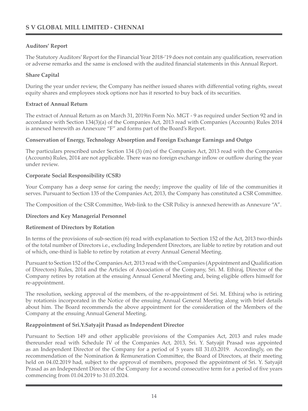#### **Auditors' Report**

The Statutory Auditors' Report for the Financial Year 2018-'19 does not contain any qualification, reservation or adverse remarks and the same is enclosed with the audited financial statements in this Annual Report.

#### **Share Capital**

During the year under review, the Company has neither issued shares with differential voting rights, sweat equity shares and employees stock options nor has it resorted to buy back of its securities.

#### **Extract of Annual Return**

The extract of Annual Return as on March 31, 2019in Form No. MGT - 9 as required under Section 92 and in accordance with Section 134(3)(a) of the Companies Act, 2013 read with Companies (Accounts) Rules 2014 is annexed herewith as Annexure "F" and forms part of the Board's Report.

#### **Conservation of Energy, Technology Absorption and Foreign Exchange Earnings and Outgo**

The particulars prescribed under Section 134 (3) (m) of the Companies Act, 2013 read with the Companies (Accounts) Rules, 2014 are not applicable. There was no foreign exchange inflow or outflow during the year under review.

#### **Corporate Social Responsibility (CSR)**

Your Company has a deep sense for caring the needy; improve the quality of life of the communities it serves. Pursuant to Section 135 of the Companies Act, 2013, the Company has constituted a CSR Committee.

The Composition of the CSR Committee, Web-link to the CSR Policy is annexed herewith as Annexure "A".

#### **Directors and Key Managerial Personnel**

#### **Retirement of Directors by Rotation**

In terms of the provisions of sub-section (6) read with explanation to Section 152 of the Act, 2013 two-thirds of the total number of Directors i.e., excluding Independent Directors, are liable to retire by rotation and out of which, one-third is liable to retire by rotation at every Annual General Meeting.

Pursuant to Section 152 of the Companies Act, 2013 read with the Companies (Appointment and Qualification of Directors) Rules, 2014 and the Articles of Association of the Company, Sri. M. Ethiraj, Director of the Company retires by rotation at the ensuing Annual General Meeting and, being eligible offers himself for re-appointment.

The resolution, seeking approval of the members, of the re-appointment of Sri. M. Ethiraj who is retiring by rotationis incorporated in the Notice of the ensuing Annual General Meeting along with brief details about him. The Board recommends the above appointment for the consideration of the Members of the Company at the ensuing Annual General Meeting.

#### **Reappointment of Sri.Y.Satyajit Prasad as Independent Director**

Pursuant to Section 149 and other applicable provisions of the Companies Act, 2013 and rules made thereunder read with Schedule IV of the Companies Act, 2013, Sri. Y. Satyajit Prasad was appointed as an Independent Director of the Company for a period of 5 years till 31.03.2019. Accordingly, on the recommendation of the Nomination & Remuneration Committee, the Board of Directors, at their meeting held on 04.02.2019 had, subject to the approval of members, proposed the appointment of Sri. Y. Satyajit Prasad as an Independent Director of the Company for a second consecutive term for a period of five years commencing from 01.04.2019 to 31.03.2024.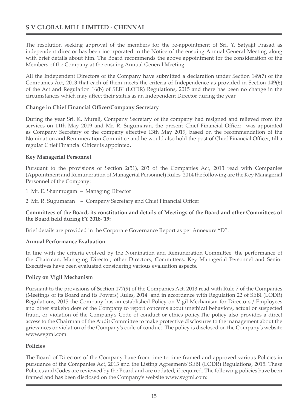The resolution seeking approval of the members for the re-appointment of Sri. Y. Satyajit Prasad as independent director has been incorporated in the Notice of the ensuing Annual General Meeting along with brief details about him. The Board recommends the above appointment for the consideration of the Members of the Company at the ensuing Annual General Meeting.

All the Independent Directors of the Company have submitted a declaration under Section 149(7) of the Companies Act, 2013 that each of them meets the criteria of Independence as provided in Section 149(6) of the Act and Regulation 16(b) of SEBI (LODR) Regulations, 2015 and there has been no change in the circumstances which may affect their status as an Independent Director during the year.

#### **Change in Chief Financial Officer/Company Secretary**

During the year Sri. K. Murali, Company Secretary of the company had resigned and relieved from the services on 11th May 2019 and Mr. R. Sugumaran, the present Chief Financial Officer was appointed as Company Secretary of the company effective 13th May 2019, based on the recommendation of the Nomination and Remuneration Committee and he would also hold the post of Chief Financial Officer, till a regular Chief Financial Officer is appointed.

#### **Key Managerial Personnel**

Pursuant to the provisions of Section 2(51), 203 of the Companies Act, 2013 read with Companies (Appointment and Remuneration of Managerial Personnel) Rules, 2014 the following are the Key Managerial Personnel of the Company:

- 1. Mr. E. Shanmugam Managing Director
- 2. Mr. R. Sugumaran Company Secretary and Chief Financial Officer

#### **Committees of the Board, its constitution and details of Meetings of the Board and other Committees of the Board held during FY 2018-'19:**

Brief details are provided in the Corporate Governance Report as per Annexure "D".

#### **Annual Performance Evaluation**

In line with the criteria evolved by the Nomination and Remuneration Committee, the performance of the Chairman, Managing Director, other Directors, Committees, Key Managerial Personnel and Senior Executives have been evaluated considering various evaluation aspects.

#### **Policy on Vigil Mechanism**

Pursuant to the provisions of Section 177(9) of the Companies Act, 2013 read with Rule 7 of the Companies (Meetings of its Board and its Powers) Rules, 2014 and in accordance with Regulation 22 of SEBI (LODR) Regulations, 2015 the Company has an established Policy on Vigil Mechanism for Directors / Employees and other stakeholders of the Company to report concerns about unethical behaviors, actual or suspected fraud, or violation of the Company's Code of conduct or ethics policy.The policy also provides a direct access to the Chairman of the Audit Committee to make protective disclosures to the management about the grievances or violation of the Company's code of conduct. The policy is disclosed on the Company's website www.svgml.com.

#### **Policies**

The Board of Directors of the Company have from time to time framed and approved various Policies in pursuance of the Companies Act, 2013 and the Listing Agreement/ SEBI (LODR) Regulations, 2015. These Policies and Codes are reviewed by the Board and are updated, if required. The following policies have been framed and has been disclosed on the Company's website www.svgml.com: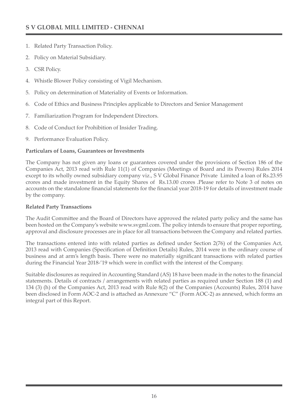- 1. Related Party Transaction Policy.
- 2. Policy on Material Subsidiary.
- 3. CSR Policy.
- 4. Whistle Blower Policy consisting of Vigil Mechanism.
- 5. Policy on determination of Materiality of Events or Information.
- 6. Code of Ethics and Business Principles applicable to Directors and Senior Management
- 7. Familiarization Program for Independent Directors.
- 8. Code of Conduct for Prohibition of Insider Trading.
- 9. Performance Evaluation Policy.

#### **Particulars of Loans, Guarantees or Investments**

The Company has not given any loans or guarantees covered under the provisions of Section 186 of the Companies Act, 2013 read with Rule 11(1) of Companies (Meetings of Board and its Powers) Rules 2014 except to its wholly owned subsidiary company viz., S V Global Finance Private Limited a loan of Rs.23.95 crores and made investment in the Equity Shares of Rs.13.00 crores .Please refer to Note 3 of notes on accounts on the standalone financial statements for the financial year 2018-19 for details of investment made by the company.

#### **Related Party Transactions**

The Audit Committee and the Board of Directors have approved the related party policy and the same has been hosted on the Company's website www.svgml.com. The policy intends to ensure that proper reporting, approval and disclosure processes are in place for all transactions between the Company and related parties.

The transactions entered into with related parties as defined under Section 2(76) of the Companies Act, 2013 read with Companies (Specification of Definition Details) Rules, 2014 were in the ordinary course of business and at arm's length basis. There were no materially significant transactions with related parties during the Financial Year 2018-'19 which were in conflict with the interest of the Company.

Suitable disclosures as required in Accounting Standard (AS) 18 have been made in the notes to the financial statements. Details of contracts / arrangements with related parties as required under Section 188 (1) and 134 (3) (h) of the Companies Act, 2013 read with Rule 8(2) of the Companies (Accounts) Rules, 2014 have been disclosed in Form AOC-2 and is attached as Annexure "C" (Form AOC-2) as annexed, which forms an integral part of this Report.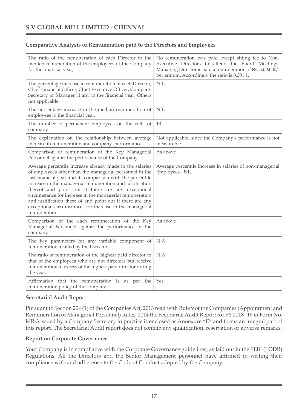#### **Comparative Analysis of Remuneration paid to the Directors and Employees**

| The ratio of the remuneration of each Director to the<br>median remuneration of the employees of the Company<br>for the financial year;                                                                                                                                                                                                                                                                                                                                                                    | No remuneration was paid except sitting fee to Non-<br>Executive Directors to attend the Board Meetings.<br>Managing Director is paid a remuneration of Rs. 5,00,000/-<br>per annum. Accordingly the ratio is 0.30 : 1. |
|------------------------------------------------------------------------------------------------------------------------------------------------------------------------------------------------------------------------------------------------------------------------------------------------------------------------------------------------------------------------------------------------------------------------------------------------------------------------------------------------------------|-------------------------------------------------------------------------------------------------------------------------------------------------------------------------------------------------------------------------|
| The percentage increase in remuneration of each Director,<br>Chief Financial Officer, Chief Executive Officer, Company<br>Secretary or Manager, if any in the financial year; Others<br>not applicable                                                                                                                                                                                                                                                                                                     | <b>NIL</b>                                                                                                                                                                                                              |
| The percentage increase in the median remuneration of<br>employees in the financial year.                                                                                                                                                                                                                                                                                                                                                                                                                  | <b>NIL</b>                                                                                                                                                                                                              |
| The number of permanent employees on the rolls of<br>company                                                                                                                                                                                                                                                                                                                                                                                                                                               | 13                                                                                                                                                                                                                      |
| The explanation on the relationship between average<br>increase in remuneration and company performance                                                                                                                                                                                                                                                                                                                                                                                                    | Not applicable, since the Company's performance is not<br>measurable                                                                                                                                                    |
| Comparison of remuneration of the Key Managerial<br>Personnel against the performance of the Company.                                                                                                                                                                                                                                                                                                                                                                                                      | As above                                                                                                                                                                                                                |
| Average percentile increase already made in the salaries<br>of employees other than the managerial personnel in the<br>last financial year and its comparison with the percentile<br>increase in the managerial remuneration and justification<br>thereof and point out if there are any exceptional<br>circumstance for increase in the managerial remuneration<br>and justification there of and point out if there are any<br>exceptional circumstances for increase in the managerial<br>remuneration. | Average percentile increase in salaries of non-managerial<br>Employees - NIL                                                                                                                                            |
| Comparison of the each remuneration of the Key<br>Managerial Personnel against the performance of the<br>company.                                                                                                                                                                                                                                                                                                                                                                                          | As above                                                                                                                                                                                                                |
| The key parameters for any variable component of<br>remuneration availed by the Directors.                                                                                                                                                                                                                                                                                                                                                                                                                 | N.A                                                                                                                                                                                                                     |
| The ratio of remuneration of the highest paid director to<br>that of the employees who are not directors but receive<br>remuneration in excess of the highest paid director during<br>the year.                                                                                                                                                                                                                                                                                                            | N.A                                                                                                                                                                                                                     |
| Affirmation that the remuneration is as per the<br>remuneration policy of the company.                                                                                                                                                                                                                                                                                                                                                                                                                     | Yes                                                                                                                                                                                                                     |

#### **Secretarial Audit Report**

Pursuant to Section 204 (1) of the Companies Act, 2013 read with Rule 9 of the Companies (Appointment and Remuneration of Managerial Personnel) Rules, 2014 the Secretarial Audit Report for FY 2018-'19 in Form No. MR-3 issued by a Company Secretary in practice is enclosed as Annexure "E" and forms an integral part of this report. The Secretarial Audit report does not contain any qualification, reservation or adverse remarks.

#### **Report on Corporate Governance**

Your Company is in compliance with the Corporate Governance guidelines, as laid out in the SEBI (LODR) Regulations. All the Directors and the Senior Management personnel have affirmed in writing their compliance with and adherence to the Code of Conduct adopted by the Company.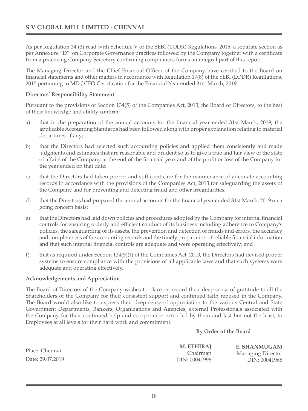As per Regulation 34 (3) read with Schedule V of the SEBI (LODR) Regulations, 2015, a separate section as per Annexure "D" on Corporate Governance practices followed by the Company together with a certificate from a practicing Company Secretary confirming compliances forms an integral part of this report.

The Managing Director and the Chief Financial Officer of the Company have certified to the Board on financial statements and other matters in accordance with Regulation  $17(8)$  of the SEBI (LODR) Regulations, 2015 pertaining to MD / CFO Certification for the Financial Year ended 31st March, 2019.

#### **Directors' Responsibility Statement**

Pursuant to the provisions of Section 134(5) of the Companies Act, 2013, the Board of Directors, to the best of their knowledge and ability confirm:

- a) that in the preparation of the annual accounts for the financial year ended 31st March, 2019, the applicable Accounting Standards had been followed along with proper explanation relating to material departures, if any;
- b) that the Directors had selected such accounting policies and applied them consistently and made judgments and estimates that are reasonable and prudent so as to give a true and fair view of the state of affairs of the Company at the end of the financial year and of the profit or loss of the Company for the year ended on that date;
- c) that the Directors had taken proper and sufficient care for the maintenance of adequate accounting records in accordance with the provisions of the Companies Act, 2013 for safeguarding the assets of the Company and for preventing and detecting fraud and other irregularities;
- d) that the Directors had prepared the annual accounts for the financial year ended 31st March, 2019 on a going concern basis;
- e) that the Directors had laid down policies and procedures adopted by the Company for internal financial controls for ensuring orderly and efficient conduct of its business including adherence to Company's policies, the safeguarding of its assets, the prevention and detection of frauds and errors, the accuracy and completeness of the accounting records and the timely preparation of reliable financial information and that such internal financial controls are adequate and were operating effectively; and
- f) that as required under Section 134(5)(f) of the Companies Act, 2013, the Directors had devised proper systems to ensure compliance with the provisions of all applicable laws and that such systems were adequate and operating effectively.

#### **Acknowledgements and Appreciation**

The Board of Directors of the Company wishes to place on record their deep sense of gratitude to all the Shareholders of the Company for their consistent support and continued faith reposed in the Company. The Board would also like to express their deep sense of appreciation to the various Central and State Government Departments, Bankers, Organizations and Agencies, external Professionals associated with the Company for their continued help and co-operation extended by them and last but not the least, to Employees at all levels for their hard work and commitment.

#### **By Order of the Board**

Place: Chennai Date: 29.07.2019

**M. ETHIRAJ** Chairman DIN: 00041996

**E. SHANMUGAM** Managing Director DIN: 00041968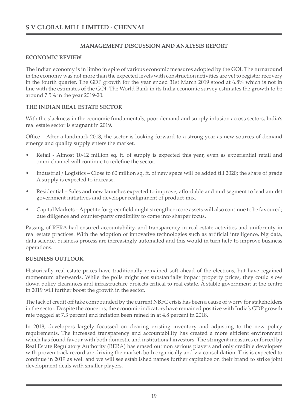#### **MANAGEMENT DISCUSSION AND ANALYSIS REPORT**

#### **ECONOMIC REVIEW**

The Indian economy is in limbo in spite of various economic measures adopted by the GOI. The turnaround in the economy was not more than the expected levels with construction activities are yet to register recovery in the fourth quarter. The GDP growth for the year ended 31st March 2019 stood at 6.8% which is not in line with the estimates of the GOI. The World Bank in its India economic survey estimates the growth to be around 7.5% in the year 2019-20.

#### **THE INDIAN REAL ESTATE SECTOR**

With the slackness in the economic fundamentals, poor demand and supply infusion across sectors, India's real estate sector is stagnant in 2019.

Office – After a landmark 2018, the sector is looking forward to a strong year as new sources of demand emerge and quality supply enters the market.

- Retail Almost 10-12 million sq. ft. of supply is expected this year, even as experiential retail and omni-channel will continue to redefine the sector.
- Industrial / Logistics Close to 60 million sq. ft. of new space will be added till 2020; the share of grade A supply is expected to increase.
- Residential Sales and new launches expected to improve; affordable and mid segment to lead amidst government initiatives and developer realignment of product-mix.
- Capital Markets Appetite for greenfield might strengthen; core assets will also continue to be favoured; due diligence and counter-party credibility to come into sharper focus.

Passing of RERA had ensured accountability, and transparency in real estate activities and uniformity in real estate practices. With the adoption of innovative technologies such as artificial intelligence, big data, data science, business process are increasingly automated and this would in turn help to improve business operations.

#### **BUSINESS OUTLOOK**

Historically real estate prices have traditionally remained soft ahead of the elections, but have regained momentum afterwards. While the polls might not substantially impact property prices, they could slow down policy clearances and infrastructure projects critical to real estate. A stable government at the centre in 2019 will further boost the growth in the sector.

The lack of credit off take compounded by the current NBFC crisis has been a cause of worry for stakeholders in the sector. Despite the concerns, the economic indicators have remained positive with India's GDP growth rate pegged at 7.3 percent and inflation been reined in at 4.8 percent in 2018.

In 2018, developers largely focussed on clearing existing inventory and adjusting to the new policy requirements. The increased transparency and accountability has created a more efficient environment which has found favour with both domestic and institutional investors. The stringent measures enforced by Real Estate Regulatory Authority (RERA) has erased out non serious players and only credible developers with proven track record are driving the market, both organically and via consolidation. This is expected to continue in 2019 as well and we will see established names further capitalize on their brand to strike joint development deals with smaller players.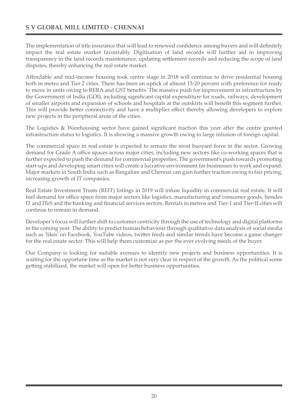The implementation of title insurance that will lead to renewed confidence among buyers and will definitely impact the real estate market favourably. Digitisation of land records will further aid in improving transparency in the land records maintenance, updating settlement records and reducing the scope of land disputes, thereby enhancing the real estate market.

Affordable and mid-income housing took centre stage in 2018 will continue to drive residential housing both in metro and Tier 2 cities. There has been an uptick of almost 15-20 percent with preference for ready to move in units owing to RERA and GST benefits. The massive push for improvement in infrastructure by the Government of India (GOI), including significant capital expenditure for roads, railways, development of smaller airports and expansion of schools and hospitals at the outskirts will benefit this segment further. This will provide better connectivity and have a multiplier effect thereby allowing developers to explore new projects in the peripheral areas of the cities.

The Logistics & Warehousing sector have gained significant traction this year after the centre granted infrastructure status to logistics. It is showing a massive growth owing to large infusion of foreign capital.

The commercial space in real estate is expected to remain the most buoyant force in the sector. Growing demand for Grade A office spaces across major cities, including new sectors like co-working spaces that is further expected to push the demand for commercial properties. The government's push towards promoting start-ups and developing smart cities will create a lucrative environment for businesses to work and expand. Major markets in South India such as Bangalore and Chennai can gain further traction owing to fair pricing, increasing growth of IT companies.

Real Estate Investment Trusts (REIT) listings in 2019 will infuse liquidity in commercial real estate. It will fuel demand for office space from major sectors like logistics, manufacturing and consumer goods, besides IT and ITeS and the banking and financial services sectors. Rentals in metros and Tier-1 and Tier-II cities will continue to remain in demand.

Developer's focus will further shift to customer centricity through the use of technology and digital platforms in the coming year. The ability to predict human behaviour through qualitative data analysis of social media such as 'likes' on Facebook, YouTube videos, twitter feeds and similar trends have become a game changer for the real estate sector. This will help them customize as per the ever evolving needs of the buyer.

Our Company is looking for suitable avenues to identify new projects and business opportunities. It is waiting for the opportune time as the market is not very clear in respect of the growth. As the political scene getting stabilized, the market will open for better business opportunities.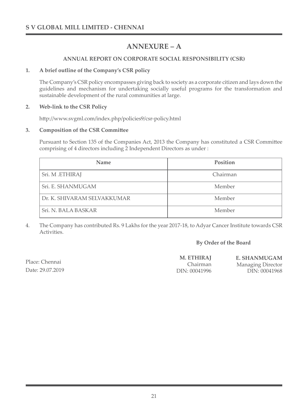### **ANNEXURE – A**

#### **ANNUAL REPORT ON CORPORATE SOCIAL RESPONSIBILITY (CSR)**

#### **1. A brief outline of the Company's CSR policy**

The Company's CSR policy encompasses giving back to society as a corporate citizen and lays down the guidelines and mechanism for undertaking socially useful programs for the transformation and sustainable development of the rural communities at large.

#### **2. Web-link to the CSR Policy**

http://www.svgml.com/index.php/policies9/csr-policy.html

#### **3. Composition of the CSR Committee**

Pursuant to Section 135 of the Companies Act, 2013 the Company has constituted a CSR Committee comprising of 4 directors including 2 Independent Directors as under :

| Name                        | Position |
|-----------------------------|----------|
| Sri. M.ETHIRAJ              | Chairman |
| Sri. E. SHANMUGAM           | Member   |
| Dr. K. SHIVARAM SELVAKKUMAR | Member   |
| Sri, N. BALA BASKAR         | Member   |

4. The Company has contributed Rs. 9 Lakhs for the year 2017-18, to Adyar Cancer Institute towards CSR Activities.

#### **By Order of the Board**

Place: Chennai Date: 29.07.2019

**M. ETHIRAJ** Chairman DIN: 00041996 **E. SHANMUGAM** Managing Director DIN: 00041968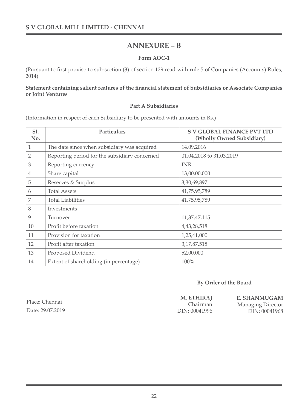## **ANNEXURE – B**

#### **Form AOC-1**

(Pursuant to first proviso to sub-section (3) of section 129 read with rule 5 of Companies (Accounts) Rules, 2014)

#### **Statement containing salient features of the financial statement of Subsidiaries or Associate Companies or Joint Ventures**

#### **Part A Subsidiaries**

(Information in respect of each Subsidiary to be presented with amounts in Rs.)

| S1.<br>No. | <b>Particulars</b>                            | <b>S V GLOBAL FINANCE PVT LTD</b><br>(Wholly Owned Subsidiary) |
|------------|-----------------------------------------------|----------------------------------------------------------------|
| 1          | The date since when subsidiary was acquired   | 14.09.2016                                                     |
| 2          | Reporting period for the subsidiary concerned | 01.04.2018 to 31.03.2019                                       |
| 3          | Reporting currency                            | <b>INR</b>                                                     |
| 4          | Share capital                                 | 13,00,00,000                                                   |
| 5          | Reserves & Surplus                            | 3,30,69,897                                                    |
| 6          | <b>Total Assets</b>                           | 41,75,95,789                                                   |
| 7          | <b>Total Liabilities</b>                      | 41,75,95,789                                                   |
| 8          | Investments                                   |                                                                |
| 9          | Turnover                                      | 11,37,47,115                                                   |
| 10         | Profit before taxation                        | 4,43,28,518                                                    |
| 11         | Provision for taxation                        | 1,25,41,000                                                    |
| 12         | Profit after taxation                         | 3, 17, 87, 518                                                 |
| 13         | Proposed Dividend                             | 52,00,000                                                      |
| 14         | Extent of shareholding (in percentage)        | 100%                                                           |

#### **By Order of the Board**

|                  | M. ETHIRAJ    | E. SHANMUGAM      |
|------------------|---------------|-------------------|
| Place: Chennai   | Chairman      | Managing Director |
| Date: 29.07.2019 | DIN: 00041996 | DIN: 00041968     |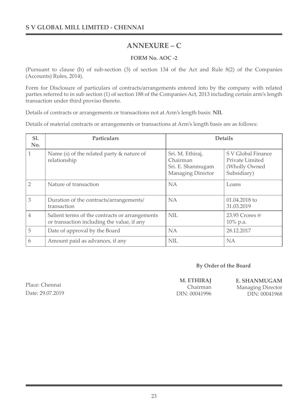## **ANNEXURE – C**

#### **FORM No. AOC -2**

(Pursuant to clause (h) of sub-section (3) of section 134 of the Act and Rule 8(2) of the Companies (Accounts) Rules, 2014).

Form for Disclosure of particulars of contracts/arrangements entered into by the company with related parties referred to in sub section (1) of section 188 of the Companies Act, 2013 including certain arm's length transaction under third proviso thereto.

Details of contracts or arrangements or transactions not at Arm's length basis: **NIL**

Details of material contracts or arrangements or transactions at Arm's length basis are as follows:

| S1.<br>No.     | Particulars                                                                                  | <b>Details</b>                                                         |                                                                        |
|----------------|----------------------------------------------------------------------------------------------|------------------------------------------------------------------------|------------------------------------------------------------------------|
| 1              | Name (s) of the related party $\&$ nature of<br>relationship                                 | Sri. M. Ethiraj,<br>Chairman<br>Sri. E. Shanmugam<br>Managing Director | S V Global Finance<br>Private Limited<br>(Wholly Owned)<br>Subsidiary) |
| $\mathfrak{D}$ | Nature of transaction                                                                        | <b>NA</b>                                                              | Loans                                                                  |
| 3              | Duration of the contracts/arrangements/<br>transaction                                       | <b>NA</b>                                                              | $01.04.2018$ to<br>31.03.2019                                          |
| 4              | Salient terms of the contracts or arrangements<br>or transaction including the value, if any | NIL                                                                    | 23.95 Crores $@$<br>$10\%$ p.a.                                        |
| 5              | Date of approval by the Board                                                                | NA                                                                     | 28.12.2017                                                             |
| 6              | Amount paid as advances, if any                                                              | NIL.                                                                   | <b>NA</b>                                                              |

#### **By Order of the Board**

Place: Chennai Date: 29.07.2019

**M. ETHIRAJ** Chairman DIN: 00041996

**E. SHANMUGAM** Managing Director DIN: 00041968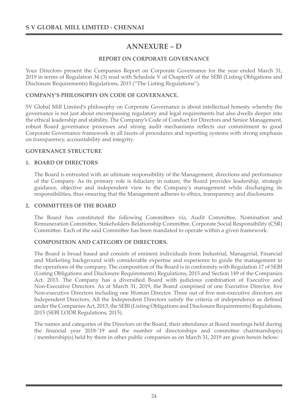## **ANNEXURE – D**

#### **REPORT ON CORPORATE GOVERNANCE**

Your Directors present the Companies Report on Corporate Governance for the year ended March 31, 2019 in terms of Regulation 34 (3) read with Schedule V of ChapterIV of the SEBI (Listing Obligations and Disclosure Requirements) Regulations, 2015 ("The Listing Regulations").

#### **COMPANY'S PHILOSOPHY ON CODE OF GOVERNANCE.**

SV Global Mill Limited's philosophy on Corporate Governance is about intellectual honesty whereby the governance is not just about encompassing regulatory and legal requirements but also dwells deeper into the ethical leadership and stability. The Company's Code of Conduct for Directors and Senior Management, robust Board governance processes and strong audit mechanisms reflects our commitment to good Corporate Governance framework in all facets of procedures and reporting systems with strong emphasis on transparency, accountability and integrity.

#### **GOVERNANCE STRUCTURE**

#### **1. BOARD OF DIRECTORS**

The Board is entrusted with an ultimate responsibility of the Management, directions and performance of the Company. As its primary role is fiduciary in nature, the Board provides leadership, strategic guidance, objective and independent view to the Company's management while discharging its responsibilities, thus ensuring that the Management adheres to ethics, transparency and disclosures.

#### **2. COMMITTEES OF THE BOARD**

The Board has constituted the following Committees viz, Audit Committee, Nomination and Remuneration Committee, Stakeholders Relationship Committee, Corporate Social Responsibility (CSR) Committee. Each of the said Committee has been mandated to operate within a given framework.

#### **COMPOSITION AND CATEGORY OF DIRECTORS.**

The Board is broad based and consists of eminent individuals from Industrial, Managerial, Financial and Marketing background with considerable expertise and experience to guide the management in the operations of the company. The composition of the Board is in conformity with Regulation 17 of SEBI (Listing Obligations and Disclosure Requirements) Regulations, 2015 and Section 149 of the Companies Act, 2013. The Company has a diversified Board with judicious combination of Executive and Non-Executive Directors. As at March 31, 2019, the Board comprised of one Executive Director, five Non-executive Directors including one Woman Director. Three out of five non-executive directors are Independent Directors. All the Independent Directors satisfy the criteria of independence as defined under the Companies Act, 2013, the SEBI (Listing Obligations and Disclosure Requirements) Regulations, 2015 (SEBI LODR Regulations, 2015).

The names and categories of the Directors on the Board, their attendance at Board meetings held during the financial year 2018-'19 and the number of directorships and committee chairmanship(s) / membership(s) held by them in other public companies as on March 31, 2019 are given herein below: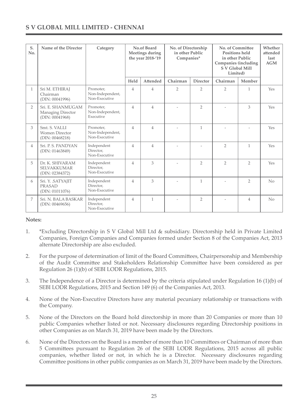| S.<br>No.      | Name of the Director                                      | Category                                       | No.of Board<br>Meetings during<br>the year 2018-'19 |                | No. of Directorship<br>in other Public<br>Companies* |                | No. of Committee<br>Positions held<br>in other Public<br>Companies (including<br>S V Global Mill<br>Limited) |                | Whether<br>attended<br>last<br>AGM |
|----------------|-----------------------------------------------------------|------------------------------------------------|-----------------------------------------------------|----------------|------------------------------------------------------|----------------|--------------------------------------------------------------------------------------------------------------|----------------|------------------------------------|
|                |                                                           |                                                | Held                                                | Attended       | Chairman                                             | Director       | Chairman                                                                                                     | Member         |                                    |
| $\mathbf{1}$   | Sri M. ETHIRAJ<br>Chairman<br>(DIN: 00041996)             | Promoter.<br>Non-Independent,<br>Non-Executive | $\overline{4}$                                      | $\overline{4}$ | $\mathcal{P}$                                        | $\mathcal{P}$  | $\overline{2}$                                                                                               | 1              | Yes                                |
| $\overline{2}$ | Sri. E. SHANMUGAM<br>Managing Director<br>(DIN: 00041968) | Promoter.<br>Non-Independent,<br>Executive     | $\overline{4}$                                      | $\overline{4}$ |                                                      | $\overline{2}$ |                                                                                                              | 3              | Yes                                |
| 3              | Smt. S. VALLI<br><b>Women Director</b><br>(DIN: 00468218) | Promoter,<br>Non-Independent,<br>Non-Executive | $\overline{4}$                                      | $\overline{4}$ |                                                      | $\mathbf{1}$   |                                                                                                              |                | Yes                                |
| $\overline{4}$ | Sri, P. S. PANDYAN<br>(DIN: 01463849)                     | Independent<br>Director,<br>Non-Executive      | $\overline{4}$                                      | $\overline{4}$ |                                                      |                | $\overline{2}$                                                                                               | $\mathbf{1}$   | Yes                                |
| 5              | Dr. K. SHIVARAM<br><b>SELVAKKUMAR</b><br>(DIN: 02384372)  | Independent<br>Director.<br>Non-Executive      | $\overline{4}$                                      | 3              |                                                      | $\overline{2}$ | $\overline{2}$                                                                                               | $\overline{2}$ | <b>Yes</b>                         |
| 6              | Sri. Y. . SATYAJIT<br>PRASAD<br>(DIN: 01011076)           | Independent<br>Director.<br>Non-Executive      | $\overline{4}$                                      | 3              |                                                      | $\mathbf{1}$   |                                                                                                              | $\overline{2}$ | No                                 |
| $\overline{7}$ | Sri, N. BALA BASKAR<br>(DIN: 00469656)                    | Independent<br>Director,<br>Non-Executive      | $\overline{4}$                                      | $\mathbf{1}$   |                                                      | $\overline{2}$ |                                                                                                              | $\overline{4}$ | No                                 |

#### **Notes:**

- 1. \*Excluding Directorship in S V Global Mill Ltd & subsidiary. Directorship held in Private Limited Companies, Foreign Companies and Companies formed under Section 8 of the Companies Act, 2013 alternate Directorship are also excluded.
- 2. For the purpose of determination of limit of the Board Committees, Chairpersonship and Membership of the Audit Committee and Stakeholders Relationship Committee have been considered as per Regulation 26 (1)(b) of SEBI LODR Regulations, 2015.
- 3. The Independence of a Director is determined by the criteria stipulated under Regulation 16 (1)(b) of SEBI LODR Regulations, 2015 and Section 149 (6) of the Companies Act, 2013.
- 4. None of the Non-Executive Directors have any material pecuniary relationship or transactions with the Company.
- 5. None of the Directors on the Board hold directorship in more than 20 Companies or more than 10 public Companies whether listed or not. Necessary disclosures regarding Directorship positions in other Companies as on March 31, 2019 have been made by the Directors.
- 6. None of the Directors on the Board is a member of more than 10 Committees or Chairman of more than 5 Committees pursuant to Regulation 26 of the SEBI LODR Regulations, 2015 across all public companies, whether listed or not, in which he is a Director. Necessary disclosures regarding Committee positions in other public companies as on March 31, 2019 have been made by the Directors.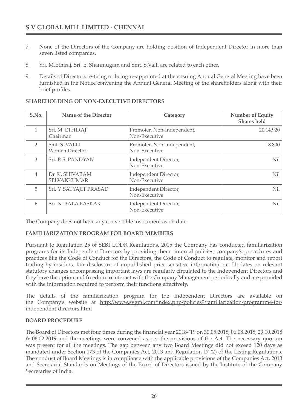- 7. None of the Directors of the Company are holding position of Independent Director in more than seven listed companies.
- 8. Sri. M.Ethiraj, Sri. E. Shanmugam and Smt. S.Valli are related to each other.
- 9. Details of Directors re-tiring or being re-appointed at the ensuing Annual General Meeting have been furnished in the Notice convening the Annual General Meeting of the shareholders along with their brief profiles.

| S.No.          | Name of the Director                   | Category                                    | Number of Equity<br>Shares held |
|----------------|----------------------------------------|---------------------------------------------|---------------------------------|
|                | Sri, M. ETHIRAJ<br>Chairman            | Promoter, Non-Independent,<br>Non-Executive | 20,14,920                       |
| $\mathcal{P}$  | Smt. S. VALLI<br><b>Women Director</b> | Promoter, Non-Independent,<br>Non-Executive | 18,800                          |
| 3              | Sri. P. S. PANDYAN                     | Independent Director,<br>Non-Executive      | Nil                             |
| $\overline{4}$ | Dr. K. SHIVARAM<br><b>SELVAKKUMAR</b>  | Independent Director,<br>Non-Executive      | Nil                             |
| 5              | Sri. Y. SATYAJIT PRASAD                | Independent Director,<br>Non-Executive      | Nil                             |
| 6              | Sri. N. BALA BASKAR                    | Independent Director,<br>Non-Executive      | Nil                             |

#### **SHAREHOLDING OF NON-EXECUTIVE DIRECTORS**

The Company does not have any convertible instrument as on date.

#### **FAMILIARIZATION PROGRAM FOR BOARD MEMBERS**

Pursuant to Regulation 25 of SEBI LODR Regulations, 2015 the Company has conducted familiarization programs for its Independent Directors by providing them internal policies, company's procedures and practices like the Code of Conduct for the Directors, the Code of Conduct to regulate, monitor and report trading by insiders, fair disclosure of unpublished price sensitive information etc. Updates on relevant statutory changes encompassing important laws are regularly circulated to the Independent Directors and they have the option and freedom to interact with the Company Management periodically and are provided with the information required to perform their functions effectively.

The details of the familiarization program for the Independent Directors are available on the Company's website at http://www.svgml.com/index.php/policies9/familiarization-programme-forindependent-directors.html

#### **BOARD PROCEDURE**

The Board of Directors met four times during the financial year 2018-'19 on 30.05.2018, 06.08.2018, 29.10.2018 & 06.02.2019 and the meetings were convened as per the provisions of the Act. The necessary quorum was present for all the meetings. The gap between any two Board Meetings did not exceed 120 days as mandated under Section 173 of the Companies Act, 2013 and Regulation 17 (2) of the Listing Regulations. The conduct of Board Meetings is in compliance with the applicable provisions of the Companies Act, 2013 and Secretarial Standards on Meetings of the Board of Directors issued by the Institute of the Company Secretaries of India.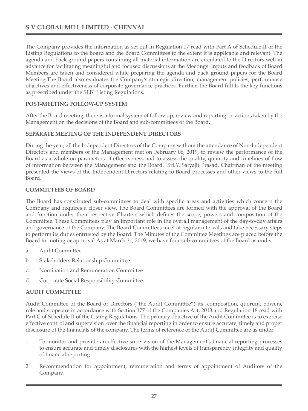The Company provides the information as set out in Regulation 17 read with Part A of Schedule II of the Listing Regulations to the Board and the Board Committees to the extent it is applicable and relevant. The agenda and back ground papers containing all material information are circulated to the Directors well in advance for facilitating meaningful and focused discussions at the Meetings. Inputs and feedback of Board Members are taken and considered while preparing the agenda and back ground papers for the Board Meeting.The Board also evaluates the Company's strategic direction, management policies, performance objectives and effectiveness of corporate governance practices. Further, the Board fulfils the key functions as prescribed under the SEBI Listing Regulations.

#### **POST-MEETING FOLLOW-UP SYSTEM**

After the Board meeting, there is a formal system of follow up, review and reporting on actions taken by the Management on the decisions of the Board and sub-committees of the Board.

#### **SEPARATE MEETING OF THE INDEPENDENT DIRECTORS**

During the year, all the Independent Directors of the Company without the attendance of Non-Independent Directors and members of the Management met on February 06, 2019, to review the performance of the Board as a whole on parameters of effectiveness and to assess the quality, quantity and timelines of flow of information between the Management and the Board. Sri.Y. Satyajit Prasad, Chairman of the meeting presented the views of the Independent Directors relating to Board processes and other views to the full Board.

#### **COMMITTEES OF BOARD**

The Board has constituted sub-committees to deal with specific areas and activities which concern the Company and requires a closer view. The Board Committees are formed with the approval of the Board and function under their respective Charters which defines the scope, powers and composition of the Committee. These Committees play an important role in the overall management of the day-to-day affairs and governance of the Company. The Board Committees meet at regular intervals and take necessary steps to perform its duties entrusted by the Board. The Minutes of the Committee Meetings are placed before the Board for noting or approval.As at March 31, 2019, we have four sub-committees of the Board as under:

- a. Audit Committee
- b. Stakeholders Relationship Committee
- c. Nomination and Remuneration Committee
- d. Corporate Social Responsibility Committee.

#### **AUDIT COMMITTEE**

Audit Committee of the Board of Directors ("the Audit Committee") its composition, quorum, powers, role and scope are in accordance with Section 177 of the Companies Act, 2013 and Regulation 18 read with Part C of Schedule II of the Listing Regulations. The primary objective of the Audit Committee is to exercise effective control and supervision over the financial reporting in order to ensure accurate, timely and proper disclosure of the financials of the company. The terms of reference of the Audit Committee are as under:

- 1. To monitor and provide an effective supervision of the Management's financial reporting processes to ensure accurate and timely disclosures with the highest levels of transparency, integrity and quality of financial reporting.
- 2. Recommendation for appointment, remuneration and terms of appointment of Auditors of the Company.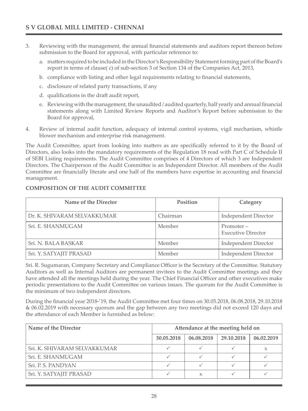- 3. Reviewing with the management, the annual financial statements and auditors report thereon before submission to the Board for approval, with particular reference to:
	- a. matters required to be included in the Director's Responsibility Statement forming part of the Board's report in terms of clause( c) of sub-section 3 of Section 134 of the Companies Act, 2013,
	- b. compliance with listing and other legal requirements relating to financial statements,
	- c. disclosure of related party transactions, if any
	- d. qualifications in the draft audit report,
	- e. Reviewing with the management, the unaudited / audited quarterly, half yearly and annual financial statements along with Limited Review Reports and Auditor's Report before submission to the Board for approval,
- 4. Review of internal audit function, adequacy of internal control systems, vigil mechanism, whistle blower mechanism and enterprise risk management.

The Audit Committee, apart from looking into matters as are specifically referred to it by the Board of Directors, also looks into the mandatory requirements of the Regulation 18 read with Part C of Schedule II of SEBI Listing requirements. The Audit Committee comprises of 4 Directors of which 3 are Independent Directors. The Chairperson of the Audit Committee is an Independent Director. All members of the Audit Committee are financially literate and one half of the members have expertise in accounting and financial management.

#### **COMPOSITION OF THE AUDIT COMMITTEE**

| Name of the Director        | Position | Category                               |
|-----------------------------|----------|----------------------------------------|
| Dr. K. SHIVARAM SELVAKKUMAR | Chairman | Independent Director                   |
| Sri. E. SHANMUGAM           | Member   | Promoter-<br><b>Executive Director</b> |
| Sri. N. BALA BASKAR         | Member   | <b>Independent Director</b>            |
| Sri. Y. SATYAJIT PRASAD     | Member   | <b>Independent Director</b>            |

Sri. R. Sugumaran, Company Secretary and Compliance Officer is the Secretary of the Committee. Statutory Auditors as well as Internal Auditors are permanent invitees to the Audit Committee meetings and they have attended all the meetings held during the year. The Chief Financial Officer and other executives make periodic presentations to the Audit Committee on various issues. The quorum for the Audit Committee is the minimum of two independent directors.

During the financial year 2018-'19, the Audit Committee met four times on 30.05.2018, 06.08.2018, 29.10.2018 & 06.02.2019 with necessary quorum and the gap between any two meetings did not exceed 120 days and the attendance of each Member is furnished as below:

| Name of the Director         | Attendance at the meeting held on |            |            |            |
|------------------------------|-----------------------------------|------------|------------|------------|
|                              | 30.05.2018                        | 06.08.2018 | 29.10.2018 | 06.02.2019 |
| Sri. K. SHIVARAM SELVAKKUMAR |                                   |            |            |            |
| Sri. E. SHANMUGAM            |                                   |            |            |            |
| Sri. P. S. PANDYAN           |                                   |            |            |            |
| Sri. Y. SATYAJIT PRASAD      |                                   |            |            |            |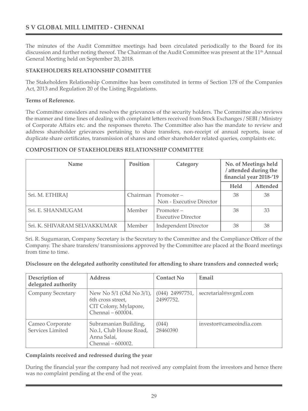The minutes of the Audit Committee meetings had been circulated periodically to the Board for its discussion and further noting thereof. The Chairman of the Audit Committee was present at the 11<sup>th</sup> Annual General Meeting held on September 20, 2018.

#### **STAKEHOLDERS RELATIONSHIP COMMITTEE**

The Stakeholders Relationship Committee has been constituted in terms of Section 178 of the Companies Act, 2013 and Regulation 20 of the Listing Regulations.

#### **Terms of Reference.**

The Committee considers and resolves the grievances of the security holders. The Committee also reviews the manner and time lines of dealing with complaint letters received from Stock Exchanges / SEBI / Ministry of Corporate Affairs etc. and the responses thereto. The Committee also has the mandate to review and address shareholder grievances pertaining to share transfers, non-receipt of annual reports, issue of duplicate share certificates, transmission of shares and other shareholder related queries, complaints etc.

#### **COMPOSITION OF STAKEHOLDERS RELATIONSHIP COMMITTEE**

| Name                         | Position | Category                               | No. of Meetings held<br>/ attended during the<br>financial year 2018-'19 |          |
|------------------------------|----------|----------------------------------------|--------------------------------------------------------------------------|----------|
|                              |          |                                        | Held                                                                     | Attended |
| Sri. M. ETHIRAJ              | Chairman | Promoter-<br>Non - Executive Director  | 38                                                                       | 38       |
| Sri. E. SHANMUGAM            | Member   | Promoter-<br><b>Executive Director</b> | 38                                                                       | 33       |
| Sri. K. SHIVARAM SELVAKKUMAR | Member   | <b>Independent Director</b>            | 38                                                                       | 38       |

Sri. R. Sugumaran, Company Secretary is the Secretary to the Committee and the Compliance Officer of the Company. The share transfers/ transmissions approved by the Committee are placed at the Board meetings from time to time.

#### **Disclosure on the delegated authority constituted for attending to share transfers and connected work;**

| Description of<br>delegated authority | <b>Address</b>                                                                                   | Contact No                     | Email                   |
|---------------------------------------|--------------------------------------------------------------------------------------------------|--------------------------------|-------------------------|
| Company Secretary                     | New No $5/1$ (Old No $3/1$ ),<br>6th cross street,<br>CIT Colony, Mylapore,<br>Chennai - 600004. | $(044)$ 24997751,<br>24997752. | secretarial@svgml.com   |
| Cameo Corporate<br>Services Limited   | Subramanian Building,<br>No.1, Club House Road,<br>Anna Salai,<br>Chennai - 600002.              | (044)<br>28460390              | investor@cameoindia.com |

#### **Complaints received and redressed during the year**

During the financial year the company had not received any complaint from the investors and hence there was no complaint pending at the end of the year.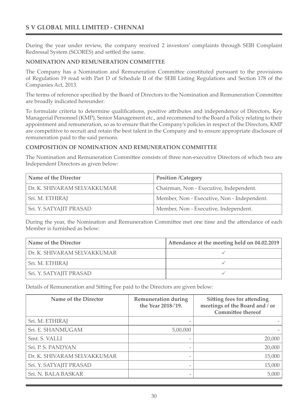During the year under review, the company received 2 investors' complaints through SEBI Complaint Redressal System (SCORES) and settled the same.

#### **NOMINATION AND REMUNERATION COMMITTEE**

The Company has a Nomination and Remuneration Committee constituted pursuant to the provisions of Regulation 19 read with Part D of Schedule II of the SEBI Listing Regulations and Section 178 of the Companies Act, 2013.

The terms of reference specified by the Board of Directors to the Nomination and Remuneration Committee are broadly indicated hereunder:

To formulate criteria to determine qualifications, positive attributes and independence of Directors, Key Managerial Personnel (KMP), Senior Management etc., and recommend to the Board a Policy relating to their appointment and remuneration, so as to ensure that the Company's policies in respect of the Directors, KMP are competitive to recruit and retain the best talent in the Company and to ensure appropriate disclosure of remuneration paid to the said persons.

#### **COMPOSITION OF NOMINATION AND REMUNERATION COMMITTEE**

The Nomination and Remuneration Committee consists of three non-executive Directors of which two are Independent Directors as given below:

| Name of the Director        | <b>Position</b> / Category                  |
|-----------------------------|---------------------------------------------|
| Dr. K. SHIVARAM SELVAKKUMAR | Chairman, Non - Executive, Independent.     |
| Sri. M. ETHIRAJ             | Member, Non - Executive, Non - Independent. |
| Sri. Y. SATYAJIT PRASAD     | Member, Non - Executive, Independent.       |

During the year, the Nomination and Remuneration Committee met one time and the attendance of each Member is furnished as below:

| Name of the Director         | Attendance at the meeting held on 04.02.2019 |
|------------------------------|----------------------------------------------|
| Dr. K. SHIVARAM SELVAKKUMAR_ |                                              |
| Sri. M. ETHIRAJ              |                                              |
| Sri. Y. SATYAJIT PRASAD      |                                              |

Details of Remuneration and Sitting Fee paid to the Directors are given below:

| Name of the Director        | <b>Remuneration during</b><br>the Year 2018-'19. | Sitting fees for attending<br>meetings of the Board and / or<br><b>Committee thereof</b> |
|-----------------------------|--------------------------------------------------|------------------------------------------------------------------------------------------|
| Sri. M. ETHIRAJ             |                                                  |                                                                                          |
| Sri. E. SHANMUGAM           | 5,00,000                                         |                                                                                          |
| Smt. S. VALLI               |                                                  | 20,000                                                                                   |
| Sri. P. S. PANDYAN          |                                                  | 20,000                                                                                   |
| Dr. K. SHIVARAM SELVAKKUMAR |                                                  | 15,000                                                                                   |
| Sri. Y. SATYAJIT PRASAD     |                                                  | 15,000                                                                                   |
| Sri. N. BALA BASKAR         |                                                  | 5,000                                                                                    |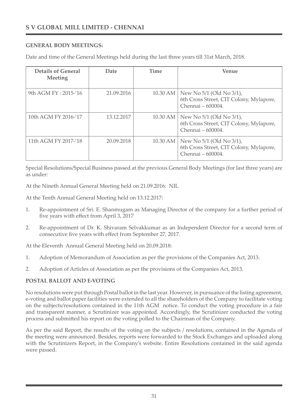#### **GENERAL BODY MEETINGS:**

Date and time of the General Meetings held during the last three years till 31st March, 2018.

| <b>Details of General</b><br>Meeting | Date       | <b>Time</b> | <b>Venue</b>                                                                                  |
|--------------------------------------|------------|-------------|-----------------------------------------------------------------------------------------------|
| 9th AGM FY: 2015-'16                 | 21.09.2016 | 10.30 AM    | New No $5/1$ (Old No $3/1$ ),<br>6th Cross Street, CIT Colony, Mylapore,<br>Chennai - 600004. |
| 10th AGM FY 2016-'17                 | 13.12.2017 | 10.30 AM    | New No 5/1 (Old No 3/1),<br>6th Cross Street, CIT Colony, Mylapore,<br>Chennai - 600004.      |
| 11th AGM FY 2017-'18                 | 20.09.2018 | 10.30 AM    | New No $5/1$ (Old No $3/1$ ),<br>6th Cross Street, CIT Colony, Mylapore,<br>Chennai - 600004. |

Special Resolutions/Special Business passed at the previous General Body Meetings (for last three years) are as under:

At the Nineth Annual General Meeting held on 21.09.2016: NIL

At the Tenth Annual General Meeting held on 13.12.2017:

- 1. Re-appointment of Sri. E. Shanmugam as Managing Director of the company for a further period of five years with effect from April 3, 2017
- 2. Re-appointment of Dr. K. Shivaram Selvakkumar as an Independent Director for a second term of consecutive five years with effect from September 27, 2017.

At the Eleventh Annual General Meeting held on 20.09.2018:

- 1. Adoption of Memorandum of Association as per the provisions of the Companies Act, 2013.
- 2. Adoption of Articles of Association as per the provisions of the Companies Act, 2013.

#### **POSTAL BALLOT AND E-VOTING**

No resolutions were put through Postal ballot in the last year. However, in pursuance of the listing agreement, e-voting and ballot paper facilities were extended to all the shareholders of the Company to facilitate voting on the subjects/resolutions contained in the 11th AGM notice. To conduct the voting procedure in a fair and transparent manner, a Scrutinizer was appointed. Accordingly, the Scrutinizer conducted the voting process and submitted his report on the voting polled to the Chairman of the Company.

As per the said Report, the results of the voting on the subjects / resolutions, contained in the Agenda of the meeting were announced. Besides, reports were forwarded to the Stock Exchanges and uploaded along with the Scrutinizers Report, in the Company's website. Entire Resolutions contained in the said agenda were passed.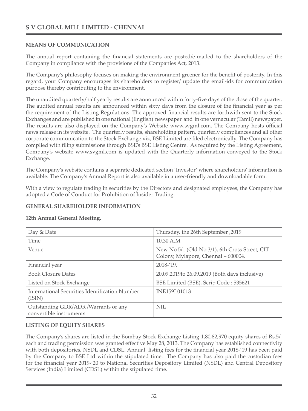#### **MEANS OF COMMUNICATION**

The annual report containing the financial statements are posted/e-mailed to the shareholders of the Company in compliance with the provisions of the Companies Act, 2013.

The Company's philosophy focuses on making the environment greener for the benefit of posterity. In this regard, your Company encourages its shareholders to register/ update the email-ids for communication purpose thereby contributing to the environment.

The unaudited quarterly/half yearly results are announced within forty-five days of the close of the quarter. The audited annual results are announced within sixty days from the closure of the financial year as per the requirement of the Listing Regulations. The approved financial results are forthwith sent to the Stock Exchanges and are published in one national (English) newspaper and in one vernacular (Tamil) newspaper. The results are also displayed on the Company's Website www.svgml.com. The Company hosts official news release in its website. The quarterly results, shareholding pattern, quarterly compliances and all other corporate communication to the Stock Exchange viz, BSE Limited are filed electronically. The Company has complied with filing submissions through BSE's BSE Listing Centre. As required by the Listing Agreement, Company's website www.svgml.com is updated with the Quarterly information conveyed to the Stock Exchange.

The Company's website contains a separate dedicated section 'Investor' where shareholders' information is available. The Company's Annual Report is also available in a user-friendly and downloadable form.

With a view to regulate trading in securities by the Directors and designated employees, the Company has adopted a Code of Conduct for Prohibition of Insider Trading.

#### **GENERAL SHAREHOLDER INFORMATION**

| Day & Date                                                      | Thursday, the 26th September, 2019                                                    |
|-----------------------------------------------------------------|---------------------------------------------------------------------------------------|
| Time                                                            | 10.30 A.M                                                                             |
| Venue                                                           | New No 5/1 (Old No 3/1), 6th Cross Street, CIT<br>Colony, Mylapore, Chennai - 600004. |
| Financial year                                                  | $2018 - 19$ .                                                                         |
| <b>Book Closure Dates</b>                                       | 20.09.2019 to 26.09.2019 (Both days inclusive)                                        |
| Listed on Stock Exchange                                        | BSE Limited (BSE), Scrip Code: 535621                                                 |
| International Securities Identification Number<br>(ISIN)        | <b>INE159L01013</b>                                                                   |
| Outstanding GDR/ADR /Warrants or any<br>convertible instruments | NIL                                                                                   |

#### **12th Annual General Meeting.**

#### **LISTING OF EQUITY SHARES**

The Company's shares are listed in the Bombay Stock Exchange Listing 1,80,82,970 equity shares of Rs.5/ each and trading permission was granted effective May 28, 2013. The Company has established connectivity with both depositories, NSDL and CDSL. Annual listing fees for the financial year 2018-'19 has been paid by the Company to BSE Ltd within the stipulated time. The Company has also paid the custodian fees for the financial year 2019-'20 to National Securities Depository Limited (NSDL) and Central Depository Services (India) Limited (CDSL) within the stipulated time.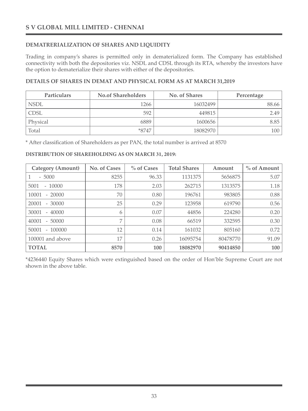#### **DEMATRERIALIZATION OF SHARES AND LIQUIDITY**

Trading in company's shares is permitted only in dematerialized form. The Company has established connectivity with both the depositories viz. NSDL and CDSL through its RTA, whereby the investors have the option to dematerialize their shares with either of the depositories.

#### **DETAILS OF SHARES IN DEMAT AND PHYSICAL FORM AS AT MARCH 31,2019**

| <b>Particulars</b> | <b>No.of Shareholders</b> | No. of Shares | Percentage |
|--------------------|---------------------------|---------------|------------|
| <b>NSDL</b>        | 1266                      | 16032499      | 88.66      |
| <b>CDSL</b>        | 592                       | 449815        | 2.49       |
| Physical           | 6889                      | 1600656       | 8.85       |
| Total              | *8747                     | 18082970      | 100        |

\* After classification of Shareholders as per PAN, the total number is arrived at 8570

#### **DISTRIBUTION OF SHAREHOLDING AS ON MARCH 31, 2019:**

| Category (Amount)  | No. of Cases | $%$ of Cases | <b>Total Shares</b> | Amount   | $%$ of Amount |
|--------------------|--------------|--------------|---------------------|----------|---------------|
| $-5000$            | 8255         | 96.33        | 1131375             | 5656875  | 5.07          |
| $-10000$<br>5001   | 178          | 2.03         | 262715              | 1313575  | 1.18          |
| $-20000$<br>10001  | 70           | 0.80         | 196761              | 983805   | 0.88          |
| $-30000$<br>20001  | 25           | 0.29         | 123958              | 619790   | 0.56          |
| 30001<br>$-40000$  | 6            | 0.07         | 44856               | 224280   | 0.20          |
| $-50000$<br>40001  | 7            | 0.08         | 66519               | 332595   | 0.30          |
| $-100000$<br>50001 | 12           | 0.14         | 161032              | 805160   | 0.72          |
| $100001$ and above | 17           | 0.26         | 16095754            | 80478770 | 91.09         |
| <b>TOTAL</b>       | 8570         | 100          | 18082970            | 90414850 | 100           |

\*4236440 Equity Shares which were extinguished based on the order of Hon'ble Supreme Court are not shown in the above table.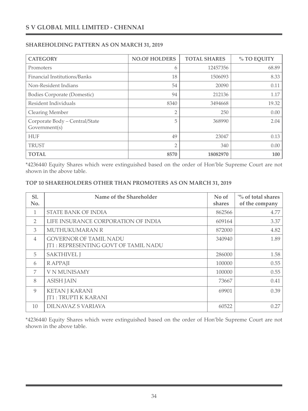#### **SHAREHOLDING PATTERN AS ON MARCH 31, 2019**

| <b>CATEGORY</b>                                 | <b>NO.OF HOLDERS</b> | <b>TOTAL SHARES</b> | % TO EQUITY |
|-------------------------------------------------|----------------------|---------------------|-------------|
| Promoters                                       | 6                    | 12457356            | 68.89       |
| Financial Institutions/Banks                    | 18                   | 1506093             | 8.33        |
| Non-Resident Indians                            | 54                   | 20090               | 0.11        |
| Bodies Corporate (Domestic)                     | 94                   | 212136              | 1.17        |
| Resident Individuals                            | 8340                 | 3494668             | 19.32       |
| <b>Clearing Member</b>                          | $\overline{2}$       | 250                 | 0.00        |
| Corporate Body - Central/State<br>Government(s) | 5                    | 368990              | 2.04        |
| <b>HUF</b>                                      | 49                   | 23047               | 0.13        |
| <b>TRUST</b>                                    | $\overline{2}$       | 340                 | 0.00        |
| <b>TOTAL</b>                                    | 8570                 | 18082970            | 100         |

\*4236440 Equity Shares which were extinguished based on the order of Hon'ble Supreme Court are not shown in the above table.

| TOP 10 SHAREHOLDERS OTHER THAN PROMOTERS AS ON MARCH 31, 2019 |  |
|---------------------------------------------------------------|--|
|---------------------------------------------------------------|--|

| S1.<br>No.    | Name of the Shareholder                                                      | No of<br>shares | '% of total shares<br>of the company |
|---------------|------------------------------------------------------------------------------|-----------------|--------------------------------------|
| 1             | STATE BANK OF INDIA                                                          | 862566          | 4.77                                 |
| $\mathcal{P}$ | LIFE INSURANCE CORPORATION OF INDIA                                          | 609164          | 3.37                                 |
| 3             | <b>MUTHUKUMARAN R</b>                                                        | 872000          | 4.82                                 |
| 4             | <b>GOVERNOR OF TAMIL NADU</b><br><b>IT1: REPRESENTING GOVT OF TAMIL NADU</b> | 340940          | 1.89                                 |
| 5             | <b>SAKTHIVEL I</b>                                                           | 286000          | 1.58                                 |
| 6             | R APPAJI                                                                     | 100000          | 0.55                                 |
| 7             | <b>V N MUNISAMY</b>                                                          | 100000          | 0.55                                 |
| 8             | <b>ASISH JAIN</b>                                                            | 73667           | 0.41                                 |
| 9             | <b>KETAN J KARANI</b><br><b>JT1: TRUPTI K KARANI</b>                         | 69901           | 0.39                                 |
| 10            | DILNAVAZ S VARIAVA                                                           | 60522           | 0.27                                 |

\*4236440 Equity Shares which were extinguished based on the order of Hon'ble Supreme Court are not shown in the above table.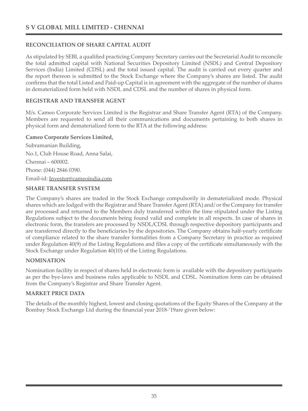#### **RECONCILIATION OF SHARE CAPITAL AUDIT**

As stipulated by SEBI, a qualified practicing Company Secretary carries out the Secretarial Audit to reconcile the total admitted capital with National Securities Depository Limited (NSDL) and Central Depository Services (India) Limited (CDSL) and the total issued capital. The audit is carried out every quarter and the report thereon is submitted to the Stock Exchange where the Company's shares are listed. The audit confirms that the total Listed and Paid-up Capital is in agreement with the aggregate of the number of shares in dematerialized form held with NSDL and CDSL and the number of shares in physical form.

#### **REGISTRAR AND TRANSFER AGENT**

M/s. Cameo Corporate Services Limited is the Registrar and Share Transfer Agent (RTA) of the Company. Members are requested to send all their communications and documents pertaining to both shares in physical form and dematerialized form to the RTA at the following address:

#### **Cameo Corporate Services Limited,**

Subramanian Building, No.1, Club House Road, Anna Salai, Chennai – 600002. Phone: (044) 2846 0390. Email-id: Investor@cameoindia.com

#### **SHARE TRANSFER SYSTEM**

The Company's shares are traded in the Stock Exchange compulsorily in dematerialized mode. Physical shares which are lodged with the Registrar and Share Transfer Agent (RTA) and/ or the Company for transfer are processed and returned to the Members duly transferred within the time stipulated under the Listing Regulations subject to the documents being found valid and complete in all respects. In case of shares in electronic form, the transfers are processed by NSDL/CDSL through respective depository participants and are transferred directly to the beneficiaries by the depositories. The Company obtains half-yearly certificate of compliance related to the share transfer formalities from a Company Secretary in practice as required under Regulation 40(9) of the Listing Regulations and files a copy of the certificate simultaneously with the Stock Exchange under Regulation 40(10) of the Listing Regulations.

#### **NOMINATION**

Nomination facility in respect of shares held in electronic form is available with the depository participants as per the bye-laws and business rules applicable to NSDL and CDSL. Nomination form can be obtained from the Company's Registrar and Share Transfer Agent.

#### **MARKET PRICE DATA**

The details of the monthly highest, lowest and closing quotations of the Equity Shares of the Company at the Bombay Stock Exchange Ltd during the financial year 2018-'19are given below: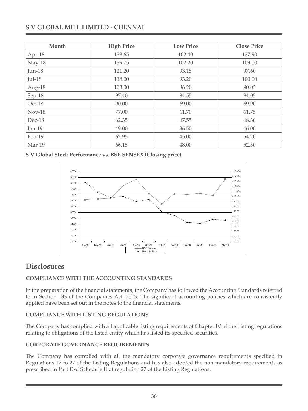| Month    | <b>High Price</b> | <b>Low Price</b> | <b>Close Price</b> |
|----------|-------------------|------------------|--------------------|
| Apr-18   | 138.65            | 102.40           | 127.90             |
| May-18   | 139.75            | 102.20           | 109.00             |
| $Jun-18$ | 121.20            | 93.15            | 97.60              |
| $Jul-18$ | 118.00            | 93.20            | 100.00             |
| Aug-18   | 103.00            | 86.20            | 90.05              |
| Sep-18   | 97.40             | 84.55            | 94.05              |
| $Oct-18$ | 90.00             | 69.00            | 69.90              |
| $Nov-18$ | 77.00             | 61.70            | 61.75              |
| Dec-18   | 62.35             | 47.55            | 48.30              |
| $Jan-19$ | 49.00             | 36.50            | 46.00              |
| Feb-19   | 62.95             | 45.00            | 54.20              |
| Mar-19   | 66.15             | 48.00            | 52.50              |

**S V Global Stock Performance vs. BSE SENSEX (Closing price)**



# **Disclosures**

### **COMPLIANCE WITH THE ACCOUNTING STANDARDS**

In the preparation of the financial statements, the Company has followed the Accounting Standards referred to in Section 133 of the Companies Act, 2013. The significant accounting policies which are consistently applied have been set out in the notes to the financial statements.

### **COMPLIANCE WITH LISTING REGULATIONS**

The Company has complied with all applicable listing requirements of Chapter IV of the Listing regulations relating to obligations of the listed entity which has listed its specified securities.

#### **CORPORATE GOVERNANCE REQUIREMENTS**

The Company has complied with all the mandatory corporate governance requirements specified in Regulations 17 to 27 of the Listing Regulations and has also adopted the non-mandatory requirements as prescribed in Part E of Schedule II of regulation 27 of the Listing Regulations.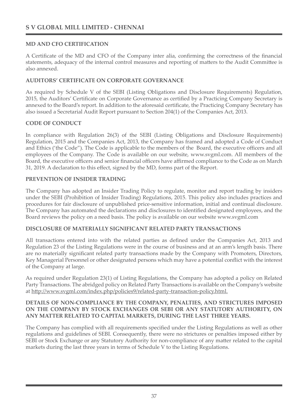### **MD AND CFO CERTIFICATION**

A Certificate of the MD and CFO of the Company inter alia, confirming the correctness of the financial statements, adequacy of the internal control measures and reporting of matters to the Audit Committee is also annexed.

### **AUDITORS' CERTIFICATE ON CORPORATE GOVERNANCE**

As required by Schedule V of the SEBI (Listing Obligations and Disclosure Requirements) Regulation, 2015, the Auditors' Certificate on Corporate Governance as certified by a Practicing Company Secretary is annexed to the Board's report. In addition to the aforesaid certificate, the Practicing Company Secretary has also issued a Secretarial Audit Report pursuant to Section 204(1) of the Companies Act, 2013.

### **CODE OF CONDUCT**

In compliance with Regulation 26(3) of the SEBI (Listing Obligations and Disclosure Requirements) Regulation, 2015 and the Companies Act, 2013, the Company has framed and adopted a Code of Conduct and Ethics ('the Code"). The Code is applicable to the members of the Board, the executive officers and all employees of the Company. The Code is available on our website, www.svgml.com. All members of the Board, the executive officers and senior financial officers have affirmed compliance to the Code as on March 31, 2019. A declaration to this effect, signed by the MD, forms part of the Report.

#### **PREVENTION OF INSIDER TRADING**

The Company has adopted an Insider Trading Policy to regulate, monitor and report trading by insiders under the SEBI (Prohibition of Insider Trading) Regulations, 2015. This policy also includes practices and procedures for fair disclosure of unpublished price-sensitive information, initial and continual disclosure. The Company has automated the declarations and disclosures to identified designated employees, and the Board reviews the policy on a need basis. The policy is available on our website www.svgml.com

#### **DISCLOSURE OF MATERIALLY SIGNIFICANT RELATED PARTY TRANSACTIONS**

All transactions entered into with the related parties as defined under the Companies Act, 2013 and Regulation 23 of the Listing Regulations were in the course of business and at an arm's length basis. There are no materially significant related party transactions made by the Company with Promoters, Directors, Key Managerial Personnel or other designated persons which may have a potential conflict with the interest of the Company at large.

As required under Regulation 23(1) of Listing Regulations, the Company has adopted a policy on Related Party Transactions. The abridged policy on Related Party Transactions is available on the Company's website at http://www.svgml.com/index.php/policies9/related-party-transaction-policy.html.

#### **DETAILS OF NON-COMPLIANCE BY THE COMPANY, PENALTIES, AND STRICTURES IMPOSED ON THE COMPANY BY STOCK EXCHANGES OR SEBI OR ANY STATUTORY AUTHORITY, ON ANY MATTER RELATED TO CAPITAL MARKETS, DURING THE LAST THREE YEARS.**

The Company has complied with all requirements specified under the Listing Regulations as well as other regulations and guidelines of SEBI. Consequently, there were no strictures or penalties imposed either by SEBI or Stock Exchange or any Statutory Authority for non-compliance of any matter related to the capital markets during the last three years in terms of Schedule V to the Listing Regulations.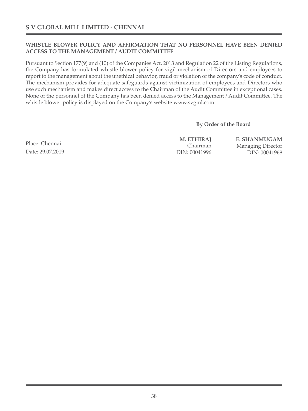#### **WHISTLE BLOWER POLICY AND AFFIRMATION THAT NO PERSONNEL HAVE BEEN DENIED ACCESS TO THE MANAGEMENT / AUDIT COMMITTEE**

Pursuant to Section 177(9) and (10) of the Companies Act, 2013 and Regulation 22 of the Listing Regulations, the Company has formulated whistle blower policy for vigil mechanism of Directors and employees to report to the management about the unethical behavior, fraud or violation of the company's code of conduct. The mechanism provides for adequate safeguards against victimization of employees and Directors who use such mechanism and makes direct access to the Chairman of the Audit Committee in exceptional cases. None of the personnel of the Company has been denied access to the Management / Audit Committee. The whistle blower policy is displayed on the Company's website www.svgml.com

**By Order of the Board**

Place: Chennai Date: 29.07.2019

**M. ETHIRAJ** Chairman DIN: 00041996 **E. SHANMUGAM** Managing Director DIN: 00041968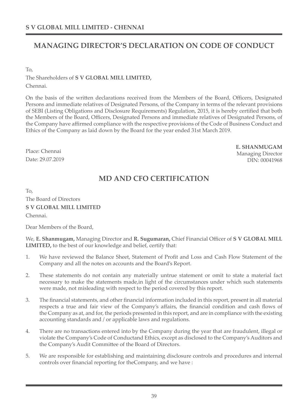# **MANAGING DIRECTOR'S DECLARATION ON CODE OF CONDUCT**

To,

The Shareholders of **S V GLOBAL MILL LIMITED,**

Chennai.

On the basis of the written declarations received from the Members of the Board, Officers, Designated Persons and immediate relatives of Designated Persons, of the Company in terms of the relevant provisions of SEBI (Listing Obligations and Disclosure Requirements) Regulation, 2015, it is hereby certified that both the Members of the Board, Officers, Designated Persons and immediate relatives of Designated Persons, of the Company have affirmed compliance with the respective provisions of the Code of Business Conduct and Ethics of the Company as laid down by the Board for the year ended 31st March 2019.

Place: Chennai Date: 29.07.2019 **E. SHANMUGAM** Managing Director DIN: 00041968

# **MD AND CFO CERTIFICATION**

To, The Board of Directors **S V GLOBAL MILL LIMITED** Chennai.

Dear Members of the Board,

We, **E. Shanmugam,** Managing Director and **R. Sugumaran,** Chief Financial Officer of **S V GLOBAL MILL LIMITED,** to the best of our knowledge and belief, certify that:

- 1. We have reviewed the Balance Sheet, Statement of Profit and Loss and Cash Flow Statement of the Company and all the notes on accounts and the Board's Report.
- 2. These statements do not contain any materially untrue statement or omit to state a material fact necessary to make the statements made,in light of the circumstances under which such statements were made, not misleading with respect to the period covered by this report.
- 3. The financial statements, and other financial information included in this report, present in all material respects a true and fair view of the Company's affairs, the financial condition and cash flows of the Company as at, and for, the periods presented in this report, and are in compliance with the existing accounting standards and / or applicable laws and regulations.
- 4. There are no transactions entered into by the Company during the year that are fraudulent, illegal or violate the Company's Code of Conductand Ethics, except as disclosed to the Company's Auditors and the Company's Audit Committee of the Board of Directors.
- 5. We are responsible for establishing and maintaining disclosure controls and procedures and internal controls over financial reporting for theCompany, and we have :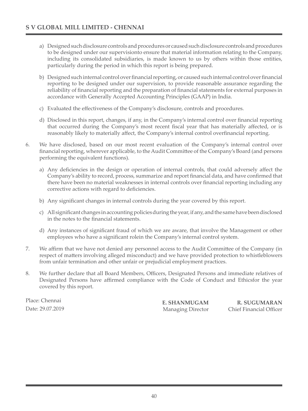- a) Designed such disclosure controls and procedures or caused such disclosure controls and procedures to be designed under our supervisionto ensure that material information relating to the Company, including its consolidated subsidiaries, is made known to us by others within those entities, particularly during the period in which this report is being prepared.
- b) Designed such internal control over financial reporting, or caused such internal control over financial reporting to be designed under our supervision, to provide reasonable assurance regarding the reliability of financial reporting and the preparation of financial statements for external purposes in accordance with Generally Accepted Accounting Principles (GAAP) in India.
- c) Evaluated the effectiveness of the Company's disclosure, controls and procedures.
- d) Disclosed in this report, changes, if any, in the Company's internal control over financial reporting that occurred during the Company's most recent fiscal year that has materially affected, or is reasonably likely to materially affect, the Company's internal control overfinancial reporting.
- 6. We have disclosed, based on our most recent evaluation of the Company's internal control over financial reporting, wherever applicable, to the Audit Committee of the Company's Board (and persons performing the equivalent functions).
	- a) Any deficiencies in the design or operation of internal controls, that could adversely affect the Company's ability to record, process, summarize and report financial data, and have confirmed that there have been no material weaknesses in internal controls over financial reporting including any corrective actions with regard to deficiencies.
	- b) Any significant changes in internal controls during the year covered by this report.
	- c) All significant changes in accounting policies during the year, if any, and the same have been disclosed in the notes to the financial statements.
	- d) Any instances of significant fraud of which we are aware, that involve the Management or other employees who have a significant rolein the Company's internal control system.
- 7. We affirm that we have not denied any personnel access to the Audit Committee of the Company (in respect of matters involving alleged misconduct) and we have provided protection to whistleblowers from unfair termination and other unfair or prejudicial employment practices.
- 8. We further declare that all Board Members, Officers, Designated Persons and immediate relatives of Designated Persons have affirmed compliance with the Code of Conduct and Ethicsfor the year covered by this report.

Place: Chennai Date: 29.07.2019

**E. SHANMUGAM** Managing Director

**R. SUGUMARAN** Chief Financial Officer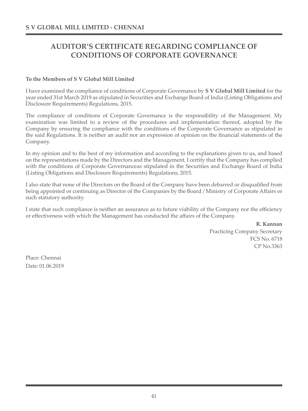# **AUDITOR'S CERTIFICATE REGARDING COMPLIANCE OF CONDITIONS OF CORPORATE GOVERNANCE**

#### **To the Members of S V Global Mill Limited**

I have examined the compliance of conditions of Corporate Governance by **S V Global Mill Limited** for the year ended 31st March 2019 as stipulated in Securities and Exchange Board of India (Listing Obligations and Disclosure Requirements) Regulations, 2015.

The compliance of conditions of Corporate Governance is the responsibility of the Management. My examination was limited to a review of the procedures and implementation thereof, adopted by the Company by ensuring the compliance with the conditions of the Corporate Governance as stipulated in the said Regulations. It is neither an audit nor an expression of opinion on the financial statements of the Company.

In my opinion and to the best of my information and according to the explanations given to us, and based on the representations made by the Directors and the Management, I certify that the Company has complied with the conditions of Corporate Governanceas stipulated in the Securities and Exchange Board of India (Listing Obligations and Disclosure Requirements) Regulations, 2015.

I also state that none of the Directors on the Board of the Company have been debarred or disqualified from being appointed or continuing as Director of the Companies by the Board / Ministry of Corporate Affairs or such statutory authority.

I state that such compliance is neither an assurance as to future viability of the Company nor the efficiency or effectiveness with which the Management has conducted the affairs of the Company.

> **R. Kannan** Practicing Company Secretary FCS No. 6718 CP No.3363

Place: Chennai Date: 01.06.2019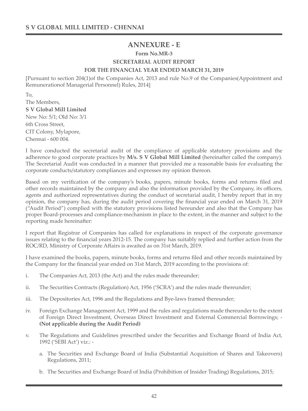## **ANNEXURE - E**

# **Form No.MR-3 SECRETARIAL AUDIT REPORT FOR THE FINANCIAL YEAR ENDED MARCH 31, 2019**

[Pursuant to section 204(1)of the Companies Act, 2013 and rule No.9 of the Companies(Appointment and Remunerationof Managerial Personnel) Rules, 2014]

To,

The Members, **S V Global Mill Limited** New No: 5/1; Old No: 3/1 6th Cross Street, CIT Colony, Mylapore, Chennai - 600 004.

I have conducted the secretarial audit of the compliance of applicable statutory provisions and the adherence to good corporate practices by **M/s. S V Global Mill Limited** (hereinafter called the company). The Secretarial Audit was conducted in a manner that provided me a reasonable basis for evaluating the corporate conducts/statutory compliances and expresses my opinion thereon.

Based on my verification of the company's books, papers, minute books, forms and returns filed and other records maintained by the company and also the information provided by the Company, its officers, agents and authorized representatives during the conduct of secretarial audit, I hereby report that in my opinion, the company has, during the audit period covering the financial year ended on March 31, 2019 ("Audit Period") complied with the statutory provisions listed hereunder and also that the Company has proper Board-processes and compliance-mechanism in place to the extent, in the manner and subject to the reporting made hereinafter:

I report that Registrar of Companies has called for explanations in respect of the corporate governance issues relating to the financial years 2012-15. The company has suitably replied and further action from the ROC/RD, Ministry of Corporate Affairs is awaited as on 31st March, 2019.

I have examined the books, papers, minute books, forms and returns filed and other records maintained by the Company for the financial year ended on 31st March, 2019 according to the provisions of:

- i. The Companies Act, 2013 (the Act) and the rules made thereunder;
- ii. The Securities Contracts (Regulation) Act, 1956 ('SCRA') and the rules made thereunder;
- iii. The Depositories Act, 1996 and the Regulations and Bye-laws framed thereunder;
- iv. Foreign Exchange Management Act, 1999 and the rules and regulations made thereunder to the extent of Foreign Direct Investment, Overseas Direct Investment and External Commercial Borrowings; - **(Not applicable during the Audit Period)**
- v. The Regulations and Guidelines prescribed under the Securities and Exchange Board of India Act, 1992 ('SEBI Act') viz.:
	- a. The Securities and Exchange Board of India (Substantial Acquisition of Shares and Takeovers) Regulations, 2011;
	- b. The Securities and Exchange Board of India (Prohibition of Insider Trading) Regulations, 2015;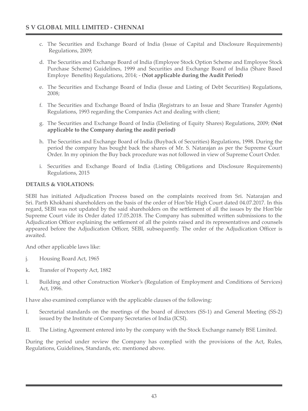- c. The Securities and Exchange Board of India (Issue of Capital and Disclosure Requirements) Regulations, 2009;
- d. The Securities and Exchange Board of India (Employee Stock Option Scheme and Employee Stock Purchase Scheme) Guidelines, 1999 and Securities and Exchange Board of India (Share Based Employe Benefits) Regulations, 2014; - **(Not applicable during the Audit Period)**
- e. The Securities and Exchange Board of India (Issue and Listing of Debt Securities) Regulations, 2008;
- f. The Securities and Exchange Board of India (Registrars to an Issue and Share Transfer Agents) Regulations, 1993 regarding the Companies Act and dealing with client;
- g. The Securities and Exchange Board of India (Delisting of Equity Shares) Regulations, 2009; **(Not applicable to the Company during the audit period)**
- h. The Securities and Exchange Board of India (Buyback of Securities) Regulations, 1998. During the period the company has bought back the shares of Mr. S. Natarajan as per the Supreme Court Order. In my opinion the Buy back procedure was not followed in view of Supreme Court Order.
- i. Securities and Exchange Board of India (Listing Obligations and Disclosure Requirements) Regulations, 2015

#### **DETAILS & VIOLATIONS:**

SEBI has initiated Adjudication Process based on the complaints received from Sri. Natarajan and Sri. Parth Khokhani shareholders on the basis of the order of Hon'ble High Court dated 04.07.2017. In this regard, SEBI was not updated by the said shareholders on the settlement of all the issues by the Hon'ble Supreme Court vide its Order dated 17.05.2018. The Company has submitted written submissions to the Adjudication Officer explaining the settlement of all the points raised and its representatives and counsels appeared before the Adjudication Officer, SEBI, subsequently. The order of the Adjudication Officer is awaited.

And other applicable laws like:

- j. Housing Board Act, 1965
- k. Transfer of Property Act, 1882
- l. Building and other Construction Worker's (Regulation of Employment and Conditions of Services) Act, 1996.

I have also examined compliance with the applicable clauses of the following:

- I. Secretarial standards on the meetings of the board of directors (SS-1) and General Meeting (SS-2) issued by the Institute of Company Secretaries of India (ICSI).
- II. The Listing Agreement entered into by the company with the Stock Exchange namely BSE Limited.

During the period under review the Company has complied with the provisions of the Act, Rules, Regulations, Guidelines, Standards, etc. mentioned above.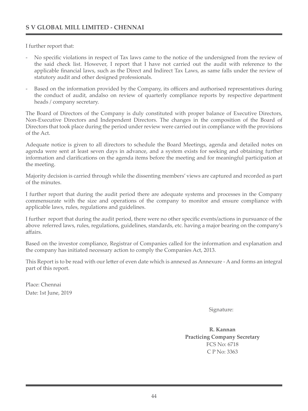I further report that:

- No specific violations in respect of Tax laws came to the notice of the undersigned from the review of the said check list. However, I report that I have not carried out the audit with reference to the applicable financial laws, such as the Direct and Indirect Tax Laws, as same falls under the review of statutory audit and other designed professionals.
- Based on the information provided by the Company, its officers and authorised representatives during the conduct of audit, andalso on review of quarterly compliance reports by respective department heads / company secretary.

The Board of Directors of the Company is duly constituted with proper balance of Executive Directors, Non-Executive Directors and Independent Directors. The changes in the composition of the Board of Directors that took place during the period under review were carried out in compliance with the provisions of the Act.

Adequate notice is given to all directors to schedule the Board Meetings, agenda and detailed notes on agenda were sent at least seven days in advance, and a system exists for seeking and obtaining further information and clarifications on the agenda items before the meeting and for meaningful participation at the meeting.

Majority decision is carried through while the dissenting members' views are captured and recorded as part of the minutes.

I further report that during the audit period there are adequate systems and processes in the Company commensurate with the size and operations of the company to monitor and ensure compliance with applicable laws, rules, regulations and guidelines.

I further report that during the audit period, there were no other specific events/actions in pursuance of the above referred laws, rules, regulations, guidelines, standards, etc. having a major bearing on the company's affairs.

Based on the investor compliance, Registrar of Companies called for the information and explanation and the company has initiated necessary action to comply the Companies Act, 2013.

This Report is to be read with our letter of even date which is annexed as Annexure - A and forms an integral part of this report.

Place: Chennai Date: 1st June, 2019

Signature:

**R. Kannan Practicing Company Secretary** FCS No: 6718 C P No: 3363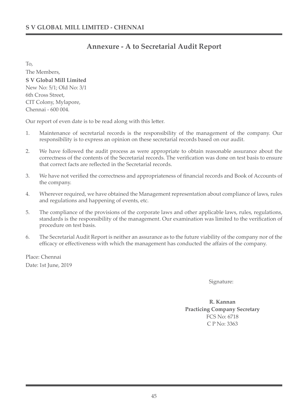# **Annexure - A to Secretarial Audit Report**

To,

The Members, **S V Global Mill Limited** New No: 5/1; Old No: 3/1 6th Cross Street, CIT Colony, Mylapore, Chennai - 600 004.

Our report of even date is to be read along with this letter.

- 1. Maintenance of secretarial records is the responsibility of the management of the company. Our responsibility is to express an opinion on these secretarial records based on our audit.
- 2. We have followed the audit process as were appropriate to obtain reasonable assurance about the correctness of the contents of the Secretarial records. The verification was done on test basis to ensure that correct facts are reflected in the Secretarial records.
- 3. We have not verified the correctness and appropriateness of financial records and Book of Accounts of the company.
- 4. Wherever required, we have obtained the Management representation about compliance of laws, rules and regulations and happening of events, etc.
- 5. The compliance of the provisions of the corporate laws and other applicable laws, rules, regulations, standards is the responsibility of the management. Our examination was limited to the verification of procedure on test basis.
- 6. The Secretarial Audit Report is neither an assurance as to the future viability of the company nor of the efficacy or effectiveness with which the management has conducted the affairs of the company.

Place: Chennai Date: 1st June, 2019

Signature:

**R. Kannan Practicing Company Secretary** FCS No: 6718 C P No: 3363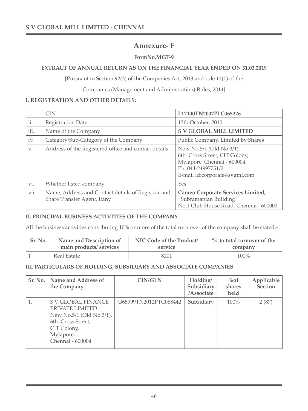# **Annexure- F**

## **FormNo.MGT-9**

#### **EXTRACT OF ANNUAL RETURN AS ON THE FINANCIAL YEAR ENDED ON 31.03.2019**

[Pursuant to Section 92(3) of the Companies Act, 2013 and rule 12(1) of the

Companies (Management and Administration) Rules, 2014]

### **I. REGISTRATION AND OTHER DETAILS:**

| i.               | <b>CIN</b>                                                                        | L17100TN2007PLC065226                                                                                                                           |
|------------------|-----------------------------------------------------------------------------------|-------------------------------------------------------------------------------------------------------------------------------------------------|
| $\ddotsc$<br>ii. | <b>Registration Date</b>                                                          | 13th October, 2010.                                                                                                                             |
| iii.             | Name of the Company                                                               | <b>S V GLOBAL MILL LIMITED</b>                                                                                                                  |
| iv.              | Category/Sub-Category of the Company                                              | Public Company, Limited by Shares                                                                                                               |
| V.               | Address of the Registered office and contact details                              | New No.5/1 (Old No.3/1),<br>6th Cross Street, CIT Colony,<br>Mylapore, Chennai - 600004.<br>Ph: 044-24997751/2<br>E-mail id:corporate@svgml.com |
| vi.              | Whether listed company                                                            | Yes                                                                                                                                             |
| vii.             | Name, Address and Contact details of Registrar and<br>Share Transfer Agent, ifany | Cameo Corporate Services Limited,<br>"Subramanian Building"<br>No.1 Club House Road, Chennai - 600002.                                          |

## **II. PRINCIPAL BUSINESS ACTIVITIES OF THE COMPANY**

All the business activities contributing 10% or more of the total turn over of the company shall be stated:-

| Sr. No. | Name and Description of | NIC Code of the Product/ | $\%$ to total turnover of the |
|---------|-------------------------|--------------------------|-------------------------------|
|         | main products/ services | service                  | company                       |
|         | Real Estate             | 8201                     | 100%                          |

### **III. PARTICULARS OF HOLDING, SUBSIDIARY AND ASSOCIATE COMPANIES**

| Sr. No. | Name and Address of<br>the Company                                                                                                             | <b>CIN/GLN</b>        | Holding/<br>Subsidiary<br>/Associate | $\%of$<br>shares<br>held | Applicable<br><b>Section</b> |
|---------|------------------------------------------------------------------------------------------------------------------------------------------------|-----------------------|--------------------------------------|--------------------------|------------------------------|
|         | <b>S V GLOBAL FINANCE</b><br>PRIVATE LIMITED<br>New No.5/1 (Old No.3/1),<br>6th Cross Street,<br>CIT Colony,<br>Mylapore,<br>Chennai - 600004. | U65999TN2012PTC088442 | Subsidiary                           | $100\%$                  | 2(87)                        |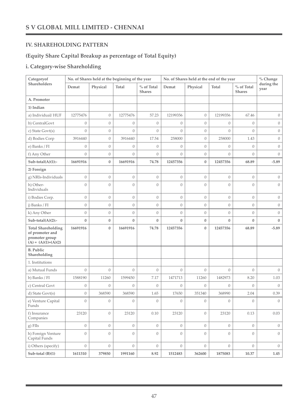## **IV. SHAREHOLDING PATTERN**

## **(Equity Share Capital Breakup as percentage of Total Equity)**

## **i. Category-wise Shareholding**

| Categoryof                                                                              | No. of Shares held at the beginning of the year |                  |                  | No. of Shares held at the end of the year |                  |                  |                  | $%$ Change                  |                    |
|-----------------------------------------------------------------------------------------|-------------------------------------------------|------------------|------------------|-------------------------------------------|------------------|------------------|------------------|-----------------------------|--------------------|
| Shareholders                                                                            | Demat                                           | Physical         | Total            | % of Total<br><b>Shares</b>               | Demat            | Physical         | Total            | % of Total<br><b>Shares</b> | during the<br>year |
| A. Promoter                                                                             |                                                 |                  |                  |                                           |                  |                  |                  |                             |                    |
| 1) Indian                                                                               |                                                 |                  |                  |                                           |                  |                  |                  |                             |                    |
| a) Individual/HUF                                                                       | 12775476                                        | $\boldsymbol{0}$ | 12775476         | 57.23                                     | 12199356         | $\mathbf{0}$     | 12199356         | 67.46                       | $\overline{0}$     |
| b) CentralGovt                                                                          | $\mathbf{0}$                                    | $\boldsymbol{0}$ | $\boldsymbol{0}$ | $\boldsymbol{0}$                          | $\mathbf{0}$     | $\mathbf{0}$     | $\mathbf{0}$     | $\boldsymbol{0}$            | $\boldsymbol{0}$   |
| c) State Govt(s)                                                                        | $\overline{0}$                                  | $\boldsymbol{0}$ | $\overline{0}$   | $\overline{0}$                            | $\mathbf{0}$     | $\mathbf{0}$     | $\overline{0}$   | $\overline{0}$              | $\sigma$           |
| d) Bodies Corp                                                                          | 3916440                                         | $\boldsymbol{0}$ | 3916440          | 17.54                                     | 258000           | $\mathbf{0}$     | 258000           | 1.43                        | $\boldsymbol{0}$   |
| e) Banks / FI                                                                           | $\theta$                                        | $\boldsymbol{0}$ | $\boldsymbol{0}$ | $\boldsymbol{0}$                          | $\mathbf{0}$     | $\mathbf{0}$     | $\mathbf 0$      | $\mathbf 0$                 | $\boldsymbol{0}$   |
| f) Any Other                                                                            | $\overline{0}$                                  | $\mathbf 0$      | $\mathbf 0$      | $\boldsymbol{0}$                          | $\mathbf{0}$     | $\boldsymbol{0}$ | $\overline{0}$   | $\overline{0}$              | $\sigma$           |
| $Sub-total(A)(1)$ :-                                                                    | 16691916                                        | $\boldsymbol{0}$ | 16691916         | 74.78                                     | 12457356         | $\boldsymbol{0}$ | 12457356         | 68.89                       | $-5.89$            |
| 2) Foreign                                                                              |                                                 |                  |                  |                                           |                  |                  |                  |                             |                    |
| g) NRIs-Individuals                                                                     | $\theta$                                        | $\boldsymbol{0}$ | $\boldsymbol{0}$ | $\boldsymbol{0}$                          | $\boldsymbol{0}$ | $\boldsymbol{0}$ | $\mathbf 0$      | $\boldsymbol{0}$            | $\sigma$           |
| h) Other-<br>Individuals                                                                | $\mathbf{0}$                                    | $\boldsymbol{0}$ | $\boldsymbol{0}$ | $\boldsymbol{0}$                          | $\overline{0}$   | $\boldsymbol{0}$ | $\mathbf 0$      | $\boldsymbol{0}$            | $\mathbf{0}$       |
| i) Bodies Corp.                                                                         | $\mathbf{0}$                                    | $\boldsymbol{0}$ | $\boldsymbol{0}$ | $\boldsymbol{0}$                          | $\boldsymbol{0}$ | $\boldsymbol{0}$ | $\boldsymbol{0}$ | $\boldsymbol{0}$            | $\mathbf{0}$       |
| j) Banks / FI                                                                           | $\mathbf 0$                                     | $\boldsymbol{0}$ | $\boldsymbol{0}$ | $\boldsymbol{0}$                          | $\boldsymbol{0}$ | $\boldsymbol{0}$ | $\boldsymbol{0}$ | $\boldsymbol{0}$            | $\mathbf{0}$       |
| k) Any Other                                                                            | $\mathbf{0}$                                    | $\boldsymbol{0}$ | $\mathbf{0}$     | $\overline{0}$                            | $\mathbf{0}$     | $\mathbf{0}$     | $\overline{0}$   | $\boldsymbol{0}$            | $\overline{0}$     |
| $Sub-total(A)(2)$ :-                                                                    | $\bf{0}$                                        | $\boldsymbol{0}$ | $\bf{0}$         | $\bf{0}$                                  | $\bf{0}$         | $\mathbf{0}$     | $\bf{0}$         | $\bf{0}$                    | $\mathbf{0}$       |
| <b>Total Shareholding</b><br>of promoter and<br>promoter group<br>$(A) = (A)(1)+(A)(2)$ | 16691916                                        | $\boldsymbol{0}$ | 16691916         | 74.78                                     | 12457356         | $\boldsymbol{0}$ | 12457356         | 68.89                       | $-5.89$            |
| <b>B.</b> Public<br>Shareholding                                                        |                                                 |                  |                  |                                           |                  |                  |                  |                             |                    |
| 1. Institutions                                                                         |                                                 |                  |                  |                                           |                  |                  |                  |                             |                    |
| a) Mutual Funds                                                                         | $\mathbf{0}$                                    | $\boldsymbol{0}$ | $\boldsymbol{0}$ | $\boldsymbol{0}$                          | $\boldsymbol{0}$ | $\mathbf{0}$     | $\mathbf{0}$     | $\mathbf{0}$                | $\mathbf{0}$       |
| b) Banks / FI                                                                           | 1588190                                         | 11260            | 1599450          | 7.17                                      | 1471713          | 11260            | 1482973          | 8.20                        | 1.03               |
| c) Central Govt                                                                         | $\boldsymbol{0}$                                | $\boldsymbol{0}$ | $\mathbf 0$      | $\mathbf 0$                               | $\boldsymbol{0}$ | $\boldsymbol{0}$ | $\boldsymbol{0}$ | $\boldsymbol{0}$            | $\mathbf{0}$       |
| d) State Govt(s)                                                                        | $\boldsymbol{0}$                                | 368590           | 368590           | 1.65                                      | 17650            | 351340           | 368990           | 2.04                        | 0.39               |
| e) Venture Capital<br>Funds                                                             | $\theta$                                        | $\mathbf 0$      | $\overline{0}$   | $\overline{0}$                            | $\overline{0}$   | $\boldsymbol{0}$ | $\mathbf{0}$     | $\overline{0}$              | $\mathbf{0}$       |
| f) Insurance<br>Companies                                                               | 23120                                           | $\mathbf 0$      | 23120            | 0.10                                      | 23120            | $\boldsymbol{0}$ | 23120            | 0.13                        | 0.03               |
| g) FIIs                                                                                 | $\boldsymbol{0}$                                | $\boldsymbol{0}$ | $\boldsymbol{0}$ | $\boldsymbol{0}$                          | $\boldsymbol{0}$ | $\overline{0}$   | $\mathbf{0}$     | $\mathbf{0}$                | $\mathbf{0}$       |
| h) Foreign Venture<br>Capital Funds                                                     | $\mathbf{0}$                                    | $\mathbf 0$      | $\overline{0}$   | $\boldsymbol{0}$                          | $\mathbf{0}$     | $\mathbf{0}$     | $\mathbf{0}$     | $\mathbf{0}$                | $\mathbf{0}$       |
| i) Others (specify)                                                                     | $\mathbf{0}$                                    | $\mathbf 0$      | $\overline{0}$   | $\overline{0}$                            | $\mathbf{0}$     | $\overline{0}$   | $\overline{0}$   | $\overline{0}$              | $\mathbf{0}$       |
| $Sub$ -total $(B)(1)$                                                                   | 1611310                                         | 379850           | 1991160          | 8.92                                      | 1512483          | 362600           | 1875083          | 10.37                       | 1.45               |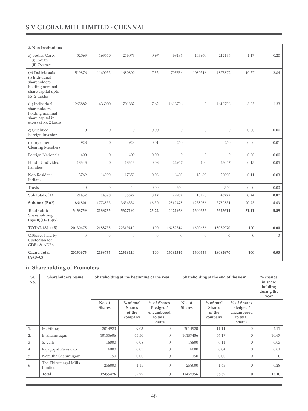| 2. Non Institutions                                                                                       |                |                  |                |          |                |                |              |            |           |
|-----------------------------------------------------------------------------------------------------------|----------------|------------------|----------------|----------|----------------|----------------|--------------|------------|-----------|
| a) Bodies Corp.<br>(i) Indian<br>(ii) Overseas                                                            | 52563          | 163510           | 216073         | 0.97     | 68186          | 143950         | 212136       | 1.17       | 0.20      |
| (b) Individuals<br>(i) Individual<br>shareholders<br>holding nominal<br>share capital upto<br>Rs. 2 Lakhs | 519876         | 1160933          | 1680809        | 7.53     | 795556         | 1080316        | 1875872      | 10.37      | 2.84      |
| (ii) Individual<br>shareholders<br>holding nominal<br>share capital in<br>excess of Rs. 2 Lakhs           | 1265882        | 436000           | 1701882        | 7.62     | 1618796        | $\mathbf{0}$   | 1618796      | 8.95       | 1.33      |
| c) Qualified<br>Foreign Investor                                                                          | $\overline{0}$ | $\overline{0}$   | $\overline{0}$ | 0.00     | $\overline{0}$ | $\overline{0}$ | $\theta$     | 0.00       | 0.00      |
| d) any other<br><b>Clearing Members</b>                                                                   | 928            | $\mathbf{0}$     | 928            | 0.01     | 250            | $\theta$       | 250          | 0.00       | $-0.01$   |
| Foreign Nationals                                                                                         | 400            | $\mathbf{0}$     | 400            | 0.00     | $\Omega$       | $\bigcap$      | $\mathbf{0}$ | 0.00       | 0.00      |
| Hindu Undivided<br>Families                                                                               | 18343          | $\overline{0}$   | 18343          | 0.08     | 22947          | 100            | 23047        | 0.13       | 0.05      |
| Non Resident<br>Indians                                                                                   | 3769           | 14090            | 17859          | 0.08     | 6400           | 13690          | 20090        | 0.11       | 0.03      |
| Trusts                                                                                                    | 40             | $\overline{0}$   | 40             | 0.00     | 340            | $\mathbf{0}$   | 340          | 0.00       | 0.00      |
| Sub total of D                                                                                            | 21432          | 14090            | 35522          | 0.17     | 29937          | 13790          | 43727        | 0.24       | 0.07      |
| $Sub-total(B)(2)$                                                                                         | 1861801        | 1774533          | 3636334        | 16.30    | 2512475        | 1238056        | 3750531      | 20.73      | 4.43      |
| TotalPublic<br>Shareholding<br>$(B)=(B)(1)+(B)(2)$                                                        | 3438759        | 2188735          | 5627494        | 25.22    | 4024958        | 1600656        | 5625614      | 31.11      | 5.89      |
| $TOTAL(A) + (B)$                                                                                          | 20130675       | 2188735          | 22319410       | 100      | 16482314       | 1600656        | 18082970     | 100        | 0.00      |
| C.Shares held by<br>Custodian for<br><b>GDRs &amp; ADRs</b>                                               | $\Omega$       | $\boldsymbol{0}$ | $\overline{0}$ | $\theta$ | $\theta$       | $\theta$       | $\mathbf 0$  | $\sqrt{ }$ | $\bigcap$ |
| <b>Grand Total</b><br>$(A+B+C)$                                                                           | 20130675       | 2188735          | 22319410       | 100      | 16482314       | 1600656        | 18082970     | 100        | 0.00      |

## **ii. Shareholding of Promoters**

| Sr.<br>No.     | Shareholder's Name              | Shareholding at the beginning of the year |                                                    | Shareholding at the end of the year                          | $%$ change<br>in share<br>holding<br>during the<br>year |                                                    |                                                              |          |
|----------------|---------------------------------|-------------------------------------------|----------------------------------------------------|--------------------------------------------------------------|---------------------------------------------------------|----------------------------------------------------|--------------------------------------------------------------|----------|
|                |                                 | No. of<br><b>Shares</b>                   | $%$ of total<br><b>Shares</b><br>of the<br>company | % of Shares<br>Pledged /<br>encumbered<br>to total<br>shares | No. of<br><b>Shares</b>                                 | $%$ of total<br><b>Shares</b><br>of the<br>company | % of Shares<br>Pledged /<br>encumbered<br>to total<br>shares |          |
| 1.             | M. Ethiraj                      | 2014920                                   | 9.03                                               | $\theta$                                                     | 2014920                                                 | 11.14                                              | $\theta$                                                     | 2.11     |
| 2.             | E. Shanmugam                    | 10155606                                  | 45.50                                              | $\Omega$                                                     | 10157486                                                | 56.17                                              | $\Omega$                                                     | 10.67    |
| 3              | S. Valli                        | 18800                                     | 0.08                                               | $\Omega$                                                     | 18800                                                   | 0.11                                               | $\theta$                                                     | 0.03     |
| $\overline{4}$ | Rajagopal Rajeswari             | 8000                                      | 0.03                                               | $\Omega$                                                     | 8000                                                    | 0.04                                               | $\Omega$                                                     | 0.01     |
| 5              | Namitha Shanmugam               | 150                                       | 0.00                                               | $\Omega$                                                     | 150                                                     | 0.00                                               | $\Omega$                                                     | $\theta$ |
| 6              | The Thirumagal Mills<br>Limited | 258000                                    | 1.15                                               | $\mathbf{0}$                                                 | 258000                                                  | 1.43                                               | $\theta$                                                     | 0.28     |
|                | Total                           | 12455476                                  | 55.79                                              | $\Omega$                                                     | 12457356                                                | 68.89                                              | $\theta$                                                     | 13.10    |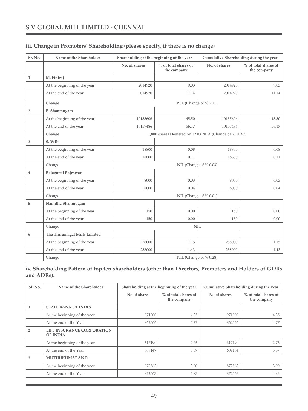| Sr. No.        | Name of the Shareholder      |               | Shareholding at the beginning of the year              |               | Cumulative Shareholding during the year |
|----------------|------------------------------|---------------|--------------------------------------------------------|---------------|-----------------------------------------|
|                |                              | No. of shares | % of total shares of<br>the company                    | No. of shares | % of total shares of<br>the company     |
| $\mathbf{1}$   | M. Ethiraj                   |               |                                                        |               |                                         |
|                | At the beginning of the year | 2014920       | 9.03                                                   | 2014920       | 9.03                                    |
|                | At the end of the year       | 2014920       | 11.14                                                  | 2014920       | 11.14                                   |
|                | Change                       |               | NIL (Change of % 2.11)                                 |               |                                         |
| $\overline{2}$ | E. Shanmugam                 |               |                                                        |               |                                         |
|                | At the beginning of the year | 10155606      | 45.50                                                  | 10155606      | 45.50                                   |
|                | At the end of the year       | 10157486      | 56.17                                                  | 10157486      | 56.17                                   |
|                | Change                       |               | 1,880 shares Demeted on 22.03.2019 (Change of % 10.67) |               |                                         |
| 3              | S. Valli                     |               |                                                        |               |                                         |
|                | At the beginning of the year | 18800         | 0.08                                                   | 18800         | 0.08                                    |
|                | At the end of the year       | 18800         | 0.11                                                   | 18800         | 0.11                                    |
|                | Change                       |               | NIL (Change of % 0.03)                                 |               |                                         |
| $\overline{4}$ | Rajagopal Rajeswari          |               |                                                        |               |                                         |
|                | At the beginning of the year | 8000          | 0.03                                                   | 8000          | 0.03                                    |
|                | At the end of the year       | 8000          | 0.04                                                   | 8000          | 0.04                                    |
|                | Change                       |               | NIL (Change of % 0.01)                                 |               |                                         |
| 5              | Namitha Shanmugam            |               |                                                        |               |                                         |
|                | At the beginning of the year | 150           | 0.00                                                   | 150           | 0.00                                    |
|                | At the end of the year       | 150           | 0.00                                                   | 150           | 0.00                                    |
|                | Change                       |               | NIL                                                    |               |                                         |
| 6              | The Thirumagal Mills Limited |               |                                                        |               |                                         |
|                | At the beginning of the year | 258000        | 1.15                                                   | 258000        | 1.15                                    |
|                | At the end of the year       | 258000        | 1.43                                                   | 258000        | 1.43                                    |
|                | Change                       |               | NIL (Change of % 0.28)                                 |               |                                         |

## **iii. Change in Promoters' Shareholding (please specify, if there is no change)**

**iv. Shareholding Pattern of top ten shareholders (other than Directors, Promoters and Holders of GDRs and ADRs):**

| SI.No. | Name of the Shareholder                              |              | Shareholding at the beginning of the year | Cumulative Shareholding during the year |                                     |
|--------|------------------------------------------------------|--------------|-------------------------------------------|-----------------------------------------|-------------------------------------|
|        |                                                      | No of shares | % of total shares of<br>the company       | No of shares                            | % of total shares of<br>the company |
|        | <b>STATE BANK OF INDIA</b>                           |              |                                           |                                         |                                     |
|        | At the beginning of the year                         | 971000       | 4.35                                      | 971000                                  | 4.35                                |
|        | At the end of the Year                               | 862566       | 4.77                                      | 862566                                  | 4.77                                |
| 2      | <b>LIFE INSURANCE CORPORATION</b><br><b>OF INDIA</b> |              |                                           |                                         |                                     |
|        | At the beginning of the year                         | 617190       | 2.76                                      | 617190                                  | 2.76                                |
|        | At the end of the Year                               | 609147       | 3.37                                      | 609164                                  | 3.37                                |
| 3      | <b>MUTHUKUMARAN R</b>                                |              |                                           |                                         |                                     |
|        | At the beginning of the year                         | 872563       | 3.90                                      | 872563                                  | 3.90                                |
|        | At the end of the Year                               | 872563       | 4.83                                      | 872563                                  | 4.83                                |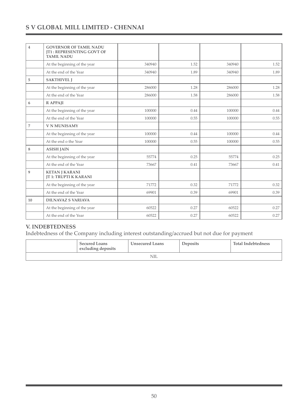| $\overline{4}$ | <b>GOVERNOR OF TAMIL NADU</b><br><b>IT1: REPRESENTING GOVT OF</b><br><b>TAMIL NADU</b> |        |      |        |      |
|----------------|----------------------------------------------------------------------------------------|--------|------|--------|------|
|                | At the beginning of the year                                                           | 340940 | 1.52 | 340940 | 1.52 |
|                | At the end of the Year                                                                 | 340940 | 1.89 | 340940 | 1.89 |
| 5              | <b>SAKTHIVEL J</b>                                                                     |        |      |        |      |
|                | At the beginning of the year                                                           | 286000 | 1.28 | 286000 | 1.28 |
|                | At the end of the Year                                                                 | 286000 | 1.58 | 286000 | 1.58 |
| 6              | R APPAJI                                                                               |        |      |        |      |
|                | At the beginning of the year                                                           | 100000 | 0.44 | 100000 | 0.44 |
|                | At the end of the Year                                                                 | 100000 | 0.55 | 100000 | 0.55 |
| $\overline{7}$ | <b>V N MUNISAMY</b>                                                                    |        |      |        |      |
|                | At the beginning of the year                                                           | 100000 | 0.44 | 100000 | 0.44 |
|                | At the end o the Year                                                                  | 100000 | 0.55 | 100000 | 0.55 |
| 8              | <b>ASISH JAIN</b>                                                                      |        |      |        |      |
|                | At the beginning of the year                                                           | 55774  | 0.25 | 55774  | 0.25 |
|                | At the end of the Year                                                                 | 73667  | 0.41 | 73667  | 0.41 |
| 9              | <b>KETAN J KARANI</b><br><b>JT 1: TRUPTI K KARANI</b>                                  |        |      |        |      |
|                | At the beginning of the year                                                           | 71772  | 0.32 | 71772  | 0.32 |
|                | At the end of the Year                                                                 | 69901  | 0.39 | 69901  | 0.39 |
| 10             | <b>DILNAVAZ S VARIAVA</b>                                                              |        |      |        |      |
|                | At the beginning of the year                                                           | 60522  | 0.27 | 60522  | 0.27 |
|                | At the end of the Year                                                                 | 60522  | 0.27 | 60522  | 0.27 |

## **V. INDEBTEDNESS**

Indebtedness of the Company including interest outstanding/accrued but not due for payment

| <b>Secured Loans</b><br>excluding deposits | <b>Unsecured Loans</b> | Deposits | <b>Total Indebtedness</b> |
|--------------------------------------------|------------------------|----------|---------------------------|
|                                            | NIL                    |          |                           |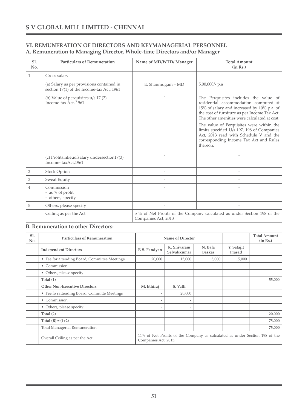### **VI. REMUNERATION OF DIRECTORS AND KEYMANAGERIAL PERSONNEL A. Remuneration to Managing Director, Whole-time Directors and/or Manager**

| SI.<br>No.     | <b>Particulars of Remuneration</b>                                                                           | Name of MD/WTD/ Manager                                                                         | <b>Total Amount</b><br>(in Rs.)                                                                                                                                                                                                                                                                                                                                                                                       |  |  |
|----------------|--------------------------------------------------------------------------------------------------------------|-------------------------------------------------------------------------------------------------|-----------------------------------------------------------------------------------------------------------------------------------------------------------------------------------------------------------------------------------------------------------------------------------------------------------------------------------------------------------------------------------------------------------------------|--|--|
| 1              | Gross salary                                                                                                 |                                                                                                 |                                                                                                                                                                                                                                                                                                                                                                                                                       |  |  |
|                | (a) Salary as per provisions contained in<br>section 17(1) of the Income-tax Act, 1961                       | E. Shanmugam - MD                                                                               | $5,00,000/-$ p.a                                                                                                                                                                                                                                                                                                                                                                                                      |  |  |
|                | (b) Value of perquisites $u/s$ 17 (2)<br>Income-tax Act, 1961<br>(c) Profitsinlieuofsalary undersection17(3) |                                                                                                 | The Perquisites includes the value of<br>residential accommodation computed @<br>15% of salary and increased by 10% p.a. of<br>the cost of furniture as per Income Tax Act.<br>The other amenities were calculated at cost.<br>The value of Perquisites were within the<br>limits specified U/s 197, 198 of Companies<br>Act, 2013 read with Schedule V and the<br>corresponding Income Tax Act and Rules<br>thereon. |  |  |
|                | Income-taxAct,1961                                                                                           |                                                                                                 |                                                                                                                                                                                                                                                                                                                                                                                                                       |  |  |
| $\overline{2}$ | <b>Stock Option</b>                                                                                          |                                                                                                 |                                                                                                                                                                                                                                                                                                                                                                                                                       |  |  |
| 3              | Sweat Equity                                                                                                 |                                                                                                 |                                                                                                                                                                                                                                                                                                                                                                                                                       |  |  |
| 4              | Commission<br>- as % of profit<br>- others, specify                                                          |                                                                                                 |                                                                                                                                                                                                                                                                                                                                                                                                                       |  |  |
| 5              | Others, please specify                                                                                       |                                                                                                 |                                                                                                                                                                                                                                                                                                                                                                                                                       |  |  |
|                | Ceiling as per the Act                                                                                       | 5 % of Net Profits of the Company calculated as under Section 198 of the<br>Companies Act, 2013 |                                                                                                                                                                                                                                                                                                                                                                                                                       |  |  |

### **B. Remuneration to other Directors:**

| Sl.<br>No. | Particulars of Remuneration                   |                      | Name of Director           |                          |                          | <b>Total Amount</b><br>(in Rs.)                                             |
|------------|-----------------------------------------------|----------------------|----------------------------|--------------------------|--------------------------|-----------------------------------------------------------------------------|
|            | <b>Independent Directors</b>                  | P. S. Pandyan        | K. Shivaram<br>Selvakkumar | N. Bala<br><b>Baskar</b> | Y. Satajit<br>Prasad     |                                                                             |
|            | • Fee for attending Board, Committee Meetings | 20,000               | 15,000                     | 5,000                    | 15,000                   |                                                                             |
|            | • Commission                                  |                      | $\overline{a}$             |                          | $\sim$                   |                                                                             |
|            | • Others, please specify                      |                      | $\overline{a}$             | $\overline{\phantom{a}}$ | $\overline{\phantom{a}}$ |                                                                             |
|            | Total $(1)$                                   |                      |                            |                          |                          | 55,000                                                                      |
|            | <b>Other Non-Executive Directors</b>          | M. Ethiraj           | S. Valli                   |                          |                          |                                                                             |
|            | • Fee fo rattending Board, Committe Meetings  |                      | 20,000                     |                          |                          |                                                                             |
|            | • Commission                                  |                      | ×                          |                          |                          |                                                                             |
|            | • Others, please specify                      |                      | ۰                          |                          |                          |                                                                             |
|            | Total (2)                                     |                      |                            |                          |                          | 20,000                                                                      |
|            | Total $(B) = (1+2)$                           |                      |                            |                          |                          | 75,000                                                                      |
|            | Total Managerial Remuneration                 |                      |                            |                          |                          | 75,000                                                                      |
|            | Overall Ceiling as per the Act                | Companies Act, 2013. |                            |                          |                          | 11% of Net Profits of the Company as calculated as under Section 198 of the |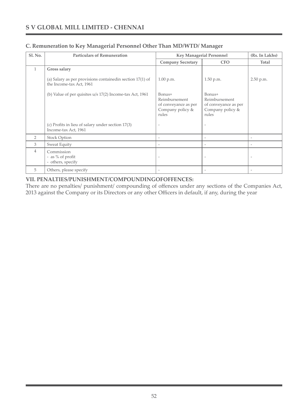| Sl. No.        | <b>Particulars of Remuneration</b>                                                       |                                                                              | Key Managerial Personnel                                                     | (Rs. In Lakhs) |
|----------------|------------------------------------------------------------------------------------------|------------------------------------------------------------------------------|------------------------------------------------------------------------------|----------------|
|                |                                                                                          | <b>Company Secretary</b>                                                     | <b>CFO</b>                                                                   | Total          |
| $\mathbf{1}$   | Gross salary                                                                             |                                                                              |                                                                              |                |
|                | (a) Salary as per provisions contained in section $17(1)$ of<br>the Income-tax Act, 1961 | 1.00 p.m.                                                                    | 1.50 p.m.                                                                    | 2.50 p.m.      |
|                | (b) Value of per quisites u/s 17(2) Income-tax Act, 1961                                 | Bonus+<br>Reimbursement<br>of conveyance as per<br>Company policy &<br>rules | Bonus+<br>Reimbursement<br>of conveyance as per<br>Company policy &<br>rules |                |
|                | (c) Profits in lieu of salary under section 17(3)<br>Income-tax Act, 1961                |                                                                              |                                                                              |                |
| $\overline{2}$ | Stock Option                                                                             |                                                                              |                                                                              |                |
| 3              | Sweat Equity                                                                             |                                                                              |                                                                              |                |
| $\overline{4}$ | Commission<br>- as % of profit<br>- others, specify                                      |                                                                              |                                                                              |                |
| 5              | Others, please specify                                                                   |                                                                              |                                                                              |                |

## **C. Remuneration to Key Managerial Personnel Other Than MD/WTD/ Manager**

### **VII. PENALTIES/PUNISHMENT/COMPOUNDINGOFOFFENCES:**

There are no penalties/ punishment/ compounding of offences under any sections of the Companies Act, 2013 against the Company or its Directors or any other Officers in default, if any, during the year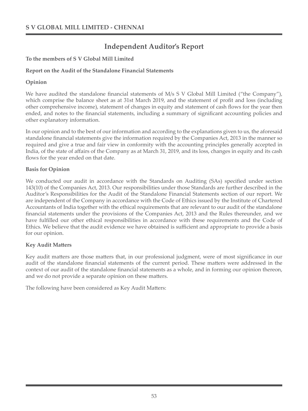# **Independent Auditor's Report**

#### **To the members of S V Global Mill Limited**

#### **Report on the Audit of the Standalone Financial Statements**

#### **Opinion**

We have audited the standalone financial statements of M/s S V Global Mill Limited ("the Company"), which comprise the balance sheet as at 31st March 2019, and the statement of profit and loss (including other comprehensive income), statement of changes in equity and statement of cash flows for the year then ended, and notes to the financial statements, including a summary of significant accounting policies and other explanatory information.

In our opinion and to the best of our information and according to the explanations given to us, the aforesaid standalone financial statements give the information required by the Companies Act, 2013 in the manner so required and give a true and fair view in conformity with the accounting principles generally accepted in India, of the state of affairs of the Company as at March 31, 2019, and its loss, changes in equity and its cash flows for the year ended on that date.

#### **Basis for Opinion**

We conducted our audit in accordance with the Standards on Auditing (SAs) specified under section 143(10) of the Companies Act, 2013. Our responsibilities under those Standards are further described in the Auditor's Responsibilities for the Audit of the Standalone Financial Statements section of our report. We are independent of the Company in accordance with the Code of Ethics issued by the Institute of Chartered Accountants of India together with the ethical requirements that are relevant to our audit of the standalone financial statements under the provisions of the Companies Act, 2013 and the Rules thereunder, and we have fulfilled our other ethical responsibilities in accordance with these requirements and the Code of Ethics. We believe that the audit evidence we have obtained is sufficient and appropriate to provide a basis for our opinion.

#### **Key Audit Matters**

Key audit matters are those matters that, in our professional judgment, were of most significance in our audit of the standalone financial statements of the current period. These matters were addressed in the context of our audit of the standalone financial statements as a whole, and in forming our opinion thereon, and we do not provide a separate opinion on these matters.

The following have been considered as Key Audit Matters: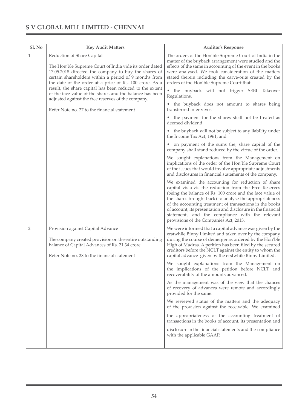| Sl. No<br><b>Key Audit Matters</b>                                                                                                                                                                                                                                                                                                                                                                                                                                                                              | <b>Auditor's Response</b>                                                                                                                                                                                                                                                                                                                                                                                                                                                                                                                                                                                                                                                                                                                                                                                                                                                                                                                                                                                                                                                                                                                                                                    |
|-----------------------------------------------------------------------------------------------------------------------------------------------------------------------------------------------------------------------------------------------------------------------------------------------------------------------------------------------------------------------------------------------------------------------------------------------------------------------------------------------------------------|----------------------------------------------------------------------------------------------------------------------------------------------------------------------------------------------------------------------------------------------------------------------------------------------------------------------------------------------------------------------------------------------------------------------------------------------------------------------------------------------------------------------------------------------------------------------------------------------------------------------------------------------------------------------------------------------------------------------------------------------------------------------------------------------------------------------------------------------------------------------------------------------------------------------------------------------------------------------------------------------------------------------------------------------------------------------------------------------------------------------------------------------------------------------------------------------|
| $\mathbf{1}$<br>Reduction of Share Capital<br>The Hon'ble Supreme Court of India vide its order dated<br>17.05.2018 directed the company to buy the shares of<br>certain shareholders within a period of 9 months from<br>the date of the order at a price of Rs. 100 crore. As a<br>result, the share capital has been reduced to the extent<br>of the face value of the shares and the balance has been<br>adjusted against the free reserves of the company.<br>Refer Note no. 27 to the financial statement | The orders of the Hon'ble Supreme Court of India in the<br>matter of the buyback arrangement were studied and the<br>effects of the same in accounting of the event in the books<br>were analysed. We took consideration of the matters<br>stated therein including the carve-outs created by the<br>orders of the Hon'ble Supreme Court that<br>the buyback will not trigger SEBI Takeover<br>Regulations.<br>• the buyback does not amount to shares being<br>transferred inter vivos<br>the payment for the shares shall not be treated as<br>deemed dividend<br>• the buyback will not be subject to any liability under<br>the Income Tax Act, 1961; and<br>• on payment of the sums the, share capital of the<br>company shall stand reduced by the virtue of the order.<br>We sought explanations from the Management on<br>implications of the order of the Hon'ble Supreme Court<br>of the issues that would involve appropriate adjustments<br>and disclosures in financial statements of the company.<br>We examined the accounting for reduction of share<br>capital vis-a-vis the reduction from the Free Reserves<br>(being the balance of Rs. 100 crore and the face value of |
|                                                                                                                                                                                                                                                                                                                                                                                                                                                                                                                 | the shares brought back) to analyse the appropriateness<br>of the accounting treatment of transactions in the books<br>of account, its presentation and disclosure in the financial<br>statements and the compliance with the relevant<br>provisions of the Companies Act, 2013.                                                                                                                                                                                                                                                                                                                                                                                                                                                                                                                                                                                                                                                                                                                                                                                                                                                                                                             |
| $\overline{2}$<br>Provision against Capital Advance<br>The company created provision on the entire outstanding<br>balance of Capital Advances of Rs. 21.34 crore<br>Refer Note no. 28 to the financial statement                                                                                                                                                                                                                                                                                                | We were informed that a capital advance was given by the<br>erstwhile Binny Limited and taken over by the company<br>during the course of demerger as ordered by the Hon'ble<br>High of Madras. A petition has been filed by the secured<br>creditors before the NCLT against the entity to whom the<br>capital advance given by the erstwhile Binny Limited.                                                                                                                                                                                                                                                                                                                                                                                                                                                                                                                                                                                                                                                                                                                                                                                                                                |
|                                                                                                                                                                                                                                                                                                                                                                                                                                                                                                                 | We sought explanations from the Management on<br>the implications of the petition before NCLT and<br>recoverability of the amounts advanced.                                                                                                                                                                                                                                                                                                                                                                                                                                                                                                                                                                                                                                                                                                                                                                                                                                                                                                                                                                                                                                                 |
|                                                                                                                                                                                                                                                                                                                                                                                                                                                                                                                 | As the management was of the view that the chances<br>of recovery of advances were remote and accordingly<br>provided for the same.                                                                                                                                                                                                                                                                                                                                                                                                                                                                                                                                                                                                                                                                                                                                                                                                                                                                                                                                                                                                                                                          |
|                                                                                                                                                                                                                                                                                                                                                                                                                                                                                                                 | We reviewed status of the matters and the adequacy<br>of the provision against the receivable. We examined                                                                                                                                                                                                                                                                                                                                                                                                                                                                                                                                                                                                                                                                                                                                                                                                                                                                                                                                                                                                                                                                                   |
|                                                                                                                                                                                                                                                                                                                                                                                                                                                                                                                 | the appropriateness of the accounting treatment of<br>transactions in the books of account, its presentation and                                                                                                                                                                                                                                                                                                                                                                                                                                                                                                                                                                                                                                                                                                                                                                                                                                                                                                                                                                                                                                                                             |
|                                                                                                                                                                                                                                                                                                                                                                                                                                                                                                                 | disclosure in the financial statements and the compliance<br>with the applicable GAAP.                                                                                                                                                                                                                                                                                                                                                                                                                                                                                                                                                                                                                                                                                                                                                                                                                                                                                                                                                                                                                                                                                                       |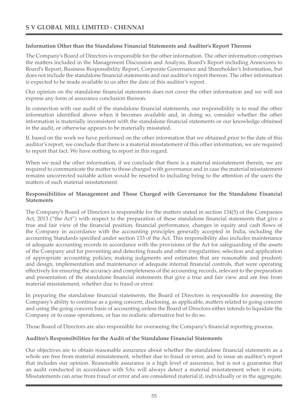#### **Information Other than the Standalone Financial Statements and Auditor's Report Thereon**

The Company's Board of Directors is responsible for the other information. The other information comprises the matters included in the Management Discussion and Analysis, Board's Report including Annexures to Board's Report, Business Responsibility Report, Corporate Governance and Shareholder's Information, but does not include the standalone financial statements and our auditor's report thereon. The other information is expected to be made available to us after the date of this auditor's report.

Our opinion on the standalone financial statements does not cover the other information and we will not express any form of assurance conclusion thereon.

In connection with our audit of the standalone financial statements, our responsibility is to read the other information identified above when it becomes available and, in doing so, consider whether the other information is materially inconsistent with the standalone financial statements or our knowledge obtained in the audit, or otherwise appears to be materially misstated.

If, based on the work we have performed on the other information that we obtained prior to the date of this auditor's report, we conclude that there is a material misstatement of this other information, we are required to report that fact. We have nothing to report in this regard.

When we read the other information, if we conclude that there is a material misstatement therein, we are required to communicate the matter to those charged with governance and in case the material misstatement remains uncorrected suitable action would be resorted to including bring to the attention of the users the matters of such material misstatement.

#### **Responsibilities of Management and Those Charged with Governance for the Standalone Financial Statements**

The Company's Board of Directors is responsible for the matters stated in section 134(5) of the Companies Act, 2013 ("the Act") with respect to the preparation of these standalone financial statements that give a true and fair view of the financial position, financial performance, changes in equity and cash flows of the Company in accordance with the accounting principles generally accepted in India, including the accounting Standards specified under section 133 of the Act. This responsibility also includes maintenance of adequate accounting records in accordance with the provisions of the Act for safeguarding of the assets of the Company and for preventing and detecting frauds and other irregularities; selection and application of appropriate accounting policies; making judgments and estimates that are reasonable and prudent; and design, implementation and maintenance of adequate internal financial controls, that were operating effectively for ensuring the accuracy and completeness of the accounting records, relevant to the preparation and presentation of the standalone financial statements that give a true and fair view and are free from material misstatement, whether due to fraud or error.

In preparing the standalone financial statements, the Board of Directors is responsible for assessing the Company's ability to continue as a going concern, disclosing, as applicable, matters related to going concern and using the going concern basis of accounting unless the Board of Directors either intends to liquidate the Company or to cease operations, or has no realistic alternative but to do so.

Those Board of Directors are also responsible for overseeing the Company's financial reporting process.

#### **Auditor's Responsibilities for the Audit of the Standalone Financial Statements**

Our objectives are to obtain reasonable assurance about whether the standalone financial statements as a whole are free from material misstatement, whether due to fraud or error, and to issue an auditor's report that includes our opinion. Reasonable assurance is a high level of assurance, but is not a guarantee that an audit conducted in accordance with SAs will always detect a material misstatement when it exists. Misstatements can arise from fraud or error and are considered material if, individually or in the aggregate,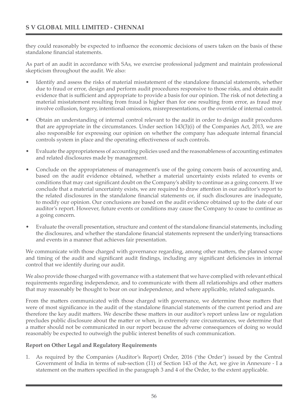they could reasonably be expected to influence the economic decisions of users taken on the basis of these standalone financial statements.

As part of an audit in accordance with SAs, we exercise professional judgment and maintain professional skepticism throughout the audit. We also:

- Identify and assess the risks of material misstatement of the standalone financial statements, whether due to fraud or error, design and perform audit procedures responsive to those risks, and obtain audit evidence that is sufficient and appropriate to provide a basis for our opinion. The risk of not detecting a material misstatement resulting from fraud is higher than for one resulting from error, as fraud may involve collusion, forgery, intentional omissions, misrepresentations, or the override of internal control.
- Obtain an understanding of internal control relevant to the audit in order to design audit procedures that are appropriate in the circumstances. Under section 143(3)(i) of the Companies Act, 2013, we are also responsible for expressing our opinion on whether the company has adequate internal financial controls system in place and the operating effectiveness of such controls.
- Evaluate the appropriateness of accounting policies used and the reasonableness of accounting estimates and related disclosures made by management.
- Conclude on the appropriateness of management's use of the going concern basis of accounting and, based on the audit evidence obtained, whether a material uncertainty exists related to events or conditions that may cast significant doubt on the Company's ability to continue as a going concern. If we conclude that a material uncertainty exists, we are required to draw attention in our auditor's report to the related disclosures in the standalone financial statements or, if such disclosures are inadequate, to modify our opinion. Our conclusions are based on the audit evidence obtained up to the date of our auditor's report. However, future events or conditions may cause the Company to cease to continue as a going concern.
- Evaluate the overall presentation, structure and content of the standalone financial statements, including the disclosures, and whether the standalone financial statements represent the underlying transactions and events in a manner that achieves fair presentation.

We communicate with those charged with governance regarding, among other matters, the planned scope and timing of the audit and significant audit findings, including any significant deficiencies in internal control that we identify during our audit.

We also provide those charged with governance with a statement that we have complied with relevant ethical requirements regarding independence, and to communicate with them all relationships and other matters that may reasonably be thought to bear on our independence, and where applicable, related safeguards.

From the matters communicated with those charged with governance, we determine those matters that were of most significance in the audit of the standalone financial statements of the current period and are therefore the key audit matters. We describe these matters in our auditor's report unless law or regulation precludes public disclosure about the matter or when, in extremely rare circumstances, we determine that a matter should not be communicated in our report because the adverse consequences of doing so would reasonably be expected to outweigh the public interest benefits of such communication.

#### **Report on Other Legal and Regulatory Requirements**

1. As required by the Companies (Auditor's Report) Order, 2016 ('the Order') issued by the Central Government of India in terms of sub-section (11) of Section 143 of the Act, we give in Annexure - I a statement on the matters specified in the paragraph 3 and 4 of the Order, to the extent applicable.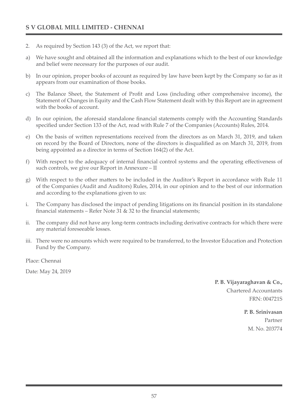- 2. As required by Section 143 (3) of the Act, we report that:
- a) We have sought and obtained all the information and explanations which to the best of our knowledge and belief were necessary for the purposes of our audit.
- b) In our opinion, proper books of account as required by law have been kept by the Company so far as it appears from our examination of those books.
- c) The Balance Sheet, the Statement of Profit and Loss (including other comprehensive income), the Statement of Changes in Equity and the Cash Flow Statement dealt with by this Report are in agreement with the books of account.
- d) In our opinion, the aforesaid standalone financial statements comply with the Accounting Standards specified under Section 133 of the Act, read with Rule 7 of the Companies (Accounts) Rules, 2014.
- e) On the basis of written representations received from the directors as on March 31, 2019, and taken on record by the Board of Directors, none of the directors is disqualified as on March 31, 2019, from being appointed as a director in terms of Section 164(2) of the Act.
- f) With respect to the adequacy of internal financial control systems and the operating effectiveness of such controls, we give our Report in Annexure – II
- g) With respect to the other matters to be included in the Auditor's Report in accordance with Rule 11 of the Companies (Audit and Auditors) Rules, 2014, in our opinion and to the best of our information and according to the explanations given to us:
- i. The Company has disclosed the impact of pending litigations on its financial position in its standalone financial statements – Refer Note 31 & 32 to the financial statements;
- ii. The company did not have any long-term contracts including derivative contracts for which there were any material foreseeable losses.
- iii. There were no amounts which were required to be transferred, to the Investor Education and Protection Fund by the Company.

Place: Chennai

Date: May 24, 2019

**P. B. Vijayaraghavan & Co.,** Chartered Accountants FRN: 004721S

> **P. B. Srinivasan** Partner M. No. 203774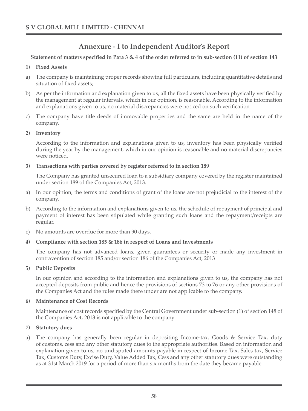# **Annexure - I to Independent Auditor's Report**

#### **Statement of matters specified in Para 3 & 4 of the order referred to in sub-section (11) of section 143**

#### **1) Fixed Assets**

- a) The company is maintaining proper records showing full particulars, including quantitative details and situation of fixed assets;
- b) As per the information and explanation given to us, all the fixed assets have been physically verified by the management at regular intervals, which in our opinion, is reasonable. According to the information and explanations given to us, no material discrepancies were noticed on such verification
- c) The company have title deeds of immovable properties and the same are held in the name of the company.

#### **2) Inventory**

According to the information and explanations given to us, inventory has been physically verified during the year by the management, which in our opinion is reasonable and no material discrepancies were noticed.

#### **3) Transactions with parties covered by register referred to in section 189**

The Company has granted unsecured loan to a subsidiary company covered by the register maintained under section 189 of the Companies Act, 2013.

- a) In our opinion, the terms and conditions of grant of the loans are not prejudicial to the interest of the company.
- b) According to the information and explanations given to us, the schedule of repayment of principal and payment of interest has been stipulated while granting such loans and the repayment/receipts are regular.
- c) No amounts are overdue for more than 90 days.

#### **4) Compliance with section 185 & 186 in respect of Loans and Investments**

The company has not advanced loans, given guarantees or security or made any investment in contravention of section 185 and/or section 186 of the Companies Act, 2013

#### **5) Public Deposits**

In our opinion and according to the information and explanations given to us, the company has not accepted deposits from public and hence the provisions of sections 73 to 76 or any other provisions of the Companies Act and the rules made there under are not applicable to the company.

#### **6) Maintenance of Cost Records**

Maintenance of cost records specified by the Central Government under sub-section (1) of section 148 of the Companies Act, 2013 is not applicable to the company

#### **7) Statutory dues**

a) The company has generally been regular in depositing Income-tax, Goods & Service Tax, duty of customs, cess and any other statutory dues to the appropriate authorities. Based on information and explanation given to us, no undisputed amounts payable in respect of Income Tax, Sales-tax, Service Tax, Customs Duty, Excise Duty, Value Added Tax, Cess and any other statutory dues were outstanding as at 31st March 2019 for a period of more than six months from the date they became payable.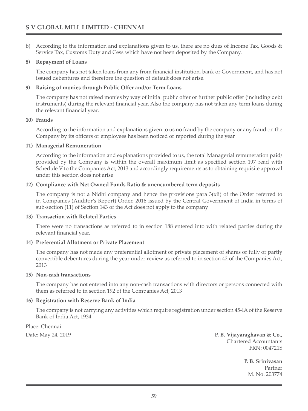b) According to the information and explanations given to us, there are no dues of Income Tax, Goods & Service Tax, Customs Duty and Cess which have not been deposited by the Company.

#### **8) Repayment of Loans**

The company has not taken loans from any from financial institution, bank or Government, and has not issued debentures and therefore the question of default does not arise.

#### **9) Raising of monies through Public Offer and/or Term Loans**

The company has not raised monies by way of initial public offer or further public offer (including debt instruments) during the relevant financial year. Also the company has not taken any term loans during the relevant financial year.

#### **10) Frauds**

According to the information and explanations given to us no fraud by the company or any fraud on the Company by its officers or employees has been noticed or reported during the year

#### **11) Managerial Remuneration**

According to the information and explanations provided to us, the total Managerial remuneration paid/ provided by the Company is within the overall maximum limit as specified section 197 read with Schedule V to the Companies Act, 2013 and accordingly requirements as to obtaining requisite approval under this section does not arise

#### **12) Compliance with Net Owned Funds Ratio & unencumbered term deposits**

The company is not a Nidhi company and hence the provisions para  $3(xii)$  of the Order referred to in Companies (Auditor's Report) Order, 2016 issued by the Central Government of India in terms of sub-section (11) of Section 143 of the Act does not apply to the company

#### **13) Transaction with Related Parties**

There were no transactions as referred to in section 188 entered into with related parties during the relevant financial year.

#### **14) Preferential Allotment or Private Placement**

The company has not made any preferential allotment or private placement of shares or fully or partly convertible debentures during the year under review as referred to in section 42 of the Companies Act, 2013

#### **15) Non-cash transactions**

The company has not entered into any non-cash transactions with directors or persons connected with them as referred to in section 192 of the Companies Act, 2013

#### **16) Registration with Reserve Bank of India**

The company is not carrying any activities which require registration under section 45-IA of the Reserve Bank of India Act, 1934

Place: Chennai

Date: May 24, 2019 **P. B. Vijayaraghavan & Co.,** Chartered Accountants FRN: 004721S

> **P. B. Srinivasan** Partner M. No. 203774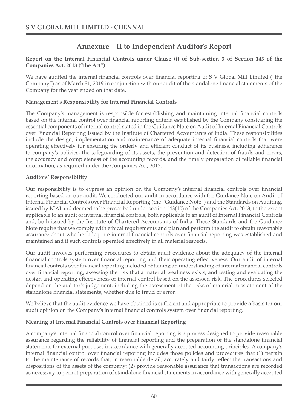# **Annexure – II to Independent Auditor's Report**

#### **Report on the Internal Financial Controls under Clause (i) of Sub-section 3 of Section 143 of the Companies Act, 2013 ("the Act")**

We have audited the internal financial controls over financial reporting of S V Global Mill Limited ("the Company") as of March 31, 2019 in conjunction with our audit of the standalone financial statements of the Company for the year ended on that date.

#### **Management's Responsibility for Internal Financial Controls**

The Company's management is responsible for establishing and maintaining internal financial controls based on the internal control over financial reporting criteria established by the Company considering the essential components of internal control stated in the Guidance Note on Audit of Internal Financial Controls over Financial Reporting issued by the Institute of Chartered Accountants of India. These responsibilities include the design, implementation and maintenance of adequate internal financial controls that were operating effectively for ensuring the orderly and efficient conduct of its business, including adherence to company's policies, the safeguarding of its assets, the prevention and detection of frauds and errors, the accuracy and completeness of the accounting records, and the timely preparation of reliable financial information, as required under the Companies Act, 2013.

#### **Auditors' Responsibility**

Our responsibility is to express an opinion on the Company's internal financial controls over financial reporting based on our audit. We conducted our audit in accordance with the Guidance Note on Audit of Internal Financial Controls over Financial Reporting (the "Guidance Note") and the Standards on Auditing, issued by ICAI and deemed to be prescribed under section 143(10) of the Companies Act, 2013, to the extent applicable to an audit of internal financial controls, both applicable to an audit of Internal Financial Controls and, both issued by the Institute of Chartered Accountants of India. Those Standards and the Guidance Note require that we comply with ethical requirements and plan and perform the audit to obtain reasonable assurance about whether adequate internal financial controls over financial reporting was established and maintained and if such controls operated effectively in all material respects.

Our audit involves performing procedures to obtain audit evidence about the adequacy of the internal financial controls system over financial reporting and their operating effectiveness. Our audit of internal financial controls over financial reporting included obtaining an understanding of internal financial controls over financial reporting, assessing the risk that a material weakness exists, and testing and evaluating the design and operating effectiveness of internal control based on the assessed risk. The procedures selected depend on the auditor's judgement, including the assessment of the risks of material misstatement of the standalone financial statements, whether due to fraud or error.

We believe that the audit evidence we have obtained is sufficient and appropriate to provide a basis for our audit opinion on the Company's internal financial controls system over financial reporting.

#### **Meaning of Internal Financial Controls over Financial Reporting**

A company's internal financial control over financial reporting is a process designed to provide reasonable assurance regarding the reliability of financial reporting and the preparation of the standalone financial statements for external purposes in accordance with generally accepted accounting principles. A company's internal financial control over financial reporting includes those policies and procedures that (1) pertain to the maintenance of records that, in reasonable detail, accurately and fairly reflect the transactions and dispositions of the assets of the company; (2) provide reasonable assurance that transactions are recorded as necessary to permit preparation of standalone financial statements in accordance with generally accepted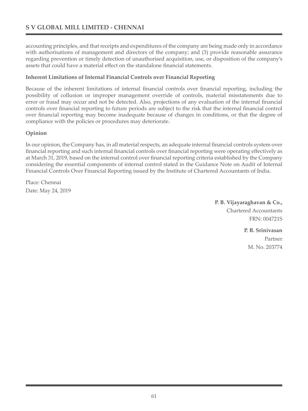accounting principles, and that receipts and expenditures of the company are being made only in accordance with authorisations of management and directors of the company; and (3) provide reasonable assurance regarding prevention or timely detection of unauthorised acquisition, use, or disposition of the company's assets that could have a material effect on the standalone financial statements.

#### **Inherent Limitations of Internal Financial Controls over Financial Reporting**

Because of the inherent limitations of internal financial controls over financial reporting, including the possibility of collusion or improper management override of controls, material misstatements due to error or fraud may occur and not be detected. Also, projections of any evaluation of the internal financial controls over financial reporting to future periods are subject to the risk that the internal financial control over financial reporting may become inadequate because of changes in conditions, or that the degree of compliance with the policies or procedures may deteriorate.

#### **Opinion**

In our opinion, the Company has, in all material respects, an adequate internal financial controls system over financial reporting and such internal financial controls over financial reporting were operating effectively as at March 31, 2019, based on the internal control over financial reporting criteria established by the Company considering the essential components of internal control stated in the Guidance Note on Audit of Internal Financial Controls Over Financial Reporting issued by the Institute of Chartered Accountants of India.

Place: Chennai Date: May 24, 2019

> **P. B. Vijayaraghavan & Co.,** Chartered Accountants FRN: 004721S **P. B. Srinivasan**

Partner M. No. 203774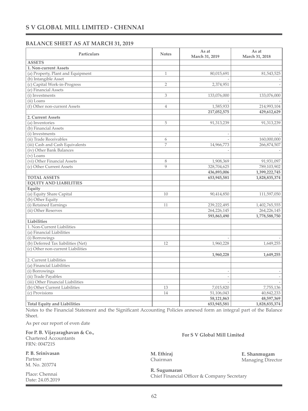#### **BALANCE SHEET AS AT MARCH 31, 2019**

| Particulars                         | <b>Notes</b>   | As at<br>March 31, 2019 | As at<br>March 31, 2018 |
|-------------------------------------|----------------|-------------------------|-------------------------|
| <b>ASSETS</b>                       |                |                         |                         |
| 1. Non-current Assets               |                |                         |                         |
| (a) Property, Plant and Equipment   | $\mathbf{1}$   | 80,015,691              | 81,543,525              |
| (b) Intangible Asset                |                |                         |                         |
| (c) Capital Work-in-Progress        | $\overline{2}$ | 2,374,951               |                         |
| (e) Financial Assets                |                |                         |                         |
| (i) Investments                     | 3              | 133,076,000             | 133,076,000             |
| (ii) Loans                          |                |                         |                         |
| (f) Other non-current Assets        | $\overline{4}$ | 1,585,933               | 214,993,104             |
|                                     |                | 217,052,575             | 429,612,629             |
| 2. Current Assets                   |                |                         |                         |
| (a) Inventories                     | 5              | 91,313,239              | 91,313,239              |
| (b) Financial Assets                |                |                         |                         |
| (i) Investments                     |                |                         |                         |
| (ii) Trade Receivables              | 6              |                         | 160,000,000             |
| (iii) Cash and Cash Equivalents     | $\overline{7}$ | 14,966,773              | 266,874,507             |
| (iv) Other Bank Balances            |                |                         |                         |
| (v) Loans                           |                |                         |                         |
| (vi) Other Financial Assets         | $\,$ 8 $\,$    | 1,908,369               | 91,931,097              |
| (c) Other Current Assets            | 9              | 328,704,625             | 789,103,902             |
|                                     |                | 436,893,006             | 1,399,222,745           |
| <b>TOTAL ASSETS</b>                 |                | 653,945,581             | 1,828,835,374           |
| <b>EQUITY AND LIABILITIES</b>       |                |                         |                         |
| Equity                              |                |                         |                         |
| (a) Equity Share Capital            | 10             | 90,414,850              | 111,597,050             |
| (b) Other Equity                    |                |                         |                         |
| (i) Retained Earnings               | 11             | 239,222,495             | 1,402,765,555           |
| (ii) Other Reserves                 |                | 264,226,145             | 264,226,145             |
|                                     |                | 593,863,490             | 1,778,588,750           |
| Liabilities                         |                |                         |                         |
| 1. Non-Current Liabilities          |                |                         |                         |
| (a) Financial Liabilities           |                |                         |                         |
| (i) Borrowings                      |                |                         |                         |
| (b) Deferred Tax liabilities (Net)  | 12             | 1,960,228               | 1,649,255               |
| (c) Other non-current Liabilities   |                |                         |                         |
|                                     |                | 1,960,228               | 1,649,255               |
| 2. Current Liabilities              |                |                         |                         |
| (a) Financial Liabilities           |                |                         |                         |
| (i) Borrowings                      |                |                         |                         |
| (ii) Trade Payables                 |                |                         |                         |
| (iii) Other Financial Liabilities   |                |                         |                         |
| (b) Other Current Liabilities       | 13             | 7,015,820               | 7,755,136               |
| (c) Provisions                      | 14             | 51,106,043              | 40,842,233              |
|                                     |                | 58,121,863              | 48,597,369              |
| <b>Total Equity and Liabilities</b> |                | 653,945,581             | 1,828,835,374           |

Notes to the Financial Statement and the Significant Accounting Policies annexed form an integral part of the Balance Sheet.

As per our report of even date

**For P. B. Vijayaraghavan & Co.,** Chartered Accountants FRN: 004721S

**P. B. Srinivasan** Partner M. No. 203774

Place: Chennai Date: 24.05.2019  **For S V Global Mill Limited**

 **M. Ethiraj**  Chairman

 **E. Shanmugam**  Managing Director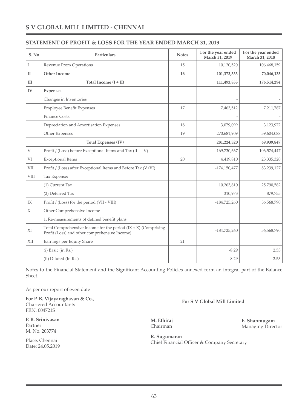| S. No        | Particulars                                                                                                       | <b>Notes</b> | For the year ended<br>March 31, 2019 | For the year ended<br>March 31, 2018 |
|--------------|-------------------------------------------------------------------------------------------------------------------|--------------|--------------------------------------|--------------------------------------|
| Ι            | Revenue From Operations                                                                                           | 15           | 10,120,520                           | 106,468,159                          |
| $\mathbf{I}$ | Other Income                                                                                                      | 16           | 101,373,333                          | 70,046,135                           |
| III          | Total Income $(I + II)$                                                                                           |              | 111,493,853                          | 176,514,294                          |
| IV           | Expenses                                                                                                          |              |                                      |                                      |
|              | Changes in Inventories                                                                                            |              |                                      |                                      |
|              | <b>Employee Benefit Expenses</b>                                                                                  | 17           | 7,463,512                            | 7,211,787                            |
|              | <b>Finance Costs</b>                                                                                              |              |                                      |                                      |
|              | Depreciation and Amortisation Expenses                                                                            | 18           | 3,079,099                            | 3,123,972                            |
|              | Other Expenses                                                                                                    | 19           | 270,681,909                          | 59,604,088                           |
|              | <b>Total Expenses (IV)</b>                                                                                        |              | 281,224,520                          | 69,939,847                           |
| $\mathbf V$  | Profit / (Loss) before Exceptional Items and Tax (III - IV)                                                       |              | $-169,730,667$                       | 106,574,447                          |
| VI           | <b>Exceptional Items</b>                                                                                          | 20           | 4,419,810                            | 23,335,320                           |
| <b>VII</b>   | Profit / (Loss) after Exceptional Items and Before Tax (V+VI)                                                     |              | $-174, 150, 477$                     | 83,239,127                           |
| <b>VIII</b>  | Tax Expense:                                                                                                      |              |                                      |                                      |
|              | (1) Current Tax                                                                                                   |              | 10,263,810                           | 25,790,582                           |
|              | (2) Deferred Tax                                                                                                  |              | 310,973                              | 879,755                              |
| IX           | Profit / (Loss) for the period (VII - VIII)                                                                       |              | $-184,725,260$                       | 56,568,790                           |
| X            | Other Comprehensive Income                                                                                        |              |                                      |                                      |
|              | 1. Re-measurements of defined benefit plans                                                                       |              |                                      |                                      |
| XI           | Total Comprehensive Income for the period $(IX + X)$ (Comprising<br>Profit (Loss) and other comprehensive Income) |              | $-184,725,260$                       | 56,568,790                           |
| XII          | Earnings per Equity Share                                                                                         | 21           |                                      |                                      |
|              | $(i)$ Basic $(in Rs.)$                                                                                            |              | $-8.29$                              | 2.53                                 |
|              | (ii) Diluted (In Rs.)                                                                                             |              | $-8.29$                              | 2.53                                 |

## **STATEMENT OF PROFIT & LOSS FOR THE YEAR ENDED MARCH 31, 2019**

Notes to the Financial Statement and the Significant Accounting Policies annexed form an integral part of the Balance Sheet.

As per our report of even date

**For P. B. Vijayaraghavan & Co.,** Chartered Accountants FRN: 004721S

**P. B. Srinivasan** Partner M. No. 203774

Place: Chennai Date: 24.05.2019  **For S V Global Mill Limited**

 **M. Ethiraj**  Chairman

 **E. Shanmugam**  Managing Director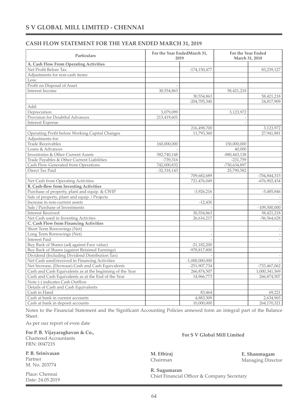#### **CASH FLOW STATEMENT FOR THE YEAR ENDED MARCH 31, 2019**

| Particulars                                               | For the Year EndedMarch 31,<br>2019 |                  | For the Year Ended<br>March 31, 2018 |                |
|-----------------------------------------------------------|-------------------------------------|------------------|--------------------------------------|----------------|
| A. Cash Flow From Operating Activities                    |                                     |                  |                                      |                |
| Net Profit Before Tax                                     |                                     | $-174, 150, 477$ |                                      | 83,239,127     |
| Adjustments for non-cash items:                           |                                     |                  |                                      |                |
| Less:                                                     |                                     |                  |                                      |                |
| Profit on Disposal of Asset                               |                                     |                  |                                      |                |
| Interest Income                                           | 30,554,863                          |                  | 58,421,218                           |                |
|                                                           |                                     | 30,554,863       |                                      | 58,421,218     |
|                                                           |                                     | $-204,705,340$   |                                      | 24,817,909     |
| Add:                                                      |                                     |                  |                                      |                |
| Depreciation                                              | 3,079,099                           |                  | 3,123,972                            |                |
| Provision for Doubtful Advances                           | 213,419,601                         |                  |                                      |                |
| <b>Interest Expense</b>                                   |                                     |                  |                                      |                |
|                                                           |                                     | 216,498,700      |                                      | 3,123,972      |
| Operating Profit before Working Capital Changes           |                                     | 11,793,360       |                                      | 27,941,881     |
| Adjustments for:                                          |                                     |                  |                                      |                |
| <b>Trade Receivables</b>                                  | 160,000,000                         |                  | 150,000,000                          |                |
| Loans & Advances                                          |                                     |                  | 40,000                               |                |
| Inventories & Other Current Assets                        | 582,740,148                         |                  | $-880,443,138$                       |                |
| Trade Payables & Other Current Liabilities                | $-739,316$                          |                  | $-231,759$                           |                |
| Cash Flow Generated from Operations                       | 742,000,832                         |                  | -730,634,897                         |                |
|                                                           |                                     |                  |                                      |                |
| Direct Tax Paid                                           | $-32,318,143$                       |                  | 25,790,582                           |                |
|                                                           |                                     | 709,682,689      |                                      | $-704,844,315$ |
| Net Cash from Operating Activities                        |                                     | 721,476,049      |                                      | $-676,902,434$ |
| <b>B. Cash-flow from Investing Activities</b>             |                                     |                  |                                      |                |
| Purchase of property, plant and equip. & CWIP             |                                     | $-3,926,216$     |                                      | $-5,485,846$   |
| Sale of property, plant and equip. / Projects             |                                     |                  |                                      |                |
| Increase in non-current assets                            |                                     | $-12,430$        |                                      |                |
| Sale / Purchase of Investments                            |                                     |                  |                                      | $-109,500,000$ |
| <b>Interest Received</b>                                  |                                     | 30,554,863       |                                      | 58,421,218     |
| Net Cash used in Investing Activites                      |                                     | 26,616,217       |                                      | $-56,564,628$  |
| C. Cash Flow from Financing Activities                    |                                     |                  |                                      |                |
| Short Term Borrowings (Net)                               |                                     |                  |                                      |                |
| Long Term Borrowings (Net)                                |                                     |                  |                                      |                |
| <b>Interest Paid</b>                                      |                                     |                  |                                      |                |
| Buy Back of Shares (adj against Face value)               |                                     | $-21,182,200$    |                                      |                |
| Buy Back of Shares (against Retained Earnings)            |                                     | -978,817,800     |                                      |                |
| Dividend (Including Dividend Distribution Tax)            |                                     |                  |                                      |                |
| Net Cash used/received in Financing Activities            |                                     | $-1,000,000,000$ |                                      |                |
| Net Increase, (Decrease) Cash and Cash Equivalents        |                                     | $-251,907,734$   |                                      | $-733,467,062$ |
| Cash and Cash Equivalents as at the beginning of the Year |                                     | 266,874,507      |                                      | 1,000,341,569  |
| Cash and Cash Equivalents as at the End of the Year       |                                     | 14,966,773       |                                      | 266,874,507    |
| Note (-) indicates Cash Outflow                           |                                     |                  |                                      |                |
| Details of Cash and Cash Equivalents                      |                                     |                  |                                      |                |
| Cash in Hand                                              |                                     | 83,464           |                                      | 69,221         |
| Cash at bank in current accounts                          |                                     | 4,883,309        |                                      | 2,634,965      |
| Cash at bank in deposit accounts                          |                                     | 10,000,000       |                                      | 264,170,321    |

Notes to the Financial Statement and the Significant Accounting Policies annexed form an integral part of the Balance Sheet.

As per our report of even date

**For P. B. Vijayaraghavan & Co.,** Chartered Accountants FRN: 004721S

**P. B. Srinivasan** Partner M. No. 203774

Place: Chennai Date: 24.05.2019  **For S V Global Mill Limited**

 **M. Ethiraj**  Chairman

 **E. Shanmugam**  Managing Director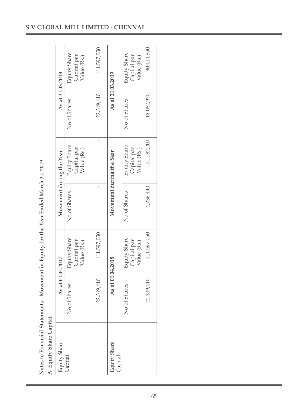| $-210$                                             |                      |
|----------------------------------------------------|----------------------|
| 1<br>1<br>1                                        |                      |
|                                                    |                      |
| , 1171                                             |                      |
| ثم                                                 |                      |
| U1 LI                                              |                      |
| WE THE HOTTLET FOR TH                              |                      |
|                                                    |                      |
|                                                    |                      |
|                                                    |                      |
| al Statements - Mo-                                | $\ddot{\phantom{a}}$ |
|                                                    |                      |
| ֧֧֧֧֧֧֧֧֧֧֧֧֧֧֦֧֚֚֝֓֕֝֬֝֬֝֬֓֓֝֓֝֬֝֬֝֓֝֬֝֬֝֬֓֝֬֝֬֝֬ | $\frac{1}{2}$        |
|                                                    |                      |
|                                                    | ,                    |

| Notes to Financial Statements - Movement in Equity for the Year Ended March 31, 2019<br>A. Equity Share Capital |                  |                                            |                          |                                                   |                  |                                            |
|-----------------------------------------------------------------------------------------------------------------|------------------|--------------------------------------------|--------------------------|---------------------------------------------------|------------------|--------------------------------------------|
|                                                                                                                 |                  |                                            |                          |                                                   |                  |                                            |
| Equity Share<br>Capital                                                                                         |                  | As at 01.04.2017                           | Movement during the Year |                                                   | As at 31.03.2018 |                                            |
|                                                                                                                 | No of Shares     | Equity Share<br>Capital par<br>Value (Rs.) | No of Shares             | <b>Equity Share</b><br>Capital par<br>Value (Rs.) | No of Shares     | Equity Share<br>Capital par<br>Value (Rs.) |
|                                                                                                                 | 22,319,410       | 111,597,050                                |                          |                                                   | 22,319,410       | 111,597,050                                |
| Equity Share<br>Capital                                                                                         | As at 01.04.2018 |                                            | Movement during the Year |                                                   | As at 31.03.2019 |                                            |
|                                                                                                                 | No of Shares     | Equity Share<br>Capital par<br>Value (Rs.) | No of Shares             | Equity Share<br>Capital par<br>Value (Rs.)        | No of Shares     | Equity Share<br>Capital par<br>Value (Rs.) |
|                                                                                                                 | 22,319,410       | 111,597,050                                | $-4,236,440$             | $-21,182,200$                                     | 18,082,970       | 90,414,850                                 |
|                                                                                                                 |                  |                                            |                          |                                                   |                  |                                            |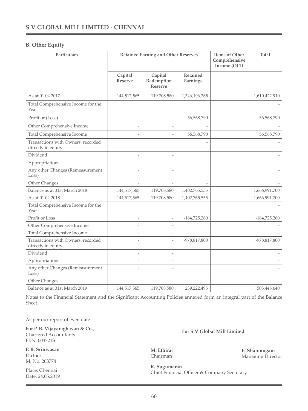#### **B. Other Equity**

| Particulars                                              |                    | <b>Retained Earning and Other Reserves</b> |                      | Items of Other<br>Comprehensive<br>Income (OCI) | Total          |
|----------------------------------------------------------|--------------------|--------------------------------------------|----------------------|-------------------------------------------------|----------------|
|                                                          | Capital<br>Reserve | Capital<br>Redemption<br>Reserve           | Retained<br>Earnings |                                                 |                |
| As at 01.04.2017                                         | 144,517,565        | 119,708,580                                | 1,346,196,765        |                                                 | 1,610,422,910  |
| Total Comprehensive Income for the<br>Year               |                    |                                            |                      |                                                 |                |
| Profit or (Loss)                                         |                    |                                            | 56,568,790           |                                                 | 56,568,790     |
| Other Comprehensive Income                               |                    |                                            |                      |                                                 |                |
| Total Comprehensive Income                               |                    |                                            | 56,568,790           |                                                 | 56,568,790     |
| Transactions with Owners, recorded<br>directly in equity |                    |                                            |                      |                                                 |                |
| Dividend                                                 |                    |                                            |                      |                                                 |                |
| Appropriations                                           |                    |                                            |                      |                                                 |                |
| Any other Changes (Remeasurement<br>Loss)                |                    |                                            |                      |                                                 |                |
| Other Changes                                            |                    |                                            |                      |                                                 |                |
| Balance as at 31st March 2018                            | 144,517,565        | 119,708,580                                | 1,402,765,555        |                                                 | 1,666,991,700  |
| As at 01.04.2018                                         | 144,517,565        | 119,708,580                                | 1,402,765,555        |                                                 | 1,666,991,700  |
| Total Comprehensive Income for the<br>Year               |                    |                                            |                      |                                                 |                |
| Profit or Loss                                           |                    |                                            | $-184,725,260$       |                                                 | $-184,725,260$ |
| Other Comprehensive Income                               |                    |                                            |                      |                                                 |                |
| <b>Total Comprehensive Income</b>                        |                    |                                            |                      |                                                 |                |
| Transactions with Owners, recorded<br>directly in equity |                    |                                            | -978,817,800         |                                                 | -978,817,800   |
| Dividend                                                 |                    |                                            |                      |                                                 |                |
| Appropriations                                           |                    |                                            |                      |                                                 |                |
| Any other Changes (Remeasurement<br>Loss)                |                    |                                            |                      |                                                 |                |
| Other Changes                                            |                    |                                            |                      |                                                 |                |
| Balance as at 31st March 2019                            | 144,517,565        | 119,708,580                                | 239,222,495          |                                                 | 503,448,640    |

Notes to the Financial Statement and the Significant Accounting Policies annexed form an integral part of the Balance Sheet.

As per our report of even date

**For P. B. Vijayaraghavan & Co.,** Chartered Accountants FRN: 004721S

**P. B. Srinivasan** Partner M. No. 203774

Place: Chennai Date: 24.05.2019  **For S V Global Mill Limited**

 **M. Ethiraj**  Chairman

 **E. Shanmugam**  Managing Director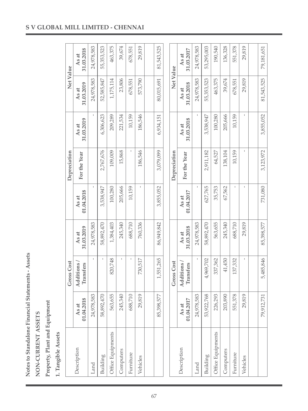| Notes to Standalone Financial Statements - Assets |                     |                        |                     |                     |              |                     |                     |                     |
|---------------------------------------------------|---------------------|------------------------|---------------------|---------------------|--------------|---------------------|---------------------|---------------------|
| NON-CURRENT ASSETS                                |                     |                        |                     |                     |              |                     |                     |                     |
| Property, Plant and Equipment                     |                     |                        |                     |                     |              |                     |                     |                     |
| 1. Tangible Assets                                |                     |                        |                     |                     |              |                     |                     |                     |
|                                                   |                     | Gross Cost             |                     |                     | Depreciation |                     | Net Value           |                     |
| Description                                       | 01.04.2018<br>As at | Additions<br>Transfers | 31.03.2019<br>As at | 01.04.2018<br>As at | For the Year | 31.03.2019<br>As at | 31.03.2019<br>As at | 31.03.2018<br>As at |
| Land                                              | 24,978,583          |                        | 24,978,583          |                     |              |                     | 24,978,583          | 24,978,583          |
| Building                                          | 58,892,470          |                        | 58,892,470          | 3,538,947           | 2,767,676    | 6,306,623           | 52,585,847          | 55,353,523          |
| Office Equipments                                 | 563,655             | 820,748                | 1,384,403           | 100,280             | 109,009      | 209,289             | 1,175,114           | 463,375             |
| Computers                                         | 245,340             |                        | 245,340             | 205,666             | 15,868       | 221,534             | 23,806              | 39,674              |
| Furniture                                         | 688,710             |                        | 688,710             | 10,159              |              | 10,159              | 678,551             | 678,551             |
| Vehicles                                          | 29,819              | 730,517                | 760,336             |                     | 186,546      | 186,546             | 573,790             | 29,819              |
|                                                   |                     |                        |                     |                     |              |                     |                     |                     |
|                                                   | 85,398,577          | 1,551,265              | 86,949,842          | 3,855,052           | 3,079,099    | 6,934,151           | 80,015,691          | 81,543,525          |
|                                                   |                     |                        |                     |                     |              |                     |                     |                     |
|                                                   |                     | Gross Cost             |                     |                     | Depreciation |                     | Net Value           |                     |
| Description                                       | 01.04.2017<br>As at | Additions<br>Transfers | 31.03.2018<br>As at | 01.04.2017<br>As at | For the Year | 31.03.2018<br>As at | 31.03.2018<br>As at | 31.03.2017<br>As at |
| Land                                              | 24,978,583          | $\mathbf{I}$           | 24,978,583          | $\mathbf{I}$        |              | $\mathbf{I}$        | 24,978,583          | 24,978,583          |
| <b>Building</b>                                   | 53,922,768          | 4,969,702              | 58,892,470          | 627,765             | 2,911,182    | 3,538,947           | 55,353,523          | 53,295,003          |
| Office Equipments                                 | 226,293             | 337,362                | 563,655             | 35,753              | 64,527       | 100,280             | 463,375             | 190,540             |
| Computers                                         | 203,890             | 41,450                 | 245,340             | 67,562              | 138,104      | 205,666             | 39,674              | 136,328             |
| Furniture                                         | 551,378             | 137,332                | 688,710             | $\mathbf{I}$        | 10,159       | 10,159              | 678,551             | 551,378             |
| Vehicles                                          | 29,819              | $\mathsf I$            | 29,819              | $\mathsf{I}$        | $\mathsf I$  | $\mathsf I$         | 29,819              | 29,819              |
|                                                   |                     |                        |                     |                     |              |                     |                     |                     |
|                                                   | 79,912,731          | 5,485,846              | 85,398,577          | 731,080             | 3,123,972    | 3,855,052           | 81,543,525          | 79,181,651          |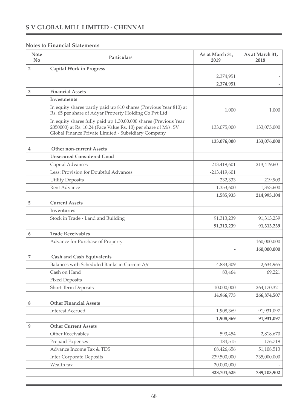#### **Notes to Financial Statements**

| <b>Note</b><br>No | Particulars                                                                                                                                                                               | As at March 31,<br>2019 | As at March 31,<br>2018 |
|-------------------|-------------------------------------------------------------------------------------------------------------------------------------------------------------------------------------------|-------------------------|-------------------------|
| 2                 | <b>Capital Work in Progress</b>                                                                                                                                                           |                         |                         |
|                   |                                                                                                                                                                                           | 2,374,951               |                         |
|                   |                                                                                                                                                                                           | 2,374,951               |                         |
| 3                 | <b>Financial Assets</b>                                                                                                                                                                   |                         |                         |
|                   | Investments                                                                                                                                                                               |                         |                         |
|                   | In equity shares partly paid up 810 shares (Previous Year 810) at<br>Rs. 65 per share of Adyar Property Holding Co Pvt Ltd                                                                | 1,000                   | 1,000                   |
|                   | In equity shares fully paid up 1,30,00,000 shares (Previous Year<br>2050000) at Rs. 10.24 (Face Value Rs. 10) per share of M/s. SV<br>Global Finance Private Limited - Subsidiary Company | 133,075,000             | 133,075,000             |
|                   |                                                                                                                                                                                           | 133,076,000             | 133,076,000             |
| $\overline{4}$    | <b>Other non-current Assets</b>                                                                                                                                                           |                         |                         |
|                   | <b>Unsecured Considered Good</b>                                                                                                                                                          |                         |                         |
|                   | Capital Advances                                                                                                                                                                          | 213,419,601             | 213,419,601             |
|                   | Less: Provision for Doubtful Advances                                                                                                                                                     | -213,419,601            |                         |
|                   | <b>Utility Deposits</b>                                                                                                                                                                   | 232,333                 | 219,903                 |
|                   | Rent Advance                                                                                                                                                                              | 1,353,600               | 1,353,600               |
|                   |                                                                                                                                                                                           | 1,585,933               | 214,993,104             |
| 5                 | <b>Current Assets</b>                                                                                                                                                                     |                         |                         |
|                   | Inventories                                                                                                                                                                               |                         |                         |
|                   | Stock in Trade - Land and Building                                                                                                                                                        | 91,313,239              | 91,313,239              |
|                   |                                                                                                                                                                                           | 91,313,239              | 91,313,239              |
| 6                 | <b>Trade Receivables</b>                                                                                                                                                                  |                         |                         |
|                   | Advance for Purchase of Property                                                                                                                                                          |                         | 160,000,000             |
|                   |                                                                                                                                                                                           |                         | 160,000,000             |
| 7                 | <b>Cash and Cash Equivalents</b>                                                                                                                                                          |                         |                         |
|                   | Balances with Scheduled Banks in Current A/c                                                                                                                                              | 4,883,309               | 2,634,965               |
|                   | Cash on Hand                                                                                                                                                                              | 83,464                  | 69,221                  |
|                   | <b>Fixed Deposits</b>                                                                                                                                                                     |                         |                         |
|                   | Short Term Deposits                                                                                                                                                                       | 10,000,000              | 264,170,321             |
|                   |                                                                                                                                                                                           | 14,966,773              | 266,874,507             |
| 8                 | <b>Other Financial Assets</b>                                                                                                                                                             |                         |                         |
|                   | <b>Interest Accrued</b>                                                                                                                                                                   | 1,908,369               | 91,931,097              |
|                   |                                                                                                                                                                                           | 1,908,369               | 91,931,097              |
| 9                 | <b>Other Current Assets</b>                                                                                                                                                               |                         |                         |
|                   | Other Receivables                                                                                                                                                                         | 593,454                 | 2,818,670               |
|                   | Prepaid Expenses                                                                                                                                                                          | 184,515                 | 176,719                 |
|                   | Advance Income Tax & TDS                                                                                                                                                                  | 68,426,656              | 51,108,513              |
|                   | <b>Inter Corporate Deposits</b>                                                                                                                                                           | 239,500,000             | 735,000,000             |
|                   | Wealth tax                                                                                                                                                                                | 20,000,000              |                         |
|                   |                                                                                                                                                                                           | 328,704,625             | 789,103,902             |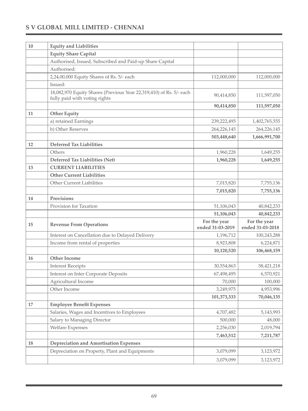| 10 | <b>Equity and Liabilities</b>                                                                        |                                  |                                  |
|----|------------------------------------------------------------------------------------------------------|----------------------------------|----------------------------------|
|    | <b>Equity Share Capital</b>                                                                          |                                  |                                  |
|    | Authorised, Issued, Subscribed and Paid-up Share Capital                                             |                                  |                                  |
|    | Authorised:                                                                                          |                                  |                                  |
|    | 2,24,00,000 Equity Shares of Rs. 5/- each                                                            | 112,000,000                      | 112,000,000                      |
|    | Issued:                                                                                              |                                  |                                  |
|    | 18,082,970 Equity Shares (Previous Year 22,319,410) of Rs. 5/- each<br>fully paid with voting rights | 90,414,850                       | 111,597,050                      |
|    |                                                                                                      | 90,414,850                       | 111,597,050                      |
| 11 | Other Equity                                                                                         |                                  |                                  |
|    | a) retained Earnings                                                                                 | 239,222,495                      | 1,402,765,555                    |
|    | b) Other Reserves                                                                                    | 264,226,145                      | 264,226,145                      |
|    |                                                                                                      | 503,448,640                      | 1,666,991,700                    |
| 12 | <b>Deferred Tax Liabilities</b>                                                                      |                                  |                                  |
|    | Others                                                                                               | 1,960,228                        | 1,649,255                        |
|    | Deferred Tax Liabilities (Net)                                                                       | 1,960,228                        | 1,649,255                        |
| 13 | <b>CURRENT LIABILITIES</b>                                                                           |                                  |                                  |
|    | <b>Other Current Liabilities</b>                                                                     |                                  |                                  |
|    | Other Current Liabilities                                                                            | 7,015,820                        | 7,755,136                        |
|    |                                                                                                      | 7,015,820                        | 7,755,136                        |
| 14 | Provisions                                                                                           |                                  |                                  |
|    | Provision for Taxation                                                                               | 51,106,043                       | 40,842,233                       |
|    |                                                                                                      | 51,106,043                       | 40,842,233                       |
| 15 | <b>Revenue From Operations</b>                                                                       | For the year<br>ended 31-03-2019 | For the year<br>ended 31-03-2018 |
|    | Interest on Cancellation due to Delayed Delivery                                                     | 1,196,712                        | 100,243,288                      |
|    | Income from rental of properties                                                                     | 8,923,808                        | 6,224,871                        |
|    |                                                                                                      | 10,120,520                       | 106,468,159                      |
| 16 | Other Income                                                                                         |                                  |                                  |
|    | <b>Interest Receipts</b>                                                                             | 30,554,863                       | 58,421,218                       |
|    | Interest on Inter Corporate Deposits                                                                 | 67,498,495                       | 6,570,921                        |
|    | Agricultural Income                                                                                  | 70,000                           | 100,000                          |
|    | Other Income                                                                                         | 3,249,975                        | 4,953,996                        |
|    |                                                                                                      | 101,373,333                      | 70,046,135                       |
| 17 | <b>Employee Benefit Expenses</b>                                                                     |                                  |                                  |
|    | Salaries, Wages and Incentives to Employees                                                          | 4,707,482                        | 5,143,993                        |
|    | Salary to Managing Director                                                                          | 500,000                          | 48,000                           |
|    | Welfare Expenses                                                                                     | 2,256,030                        | 2,019,794                        |
|    |                                                                                                      | 7,463,512                        | 7,211,787                        |
| 18 | <b>Depreciation and Amortisation Expenses</b>                                                        |                                  |                                  |
|    | Depreciation on Property, Plant and Equipments                                                       | 3,079,099                        | 3,123,972                        |
|    |                                                                                                      |                                  |                                  |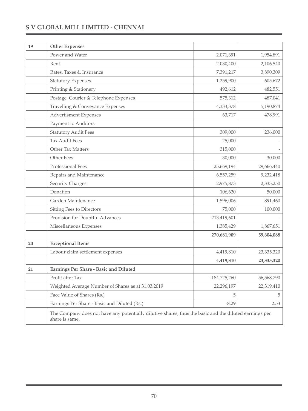| 19 | <b>Other Expenses</b>                                                                                                    |                |            |
|----|--------------------------------------------------------------------------------------------------------------------------|----------------|------------|
|    | Power and Water                                                                                                          | 2,071,391      | 1,954,891  |
|    | Rent                                                                                                                     | 2,030,400      | 2,106,540  |
|    | Rates, Taxes & Insurance                                                                                                 | 7,391,217      | 3,890,309  |
|    | <b>Statutory Expenses</b>                                                                                                | 1,259,900      | 605,672    |
|    | Printing & Stationery                                                                                                    | 492,612        | 482,551    |
|    | Postage, Courier & Telephone Expenses                                                                                    | 575,312        | 487,041    |
|    | Travelling & Conveyance Expenses                                                                                         | 4,333,378      | 5,190,874  |
|    | Advertisment Expenses                                                                                                    | 63,717         | 478,991    |
|    | Payment to Auditors                                                                                                      |                |            |
|    | <b>Statutory Audit Fees</b>                                                                                              | 309,000        | 236,000    |
|    | <b>Tax Audit Fees</b>                                                                                                    | 25,000         |            |
|    | Other Tax Matters                                                                                                        | 315,000        |            |
|    | Other Fees                                                                                                               | 30,000         | 30,000     |
|    | <b>Professional Fees</b>                                                                                                 | 25,669,194     | 29,666,440 |
|    | Repairs and Maintenance                                                                                                  | 6,557,259      | 9,232,418  |
|    | Security Charges                                                                                                         | 2,975,873      | 2,333,250  |
|    | Donation                                                                                                                 | 106,620        | 50,000     |
|    | Garden Maintenance                                                                                                       | 1,596,006      | 891,460    |
|    | Sitting Fees to Directors                                                                                                | 75,000         | 100,000    |
|    | Provision for Doubtful Advances                                                                                          | 213,419,601    |            |
|    | Miscellaneous Expenses                                                                                                   | 1,385,429      | 1,867,651  |
|    |                                                                                                                          | 270,681,909    | 59,604,088 |
| 20 | <b>Exceptional Items</b>                                                                                                 |                |            |
|    | Labour claim settlement expenses                                                                                         | 4,419,810      | 23,335,320 |
|    |                                                                                                                          | 4,419,810      | 23,335,320 |
| 21 | Earnings Per Share - Basic and Diluted                                                                                   |                |            |
|    | Profit after Tax                                                                                                         | $-184,725,260$ | 56,568,790 |
|    | Weighted Average Number of Shares as at 31.03.2019                                                                       | 22,296,197     | 22,319,410 |
|    | Face Value of Shares (Rs.)                                                                                               | 5              | 5          |
|    | Earnings Per Share - Basic and Diluted (Rs.)                                                                             | $-8.29$        | 2.53       |
|    | The Company does not have any potentially dilutive shares, thus the basic and the diluted earnings per<br>share is same. |                |            |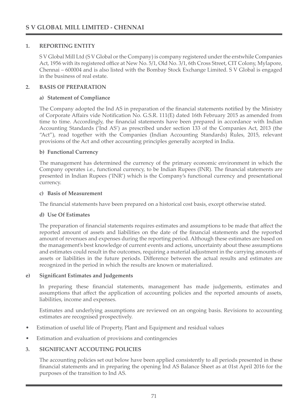#### **1. REPORTING ENTITY**

S V Global Mill Ltd (S V Global or the Company) is company registered under the erstwhile Companies Act, 1956 with its registered office at New No. 5/1, Old No. 3/1, 6th Cross Street, CIT Colony, Mylapore, Chennai – 600004 and is also listed with the Bombay Stock Exchange Limited. S V Global is engaged in the business of real estate.

#### **2. BASIS OF PREPARATION**

#### **a) Statement of Compliance**

The Company adopted the Ind AS in preparation of the financial statements notified by the Ministry of Corporate Affairs vide Notification No. G.S.R. 111(E) dated 16th February 2015 as amended from time to time. Accordingly, the financial statements have been prepared in accordance with Indian Accounting Standards ('Ind AS') as prescribed under section 133 of the Companies Act, 2013 (the "Act"), read together with the Companies (Indian Accounting Standards) Rules, 2015, relevant provisions of the Act and other accounting principles generally accepted in India.

#### **b) Functional Currency**

The management has determined the currency of the primary economic environment in which the Company operates i.e., functional currency, to be Indian Rupees (INR). The financial statements are presented in Indian Rupees ('INR') which is the Company's functional currency and presentational currency.

#### **c) Basis of Measurement**

The financial statements have been prepared on a historical cost basis, except otherwise stated.

#### **d) Use Of Estimates**

The preparation of financial statements requires estimates and assumptions to be made that affect the reported amount of assets and liabilities on the date of the financial statements and the reported amount of revenues and expenses during the reporting period. Although these estimates are based on the management's best knowledge of current events and actions, uncertainty about these assumptions and estimates could result in the outcomes, requiring a material adjustment in the carrying amounts of assets or liabilities in the future periods. Difference between the actual results and estimates are recognized in the period in which the results are known or materialized.

#### **e) Significant Estimates and Judgements**

In preparing these financial statements, management has made judgements, estimates and assumptions that affect the application of accounting policies and the reported amounts of assets, liabilities, income and expenses.

Estimates and underlying assumptions are reviewed on an ongoing basis. Revisions to accounting estimates are recognised prospectively.

- Estimation of useful life of Property, Plant and Equipment and residual values
- Estimation and evaluation of provisions and contingencies

### **3. SIGNIFICANT ACCOUTING POLICIES**

The accounting policies set out below have been applied consistently to all periods presented in these financial statements and in preparing the opening Ind AS Balance Sheet as at 01st April 2016 for the purposes of the transition to Ind AS.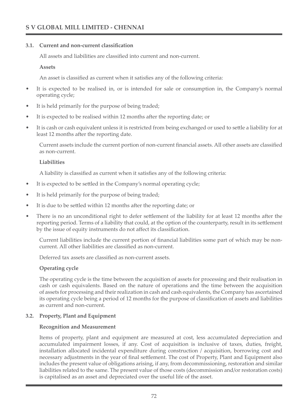# **S V GLOBAL MILL LIMITED - CHENNAI**

#### **3.1. Current and non-current classification**

All assets and liabilities are classified into current and non-current.

#### **Assets**

An asset is classified as current when it satisfies any of the following criteria:

- It is expected to be realised in, or is intended for sale or consumption in, the Company's normal operating cycle;
- It is held primarily for the purpose of being traded;
- It is expected to be realised within 12 months after the reporting date; or
- It is cash or cash equivalent unless it is restricted from being exchanged or used to settle a liability for at least 12 months after the reporting date.

Current assets include the current portion of non-current financial assets. All other assets are classified as non-current.

## **Liabilities**

A liability is classified as current when it satisfies any of the following criteria:

- It is expected to be settled in the Company's normal operating cycle;
- It is held primarily for the purpose of being traded;
- It is due to be settled within 12 months after the reporting date; or
- There is no an unconditional right to defer settlement of the liability for at least 12 months after the reporting period. Terms of a liability that could, at the option of the counterparty, result in its settlement by the issue of equity instruments do not affect its classification.

Current liabilities include the current portion of financial liabilities some part of which may be noncurrent. All other liabilities are classified as non-current.

Deferred tax assets are classified as non-current assets.

## **Operating cycle**

The operating cycle is the time between the acquisition of assets for processing and their realisation in cash or cash equivalents. Based on the nature of operations and the time between the acquisition of assets for processing and their realization in cash and cash equivalents, the Company has ascertained its operating cycle being a period of 12 months for the purpose of classification of assets and liabilities as current and non-current.

#### **3.2. Property, Plant and Equipment**

#### **Recognition and Measurement**

Items of property, plant and equipment are measured at cost, less accumulated depreciation and accumulated impairment losses, if any. Cost of acquisition is inclusive of taxes, duties, freight, installation allocated incidental expenditure during construction / acquisition, borrowing cost and necessary adjustments in the year of final settlement. The cost of Property, Plant and Equipment also includes the present value of obligations arising, if any, from decommissioning, restoration and similar liabilities related to the same. The present value of those costs (decommission and/or restoration costs) is capitalised as an asset and depreciated over the useful life of the asset.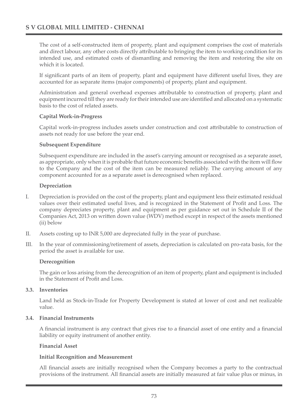The cost of a self-constructed item of property, plant and equipment comprises the cost of materials and direct labour, any other costs directly attributable to bringing the item to working condition for its intended use, and estimated costs of dismantling and removing the item and restoring the site on which it is located.

If significant parts of an item of property, plant and equipment have different useful lives, they are accounted for as separate items (major components) of property, plant and equipment.

Administration and general overhead expenses attributable to construction of property, plant and equipment incurred till they are ready for their intended use are identified and allocated on a systematic basis to the cost of related assets.

## **Capital Work-in-Progress**

Capital work-in-progress includes assets under construction and cost attributable to construction of assets not ready for use before the year end.

#### **Subsequent Expenditure**

Subsequent expenditure are included in the asset's carrying amount or recognised as a separate asset, as appropriate, only when it is probable that future economic benefits associated with the item will flow to the Company and the cost of the item can be measured reliably. The carrying amount of any component accounted for as a separate asset is derecognised when replaced.

## **Depreciation**

- I. Depreciation is provided on the cost of the property, plant and equipment less their estimated residual values over their estimated useful lives, and is recognized in the Statement of Profit and Loss. The company depreciates property, plant and equipment as per guidance set out in Schedule II of the Companies Act, 2013 on written down value (WDV) method except in respect of the assets mentioned (ii) below
- II. Assets costing up to INR 5,000 are depreciated fully in the year of purchase.
- III. In the year of commissioning/retirement of assets, depreciation is calculated on pro-rata basis, for the period the asset is available for use.

#### **Derecognition**

The gain or loss arising from the derecognition of an item of property, plant and equipment is included in the Statement of Profit and Loss.

#### **3.3. Inventories**

Land held as Stock-in-Trade for Property Development is stated at lower of cost and net realizable value.

#### **3.4. Financial Instruments**

A financial instrument is any contract that gives rise to a financial asset of one entity and a financial liability or equity instrument of another entity.

#### **Financial Asset**

## **Initial Recognition and Measurement**

All financial assets are initially recognised when the Company becomes a party to the contractual provisions of the instrument. All financial assets are initially measured at fair value plus or minus, in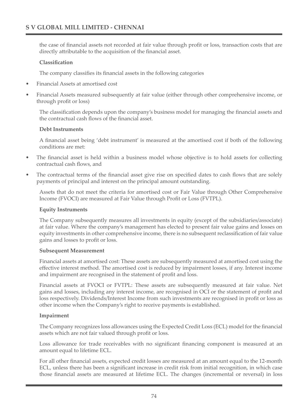# **S V GLOBAL MILL LIMITED - CHENNAI**

the case of financial assets not recorded at fair value through profit or loss, transaction costs that are directly attributable to the acquisition of the financial asset.

#### **Classification**

The company classifies its financial assets in the following categories

- Financial Assets at amortised cost
- Financial Assets measured subsequently at fair value (either through other comprehensive income, or through profit or loss)

The classification depends upon the company's business model for managing the financial assets and the contractual cash flows of the financial asset.

## **Debt Instruments**

A financial asset being 'debt instrument' is measured at the amortised cost if both of the following conditions are met:

- The financial asset is held within a business model whose objective is to hold assets for collecting contractual cash flows, and
- The contractual terms of the financial asset give rise on specified dates to cash flows that are solely payments of principal and interest on the principal amount outstanding.

Assets that do not meet the criteria for amortised cost or Fair Value through Other Comprehensive Income (FVOCI) are measured at Fair Value through Profit or Loss (FVTPL).

#### **Equity Instruments**

The Company subsequently measures all investments in equity (except of the subsidiaries/associate) at fair value. Where the company's management has elected to present fair value gains and losses on equity investments in other comprehensive income, there is no subsequent reclassification of fair value gains and losses to profit or loss.

#### **Subsequent Measurement**

Financial assets at amortised cost: These assets are subsequently measured at amortised cost using the effective interest method. The amortised cost is reduced by impairment losses, if any. Interest income and impairment are recognised in the statement of profit and loss.

Financial assets at FVOCI or FVTPL: These assets are subsequently measured at fair value. Net gains and losses, including any interest income, are recognised in OCI or the statement of profit and loss respectively. Dividends/Interest Income from such investments are recognised in profit or loss as other income when the Company's right to receive payments is established.

## **Impairment**

The Company recognizes loss allowances using the Expected Credit Loss (ECL) model for the financial assets which are not fair valued through profit or loss.

Loss allowance for trade receivables with no significant financing component is measured at an amount equal to lifetime ECL.

For all other financial assets, expected credit losses are measured at an amount equal to the 12-month ECL, unless there has been a significant increase in credit risk from initial recognition, in which case those financial assets are measured at lifetime ECL. The changes (incremental or reversal) in loss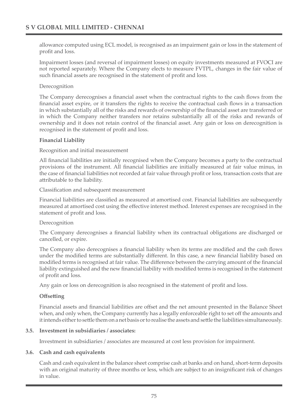allowance computed using ECL model, is recognised as an impairment gain or loss in the statement of profit and loss.

Impairment losses (and reversal of impairment losses) on equity investments measured at FVOCI are not reported separately. Where the Company elects to measure FVTPL, changes in the fair value of such financial assets are recognised in the statement of profit and loss.

## Derecognition

The Company derecognises a financial asset when the contractual rights to the cash flows from the financial asset expire, or it transfers the rights to receive the contractual cash flows in a transaction in which substantially all of the risks and rewards of ownership of the financial asset are transferred or in which the Company neither transfers nor retains substantially all of the risks and rewards of ownership and it does not retain control of the financial asset. Any gain or loss on derecognition is recognised in the statement of profit and loss.

## **Financial Liability**

Recognition and initial measurement

All financial liabilities are initially recognised when the Company becomes a party to the contractual provisions of the instrument. All financial liabilities are initially measured at fair value minus, in the case of financial liabilities not recorded at fair value through profit or loss, transaction costs that are attributable to the liability.

Classification and subsequent measurement

Financial liabilities are classified as measured at amortised cost. Financial liabilities are subsequently measured at amortised cost using the effective interest method. Interest expenses are recognised in the statement of profit and loss.

#### Derecognition

The Company derecognises a financial liability when its contractual obligations are discharged or cancelled, or expire.

The Company also derecognises a financial liability when its terms are modified and the cash flows under the modified terms are substantially different. In this case, a new financial liability based on modified terms is recognised at fair value. The difference between the carrying amount of the financial liability extinguished and the new financial liability with modified terms is recognised in the statement of profit and loss.

Any gain or loss on derecognition is also recognised in the statement of profit and loss.

## **Offsetting**

Financial assets and financial liabilities are offset and the net amount presented in the Balance Sheet when, and only when, the Company currently has a legally enforceable right to set off the amounts and it intends either to settle them on a net basis or to realise the assets and settle the liabilities simultaneously.

#### **3.5. Investment in subsidiaries / associates:**

Investment in subsidiaries / associates are measured at cost less provision for impairment.

## **3.6. Cash and cash equivalents**

Cash and cash equivalent in the balance sheet comprise cash at banks and on hand, short-term deposits with an original maturity of three months or less, which are subject to an insignificant risk of changes in value.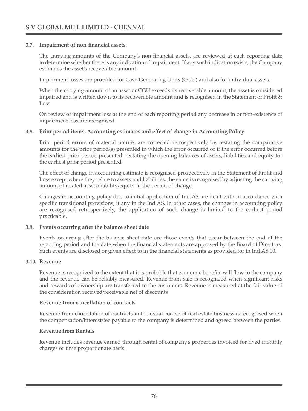## **3.7. Impairment of non-financial assets:**

The carrying amounts of the Company's non-financial assets, are reviewed at each reporting date to determine whether there is any indication of impairment. If any such indication exists, the Company estimates the asset's recoverable amount.

Impairment losses are provided for Cash Generating Units (CGU) and also for individual assets.

When the carrying amount of an asset or CGU exceeds its recoverable amount, the asset is considered impaired and is written down to its recoverable amount and is recognised in the Statement of Profit & Loss

On review of impairment loss at the end of each reporting period any decrease in or non-existence of impairment loss are recognised

## **3.8. Prior period items, Accounting estimates and effect of change in Accounting Policy**

Prior period errors of material nature, are corrected retrospectively by restating the comparative amounts for the prior period(s) presented in which the error occurred or if the error occurred before the earliest prior period presented, restating the opening balances of assets, liabilities and equity for the earliest prior period presented.

The effect of change in accounting estimate is recognised prospectively in the Statement of Profit and Loss except where they relate to assets and liabilities, the same is recognised by adjusting the carrying amount of related assets/liability/equity in the period of change.

Changes in accounting policy due to initial application of Ind AS are dealt with in accordance with specific transitional provisions, if any in the Ind AS. In other cases, the changes in accounting policy are recognised retrospectively, the application of such change is limited to the earliest period practicable.

#### **3.9. Events occurring after the balance sheet date**

Events occurring after the balance sheet date are those events that occur between the end of the reporting period and the date when the financial statements are approved by the Board of Directors. Such events are disclosed or given effect to in the financial statements as provided for in Ind AS 10.

#### **3.10. Revenue**

Revenue is recognized to the extent that it is probable that economic benefits will flow to the company and the revenue can be reliably measured. Revenue from sale is recognized when significant risks and rewards of ownership are transferred to the customers. Revenue is measured at the fair value of the consideration received/receivable net of discounts

#### **Revenue from cancellation of contracts**

Revenue from cancellation of contracts in the usual course of real estate business is recognised when the compensation/interest/fee payable to the company is determined and agreed between the parties.

#### **Revenue from Rentals**

Revenue includes revenue earned through rental of company's properties invoiced for fixed monthly charges or time proportionate basis.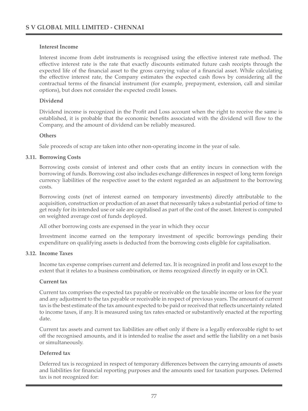#### **Interest Income**

Interest income from debt instruments is recognised using the effective interest rate method. The effective interest rate is the rate that exactly discounts estimated future cash receipts through the expected life of the financial asset to the gross carrying value of a financial asset. While calculating the effective interest rate, the Company estimates the expected cash flows by considering all the contractual terms of the financial instrument (for example, prepayment, extension, call and similar options), but does not consider the expected credit losses.

## **Dividend**

Dividend income is recognized in the Profit and Loss account when the right to receive the same is established, it is probable that the economic benefits associated with the dividend will flow to the Company, and the amount of dividend can be reliably measured.

## **Others**

Sale proceeds of scrap are taken into other non-operating income in the year of sale.

## **3.11. Borrowing Costs**

Borrowing costs consist of interest and other costs that an entity incurs in connection with the borrowing of funds. Borrowing cost also includes exchange differences in respect of long term foreign currency liabilities of the respective asset to the extent regarded as an adjustment to the borrowing costs.

Borrowing costs (net of interest earned on temporary investments) directly attributable to the acquisition, construction or production of an asset that necessarily takes a substantial period of time to get ready for its intended use or sale are capitalised as part of the cost of the asset. Interest is computed on weighted average cost of funds deployed.

All other borrowing costs are expensed in the year in which they occur

Investment income earned on the temporary investment of specific borrowings pending their expenditure on qualifying assets is deducted from the borrowing costs eligible for capitalisation.

#### **3.12. Income Taxes**

Income tax expense comprises current and deferred tax. It is recognized in profit and loss except to the extent that it relates to a business combination, or items recognized directly in equity or in OCI.

#### **Current tax**

Current tax comprises the expected tax payable or receivable on the taxable income or loss for the year and any adjustment to the tax payable or receivable in respect of previous years. The amount of current tax is the best estimate of the tax amount expected to be paid or received that reflects uncertainty related to income taxes, if any. It is measured using tax rates enacted or substantively enacted at the reporting date.

Current tax assets and current tax liabilities are offset only if there is a legally enforceable right to set off the recognised amounts, and it is intended to realise the asset and settle the liability on a net basis or simultaneously.

## **Deferred tax**

Deferred tax is recognized in respect of temporary differences between the carrying amounts of assets and liabilities for financial reporting purposes and the amounts used for taxation purposes. Deferred tax is not recognized for: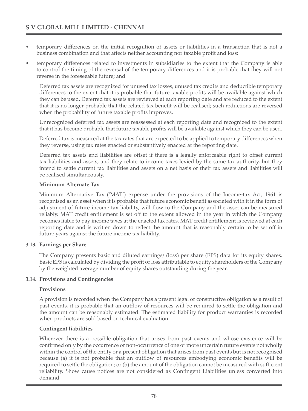# **S V GLOBAL MILL LIMITED - CHENNAI**

- temporary differences on the initial recognition of assets or liabilities in a transaction that is not a business combination and that affects neither accounting nor taxable profit and loss;
- temporary differences related to investments in subsidiaries to the extent that the Company is able to control the timing of the reversal of the temporary differences and it is probable that they will not reverse in the foreseeable future; and

Deferred tax assets are recognized for unused tax losses, unused tax credits and deductible temporary differences to the extent that it is probable that future taxable profits will be available against which they can be used. Deferred tax assets are reviewed at each reporting date and are reduced to the extent that it is no longer probable that the related tax benefit will be realised; such reductions are reversed when the probability of future taxable profits improves.

Unrecognized deferred tax assets are reassessed at each reporting date and recognized to the extent that it has become probable that future taxable profits will be available against which they can be used.

Deferred tax is measured at the tax rates that are expected to be applied to temporary differences when they reverse, using tax rates enacted or substantively enacted at the reporting date.

Deferred tax assets and liabilities are offset if there is a legally enforceable right to offset current tax liabilities and assets, and they relate to income taxes levied by the same tax authority, but they intend to settle current tax liabilities and assets on a net basis or their tax assets and liabilities will be realised simultaneously.

#### **Minimum Alternate Tax**

Minimum Alternative Tax ('MAT') expense under the provisions of the Income-tax Act, 1961 is recognised as an asset when it is probable that future economic benefit associated with it in the form of adjustment of future income tax liability, will flow to the Company and the asset can be measured reliably. MAT credit entitlement is set off to the extent allowed in the year in which the Company becomes liable to pay income taxes at the enacted tax rates. MAT credit entitlement is reviewed at each reporting date and is written down to reflect the amount that is reasonably certain to be set off in future years against the future income tax liability.

#### **3.13. Earnings per Share**

The Company presents basic and diluted earnings/ (loss) per share (EPS) data for its equity shares. Basic EPS is calculated by dividing the profit or loss attributable to equity shareholders of the Company by the weighted average number of equity shares outstanding during the year.

#### **3.14. Provisions and Contingencies**

#### **Provisions**

A provision is recorded when the Company has a present legal or constructive obligation as a result of past events, it is probable that an outflow of resources will be required to settle the obligation and the amount can be reasonably estimated. The estimated liability for product warranties is recorded when products are sold based on technical evaluation.

#### **Contingent liabilities**

Wherever there is a possible obligation that arises from past events and whose existence will be confirmed only by the occurrence or non-occurrence of one or more uncertain future events not wholly within the control of the entity or a present obligation that arises from past events but is not recognised because (a) it is not probable that an outflow of resources embodying economic benefits will be required to settle the obligation; or (b) the amount of the obligation cannot be measured with sufficient reliability. Show cause notices are not considered as Contingent Liabilities unless converted into demand.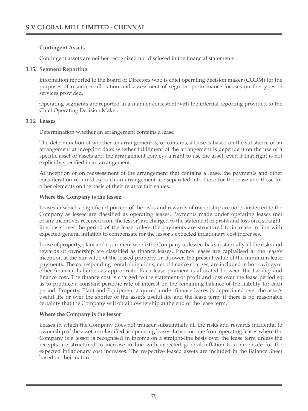## **Contingent Assets**

Contingent assets are neither recognized nor disclosed in the financial statements.

## **3.15. Segment Reporting**

Information reported to the Board of Directors who is chief operating decision maker (CODM) for the purposes of resources allocation and assessment of segment performance focuses on the types of services provided.

Operating segments are reported in a manner consistent with the internal reporting provided to the Chief Operating Decision Maker.

## **3.16. Leases**

Determination whether an arrangement contains a lease

The determination of whether an arrangement is, or contains, a lease is based on the substance of an arrangement at inception date: whether fulfillment of the arrangement is dependent on the use of a specific asset or assets and the arrangement conveys a right to use the asset, even if that right is not explicitly specified in an arrangement.

At inception or on reassessment of the arrangement that contains a lease, the payments and other consideration required by such an arrangement are separated into those for the lease and those for other elements on the basis of their relative fair values.

## **Where the Company is the lessee**

Leases in which a significant portion of the risks and rewards of ownership are not transferred to the Company as lessee are classified as operating leases. Payments made under operating leases (net of any incentives received from the lessor) are charged to the statement of profit and loss on a straightline basis over the period of the lease unless the payments are structured to increase in line with expected general inflation to compensate for the lessor's expected inflationary cost increases.

Lease of property, plant and equipment where the Company, as lessee, has substantially all the risks and rewards of ownership are classified as finance leases. Finance leases are capitalised at the lease's inception at the fair value of the leased property or, if lower, the present value of the minimum lease payments. The corresponding rental obligations, net of finance charges, are included in borrowings or other financial liabilities as appropriate. Each lease payment is allocated between the liability and finance cost. The finance cost is charged to the statement of profit and loss over the lease period so as to produce a constant periodic rate of interest on the remaining balance of the liability for each period. Property, Plant and Equipment acquired under finance leases is depreciated over the asset's useful life or over the shorter of the asset's useful life and the lease term, if there is no reasonable certainty that the Company will obtain ownership at the end of the lease term.

## **Where the Company is the lessor**

Leases in which the Company does not transfer substantially all the risks and rewards incidental to ownership of the asset are classified as operating leases. Lease income from operating leases where the Company is a lessor is recognised in income on a straight-line basis over the lease term unless the receipts are structured to increase in line with expected general inflation to compensate for the expected inflationary cost increases. The respective leased assets are included in the Balance Sheet based on their nature.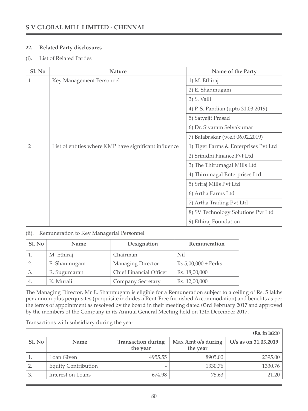## **22. Related Party disclosures**

## (i). List of Related Parties

| Sl. No         | <b>Nature</b>                                         | Name of the Party                    |
|----------------|-------------------------------------------------------|--------------------------------------|
| 1              | Key Management Personnel                              | 1) M. Ethiraj                        |
|                |                                                       | 2) E. Shanmugam                      |
|                |                                                       | 3) S. Valli                          |
|                |                                                       | 4) P. S. Pandian (upto 31.03.2019)   |
|                |                                                       | 5) Satyajit Prasad                   |
|                |                                                       | 6) Dr. Sivaram Selvakumar            |
|                |                                                       | 7) Balabaskar (w.e.f 06.02.2019)     |
| $\overline{2}$ | List of entities where KMP have significant influence | 1) Tiger Farms & Enterprises Pvt Ltd |
|                |                                                       | 2) Srinidhi Finance Pvt Ltd          |
|                |                                                       | 3) The Thirumagal Mills Ltd          |
|                |                                                       | 4) Thirumagal Enterprises Ltd        |
|                |                                                       | 5) Sriraj Mills Pvt Ltd              |
|                |                                                       | 6) Artha Farms Ltd                   |
|                |                                                       | 7) Artha Trading Pvt Ltd             |
|                |                                                       | 8) SV Technology Solutions Pvt Ltd   |
|                |                                                       | 9) Ethiraj Foundation                |

## (ii). Remuneration to Key Managerial Personnel

| Sl. No | <b>Name</b>  | Designation             | Remuneration          |
|--------|--------------|-------------------------|-----------------------|
|        | M. Ethiraj   | Chairman                | N <sub>il</sub>       |
|        | E. Shanmugam | Managing Director       | $Rs.5,00,000 + Perks$ |
| 3.     | R. Sugumaran | Chief Financial Officer | Rs. 18,00,000         |
|        | K. Murali    | Company Secretary       | Rs. 12,00,000         |

The Managing Director, Mr E. Shanmugam is eligible for a Remuneration subject to a ceiling of Rs. 5 lakhs per annum plus perquisites (perquisite includes a Rent-Free furnished Accommodation) and benefits as per the terms of appointment as resolved by the board in their meeting dated 03rd February 2017 and approved by the members of the Company in its Annual General Meeting held on 13th December 2017.

Transactions with subsidiary during the year

|        |                            |                                       |                                | (Rs. in lakh)          |
|--------|----------------------------|---------------------------------------|--------------------------------|------------------------|
| Sl. No | Name                       | <b>Transaction during</b><br>the year | Max Amt o/s during<br>the year | $O/s$ as on 31.03.2019 |
|        | Loan Given                 | 4955.55                               | 8905.00                        | 2395.00                |
|        | <b>Equity Contribution</b> |                                       | 1330.76                        | 1330.76                |
|        | Interest on Loans          | 674.98                                | 75.63                          | 21.20                  |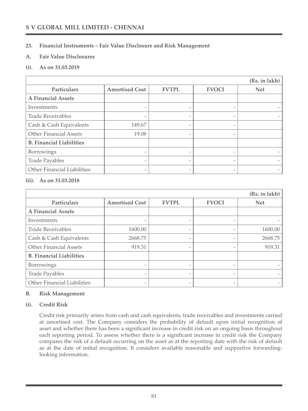# **S V GLOBAL MILL LIMITED - CHENNAI**

## **23. Financial Instruments – Fair Value Disclosure and Risk Management**

## **A. Fair Value Disclosures**

#### **(i). As on 31.03.2019**

|                                 |                          |                          |                          | (Rs. in lakh) |
|---------------------------------|--------------------------|--------------------------|--------------------------|---------------|
| <b>Particulars</b>              | <b>Amortised Cost</b>    | <b>FVTPL</b>             | <b>FVOCI</b>             | <b>Net</b>    |
| <b>A Financial Assets</b>       |                          |                          |                          |               |
| Investments                     |                          |                          |                          |               |
| <b>Trade Receivables</b>        |                          |                          |                          |               |
| Cash & Cash Equivalents         | 149.67                   | $\overline{\phantom{a}}$ |                          |               |
| <b>Other Financial Assets</b>   | 19.08                    | $\overline{\phantom{a}}$ |                          |               |
| <b>B. Financial Liabilities</b> |                          |                          |                          |               |
| <b>Borrowings</b>               |                          |                          |                          |               |
| <b>Trade Payables</b>           | $\overline{\phantom{0}}$ |                          |                          |               |
| Other Financial Liabilities     | $\qquad \qquad$          | $\overline{\phantom{a}}$ | $\overline{\phantom{a}}$ |               |

## **(ii). As on 31.03.2018**

|                                 |                       |                |                          | (Rs. in lakh) |
|---------------------------------|-----------------------|----------------|--------------------------|---------------|
| Particulars                     | <b>Amortised Cost</b> | <b>FVTPL</b>   | <b>FVOCI</b>             | <b>Net</b>    |
| <b>A Financial Assets</b>       |                       |                |                          |               |
| Investments                     |                       | -              | $\overline{\phantom{a}}$ |               |
| <b>Trade Receivables</b>        | 1600.00               | $\overline{a}$ |                          | 1600.00       |
| Cash & Cash Equivalents         | 2668.75               |                |                          | 2668.75       |
| <b>Other Financial Assets</b>   | 919.31                | $\overline{a}$ |                          | 919.31        |
| <b>B. Financial Liabilities</b> |                       |                |                          |               |
| <b>Borrowings</b>               |                       |                |                          |               |
| <b>Trade Payables</b>           |                       |                |                          |               |
| Other Financial Liabilities     |                       |                | $\overline{\phantom{a}}$ |               |

#### **B. Risk Management**

## **(i). Credit Risk**

Credit risk primarily arises from cash and cash equivalents, trade receivables and investments carried at amortised cost. The Company considers the probability of default upon initial recognition of asset and whether there has been a significant increase in credit risk on an ongoing basis throughout each reporting period. To assess whether there is a significant increase in credit risk the Company compares the risk of a default occurring on the asset as at the reporting date with the risk of default as at the date of initial recognition. It considers available reasonable and supportive forwardinglooking information.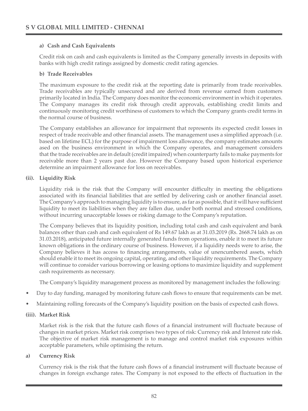## **a) Cash and Cash Equivalents**

Credit risk on cash and cash equivalents is limited as the Company generally invests in deposits with banks with high credit ratings assigned by domestic credit rating agencies.

## **b) Trade Receivables**

The maximum exposure to the credit risk at the reporting date is primarily from trade receivables. Trade receivables are typically unsecured and are derived from revenue earned from customers primarily located in India. The Company does monitor the economic environment in which it operates. The Company manages its credit risk through credit approvals, establishing credit limits and continuously monitoring credit worthiness of customers to which the Company grants credit terms in the normal course of business.

The Company establishes an allowance for impairment that represents its expected credit losses in respect of trade receivable and other financial assets. The management uses a simplified approach (i.e. based on lifetime ECL) for the purpose of impairment loss allowance, the company estimates amounts ased on the business environment in which the Company operates, and management considers that the trade receivables are in default (credit impaired) when counterparty fails to make payments for receivable more than 2 years past due. However the Company based upon historical experience determine an impairment allowance for loss on receivables.

## **(ii). Liquidity Risk**

Liquidity risk is the risk that the Company will encounter difficulty in meeting the obligations associated with its financial liabilities that are settled by delivering cash or another financial asset. The Company's approach to managing liquidity is to ensure, as far as possible, that it will have sufficient liquidity to meet its liabilities when they are fallen due, under both normal and stressed conditions, without incurring unacceptable losses or risking damage to the Company's reputation.

The Company believes that its liquidity position, including total cash and cash equivalent and bank balances other than cash and cash equivalent of Rs 149.67 lakh as at 31.03.2019 (Rs. 2668.74 lakh as on 31.03.2018), anticipated future internally generated funds from operations, enable it to meet its future known obligations in the ordinary course of business. However, if a liquidity needs were to arise, the Company believes it has access to financing arrangements, value of unencumbered assets, which should enable it to meet its ongoing capital, operating, and other liquidity requirements. The Company will continue to consider various borrowing or leasing options to maximize liquidity and supplement cash requirements as necessary.

The Company's liquidity management process as monitored by management includes the following:

- Day to day funding, managed by monitoring future cash flows to ensure that requirements can be met.
- Maintaining rolling forecasts of the Company's liquidity position on the basis of expected cash flows.

#### **(iii). Market Risk**

Market risk is the risk that the future cash flows of a financial instrument will fluctuate because of changes in market prices. Market risk comprises two types of risk: Currency risk and Interest rate risk. The objective of market risk management is to manage and control market risk exposures within acceptable parameters, while optimising the return.

#### **a) Currency Risk**

Currency risk is the risk that the future cash flows of a financial instrument will fluctuate because of changes in foreign exchange rates. The Company is not exposed to the effects of fluctuation in the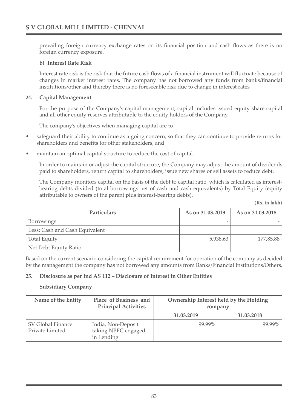prevailing foreign currency exchange rates on its financial position and cash flows as there is no foreign currency exposure.

#### **b) Interest Rate Risk**

Interest rate risk is the risk that the future cash flows of a financial instrument will fluctuate because of changes in market interest rates. The company has not borrowed any funds from banks/financial institutions/other and thereby there is no foreseeable risk due to change in interest rates

#### **24. Capital Management**

For the purpose of the Company's capital management, capital includes issued equity share capital and all other equity reserves attributable to the equity holders of the Company.

The company's objectives when managing capital are to

- safeguard their ability to continue as a going concern, so that they can continue to provide returns for shareholders and benefits for other stakeholders, and
- maintain an optimal capital structure to reduce the cost of capital.

In order to maintain or adjust the capital structure, the Company may adjust the amount of dividends paid to shareholders, return capital to shareholders, issue new shares or sell assets to reduce debt.

The Company monitors capital on the basis of the debt to capital ratio, which is calculated as interestbearing debts divided (total borrowings net of cash and cash equivalents) by Total Equity (equity attributable to owners of the parent plus interest-bearing debts).

|  |  | . . |
|--|--|-----|
|--|--|-----|

| <b>Particulars</b>             | As on 31,03,2019         | As on 31,03,2018 |
|--------------------------------|--------------------------|------------------|
| Borrowings                     | $\overline{\phantom{a}}$ |                  |
| Less: Cash and Cash Equivalent |                          |                  |
| <b>Total Equity</b>            | 5,938.63                 | 177,85.88        |
| Net Debt Equity Ratio          |                          |                  |

Based on the current scenario considering the capital requirement for operation of the company as decided by the management the company has not borrowed any amounts from Banks/Financial Institutions/Others.

## **25. Disclosure as per Ind AS 112 – Disclosure of Interest in Other Entities**

#### **Subsidiary Company**

| Name of the Entity                   | Place of Business and<br><b>Principal Activities</b>    | Ownership Interest held by the Holding<br>company |            |
|--------------------------------------|---------------------------------------------------------|---------------------------------------------------|------------|
|                                      |                                                         | 31.03.2019                                        | 31.03.2018 |
| SV Global Finance<br>Private Limited | India, Non-Deposit<br>taking NBFC engaged<br>in Lending | 99.99%                                            | $99.99\%$  |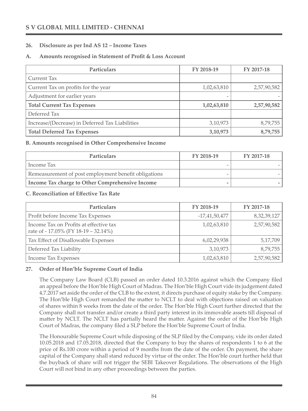# **S V GLOBAL MILL LIMITED - CHENNAI**

## **26. Disclosure as per Ind AS 12 – Income Taxes**

## **A. Amounts recognised in Statement of Profit & Loss Account**

| Particulars                                     | FY 2018-19               | FY 2017-18  |
|-------------------------------------------------|--------------------------|-------------|
| Current Tax                                     |                          |             |
| Current Tax on profits for the year             | 1,02,63,810              | 2,57,90,582 |
| Adjustment for earlier years                    | $\overline{\phantom{a}}$ |             |
| <b>Total Current Tax Expenses</b>               | 1,02,63,810              | 2,57,90,582 |
| Deferred Tax                                    |                          |             |
| Increase/(Decrease) in Deferred Tax Liabilities | 3,10,973                 | 8,79,755    |
| <b>Total Deferred Tax Expenses</b>              | 3,10,973                 | 8,79,755    |

## **B. Amounts recognised in Other Comprehensive Income**

| <b>Particulars</b>                                   | FY 2018-19 | FY 2017-18 |
|------------------------------------------------------|------------|------------|
| Income Tax                                           |            |            |
| Remeasurement of post employment benefit obligations |            |            |
| Income Tax charge to Other Comprehensive Income      |            |            |

#### **C. Reconciliation of Effective Tax Rate**

| <b>Particulars</b>                                                             | FY 2018-19      | FY 2017-18  |
|--------------------------------------------------------------------------------|-----------------|-------------|
| Profit before Income Tax Expenses                                              | $-17,41,50,477$ | 8,32,39,127 |
| Income Tax on Profits at effective tax<br>rate of - 17.05% (FY 18-19 - 32.14%) | 1,02,63,810     | 2,57,90,582 |
| Tax Effect of Disallowable Expenses                                            | 6,02,29,938     | 5,17,709    |
| Deferred Tax Liability                                                         | 3,10,973        | 8,79,755    |
| Income Tax Expenses                                                            | 1,02,63,810     | 2,57,90,582 |

## **27. Order of Hon'ble Supreme Court of India**

The Company Law Board (CLB) passed an order dated 10.3.2016 against which the Company filed an appeal before the Hon'ble High Court of Madras. The Hon'ble High Court vide its judgement dated 4.7.2017 set aside the order of the CLB to the extent, it directs purchase of equity stake by the Company. The Hon'ble High Court remanded the matter to NCLT to deal with objections raised on valuation of shares within 8 weeks from the date of the order. The Hon'ble High Court further directed that the Company shall not transfer and/or create a third party interest in its immovable assets till disposal of matter by NCLT. The NCLT has partially heard the matter. Against the order of the Hon'ble High Court of Madras, the company filed a SLP before the Hon'ble Supreme Court of India.

The Honourable Supreme Court while disposing of the SLP filed by the Company, vide its order dated 10.05.2018 and 17.05.2018, directed that the Company to buy the shares of respondents 1 to 6 at the price of Rs.100 crore within a period of 9 months from the date of the order. On payment, the share capital of the Company shall stand reduced by virtue of the order. The Hon'ble court further held that the buyback of share will not trigger the SEBI Takeover Regulations. The observations of the High Court will not bind in any other proceedings between the parties.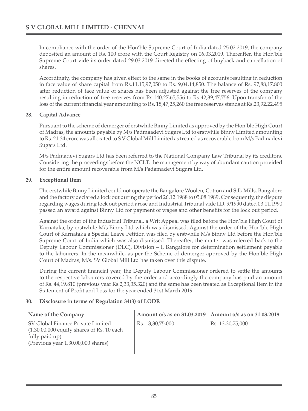In compliance with the order of the Hon'ble Supreme Court of India dated 25.02.2019, the company deposited an amount of Rs. 100 crore with the Court Registry on 06.03.2019. Thereafter, the Hon'ble Supreme Court vide its order dated 29.03.2019 directed the effecting of buyback and cancellation of shares.

Accordingly, the company has given effect to the same in the books of accounts resulting in reduction in face value of share capital from Rs.11,15,97,050 to Rs. 9,04,14,850. The balance of Rs. 97,88,17,800 after reduction of face value of shares has been adjusted against the free reserves of the company resulting in reduction of free reserves from Rs.140,27,65,556 to Rs 42,39,47,756. Upon transfer of the loss of the current financial year amounting to Rs. 18,47,25,260 the free reserves stands at Rs.23,92,22,495

## **28. Capital Advance**

Pursuant to the scheme of demerger of erstwhile Binny Limited as approved by the Hon'ble High Court of Madras, the amounts payable by M/s Padmaadevi Sugars Ltd to erstwhile Binny Limited amounting to Rs. 21.34 crore was allocated to S V Global Mill Limited as treated as recoverable from M/s Padmadevi Sugars Ltd.

M/s Padmadevi Sugars Ltd has been referred to the National Company Law Tribunal by its creditors. Considering the proceedings before the NCLT, the management by way of abundant caution provided for the entire amount recoverable from M/s Padamadevi Sugars Ltd.

## **29. Exceptional Item**

The erstwhile Binny Limited could not operate the Bangalore Woolen, Cotton and Silk Mills, Bangalore and the factory declared a lock out during the period 26.12.1988 to 05.08.1989. Consequently, the dispute regarding wages during lock out period arose and Industrial Tribunal vide I.D. 9/1990 dated 03.11.1990 passed an award against Binny Ltd for payment of wages and other benefits for the lock out period.

Against the order of the Industrial Tribunal, a Writ Appeal was filed before the Hon'ble High Court of Karnataka, by erstwhile M/s Binny Ltd which was dismissed. Against the order of the Hon'ble High Court of Karnataka a Special Leave Petition was filed by erstwhile M/s Binny Ltd before the Hon'ble Supreme Court of India which was also dismissed. Thereafter, the matter was referred back to the Deputy Labour Commissioner (DLC), Division – I, Bangalore for determination settlement payable to the labourers. In the meanwhile, as per the Scheme of demerger approved by the Hon'ble High Court of Madras, M/s. SV Global Mill Ltd has taken over this dispute.

During the current financial year, the Deputy Labour Commissioner ordered to settle the amounts to the respective labourers covered by the order and accordingly the company has paid an amount of Rs. 44,19,810 (previous year Rs.2,33,35,320) and the same has been treated as Exceptional Item in the Statement of Profit and Loss for the year ended 31st March 2019.

## **30. Disclosure in terms of Regulation 34(3) of LODR**

| Name of the Company                                                                                                                       |                  | Amount o/s as on 31,03,2019   Amount o/s as on 31,03,2018 |
|-------------------------------------------------------------------------------------------------------------------------------------------|------------------|-----------------------------------------------------------|
| SV Global Finance Private Limited<br>$(1,30,00,000)$ equity shares of Rs. 10 each<br>fully paid up)<br>(Previous year 1,30,00,000 shares) | Rs. 13,30,75,000 | Rs. 13,30,75,000                                          |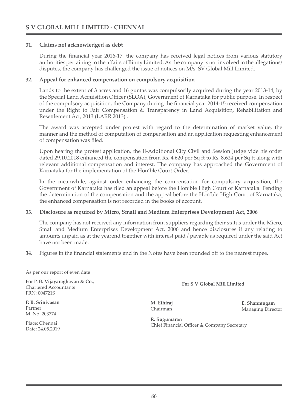#### **31. Claims not acknowledged as debt**

During the financial year 2016-17, the company has received legal notices from various statutory authorities pertaining to the affairs of Binny Limited. As the company is not involved in the allegations/ disputes, the company has challenged the issue of notices on M/s. SV Global Mill Limited.

#### **32. Appeal for enhanced compensation on compulsory acquisition**

Lands to the extent of 3 acres and 16 guntas was compulsorily acquired during the year 2013-14, by the Special Land Acquisition Officer (SLOA), Government of Karnataka for public purpose. In respect of the compulsory acquisition, the Company during the financial year 2014-15 received compensation under the Right to Fair Compensation & Transparency in Land Acquisition, Rehabilitation and Resettlement Act, 2013 (LARR 2013) .

The award was accepted under protest with regard to the determination of market value, the manner and the method of computation of compensation and an application requesting enhancement of compensation was filed.

Upon hearing the protest application, the II-Additional City Civil and Session Judge vide his order dated 29.10.2018 enhanced the compensation from Rs. 4,620 per Sq ft to Rs. 8,624 per Sq ft along with relevant additional compensation and interest. The company has approached the Government of Karnataka for the implementation of the Hon'ble Court Order.

In the meanwhile, against order enhancing the compensation for compulsory acquisition, the Government of Karnataka has filed an appeal before the Hon'ble High Court of Karnataka. Pending the determination of the compensation and the appeal before the Hon'ble High Court of Karnataka, the enhanced compensation is not recorded in the books of account.

#### **33. Disclosure as required by Micro, Small and Medium Enterprises Development Act, 2006**

The company has not received any information from suppliers regarding their status under the Micro, Small and Medium Enterprises Development Act, 2006 and hence disclosures if any relating to amounts unpaid as at the yearend together with interest paid / payable as required under the said Act have not been made.

**34.** Figures in the financial statements and in the Notes have been rounded off to the nearest rupee.

As per our report of even date

**For P. B. Vijayaraghavan & Co.,** Chartered Accountants FRN: 004721S

**P. B. Srinivasan** Partner M. No. 203774

Place: Chennai Date: 24.05.2019  **For S V Global Mill Limited**

 **M. Ethiraj**  Chairman

 **E. Shanmugam**  Managing Director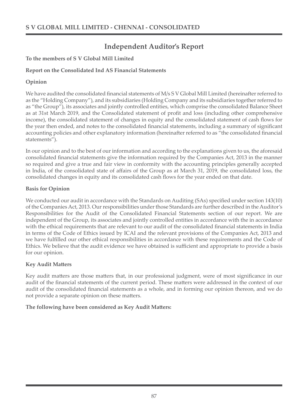# **Independent Auditor's Report**

## **To the members of S V Global Mill Limited**

## **Report on the Consolidated Ind AS Financial Statements**

## **Opinion**

We have audited the consolidated financial statements of M/s S V Global Mill Limited (hereinafter referred to as the "Holding Company"), and its subsidiaries (Holding Company and its subsidiaries together referred to as "the Group"), its associates and jointly controlled entities, which comprise the consolidated Balance Sheet as at 31st March 2019, and the Consolidated statement of profit and loss (including other comprehensive income), the consolidated statement of changes in equity and the consolidated statement of cash flows for the year then ended, and notes to the consolidated financial statements, including a summary of significant accounting policies and other explanatory information (hereinafter referred to as "the consolidated financial statements").

In our opinion and to the best of our information and according to the explanations given to us, the aforesaid consolidated financial statements give the information required by the Companies Act, 2013 in the manner so required and give a true and fair view in conformity with the accounting principles generally accepted in India, of the consolidated state of affairs of the Group as at March 31, 2019, the consolidated loss, the consolidated changes in equity and its consolidated cash flows for the year ended on that date.

## **Basis for Opinion**

We conducted our audit in accordance with the Standards on Auditing (SAs) specified under section 143(10) of the Companies Act, 2013. Our responsibilities under those Standards are further described in the Auditor's Responsibilities for the Audit of the Consolidated Financial Statements section of our report. We are independent of the Group, its associates and jointly controlled entities in accordance with the in accordance with the ethical requirements that are relevant to our audit of the consolidated financial statements in India in terms of the Code of Ethics issued by ICAI and the relevant provisions of the Companies Act, 2013 and we have fulfilled our other ethical responsibilities in accordance with these requirements and the Code of Ethics. We believe that the audit evidence we have obtained is sufficient and appropriate to provide a basis for our opinion.

## **Key Audit Matters**

Key audit matters are those matters that, in our professional judgment, were of most significance in our audit of the financial statements of the current period. These matters were addressed in the context of our audit of the consolidated financial statements as a whole, and in forming our opinion thereon, and we do not provide a separate opinion on these matters.

## **The following have been considered as Key Audit Matters:**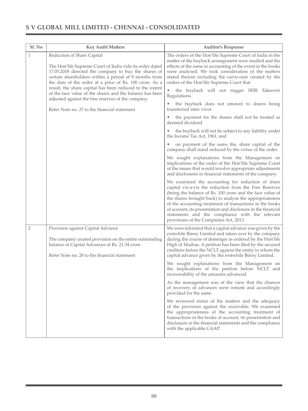| Sl. No         | <b>Key Audit Matters</b>                                                                                                                                                                                                                                          | <b>Auditor's Response</b>                                                                                                                                                                                                                                                                                                                                                                                                                                    |
|----------------|-------------------------------------------------------------------------------------------------------------------------------------------------------------------------------------------------------------------------------------------------------------------|--------------------------------------------------------------------------------------------------------------------------------------------------------------------------------------------------------------------------------------------------------------------------------------------------------------------------------------------------------------------------------------------------------------------------------------------------------------|
| 1              | Reduction of Share Capital<br>The Hon'ble Supreme Court of India vide its order dated<br>17.05.2018 directed the company to buy the shares of<br>certain shareholders within a period of 9 months from<br>the date of the order at a price of Rs. 100 crore. As a | The orders of the Hon'ble Supreme Court of India in the<br>matter of the buyback arrangement were studied and the<br>effects of the same in accounting of the event in the books<br>were analysed. We took consideration of the matters<br>stated therein including the carve-outs created by the<br>orders of the Hon'ble Supreme Court that                                                                                                                |
|                | result, the share capital has been reduced to the extent<br>of the face value of the shares and the balance has been<br>adjusted against the free reserves of the company.                                                                                        | the buyback will not trigger SEBI Takeover<br>Regulations.                                                                                                                                                                                                                                                                                                                                                                                                   |
|                | Refer Note no. 27 to the financial statement                                                                                                                                                                                                                      | the buyback does not amount to shares being<br>transferred inter vivos                                                                                                                                                                                                                                                                                                                                                                                       |
|                |                                                                                                                                                                                                                                                                   | the payment for the shares shall not be treated as<br>$\bullet$<br>deemed dividend                                                                                                                                                                                                                                                                                                                                                                           |
|                |                                                                                                                                                                                                                                                                   | the buyback will not be subject to any liability under<br>the Income Tax Act, 1961; and                                                                                                                                                                                                                                                                                                                                                                      |
|                |                                                                                                                                                                                                                                                                   | on payment of the sums the, share capital of the<br>company shall stand reduced by the virtue of the order.                                                                                                                                                                                                                                                                                                                                                  |
|                |                                                                                                                                                                                                                                                                   | We sought explanations from the Management on<br>implications of the order of the Hon'ble Supreme Court<br>of the issues that would involve appropriate adjustments<br>and disclosures in financial statements of the company.                                                                                                                                                                                                                               |
|                |                                                                                                                                                                                                                                                                   | We examined the accounting for reduction of share<br>capital vis-a-vis the reduction from the Free Reserves<br>(being the balance of Rs. 100 crore and the face value of<br>the shares brought back) to analyse the appropriateness<br>of the accounting treatment of transactions in the books<br>of account, its presentation and disclosure in the financial<br>statements and the compliance with the relevant<br>provisions of the Companies Act, 2013. |
| $\overline{2}$ | Provision against Capital Advance<br>The company created provision on the entire outstanding<br>balance of Capital Advances of Rs. 21.34 crore<br>Refer Note no. 28 to the financial statement                                                                    | We were informed that a capital advance was given by the<br>erstwhile Binny Limited and taken over by the company<br>during the course of demerger as ordered by the Hon'ble<br>High of Madras. A petition has been filed by the secured<br>creditors before the NCLT against the entity to whom the<br>capital advance given by the erstwhile Binny Limited.                                                                                                |
|                |                                                                                                                                                                                                                                                                   | We sought explanations from the Management on<br>the implications of the petition before NCLT and<br>recoverability of the amounts advanced.                                                                                                                                                                                                                                                                                                                 |
|                |                                                                                                                                                                                                                                                                   | As the management was of the view that the chances<br>of recovery of advances were remote and accordingly<br>provided for the same.                                                                                                                                                                                                                                                                                                                          |
|                |                                                                                                                                                                                                                                                                   | We reviewed status of the matters and the adequacy<br>of the provision against the receivable. We examined<br>the appropriateness of the accounting treatment of<br>transactions in the books of account, its presentation and<br>disclosure in the financial statements and the compliance<br>with the applicable GAAP.                                                                                                                                     |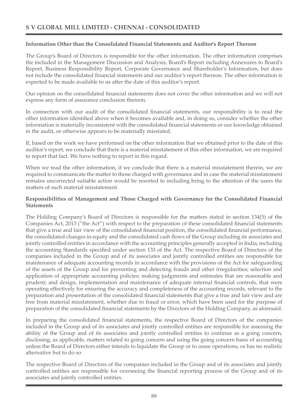## **Information Other than the Consolidated Financial Statements and Auditor's Report Thereon**

The Group's Board of Directors is responsible for the other information. The other information comprises the included in the Management Discussion and Analysis, Board's Report including Annexures to Board's Report, Business Responsibility Report, Corporate Governance and Shareholder's Information, but does not include the consolidated financial statements and our auditor's report thereon. The other information is expected to be made available to us after the date of this auditor's report.

Our opinion on the consolidated financial statements does not cover the other information and we will not express any form of assurance conclusion thereon.

In connection with our audit of the consolidated financial statements, our responsibility is to read the other information identified above when it becomes available and, in doing so, consider whether the other information is materially inconsistent with the consolidated financial statements or our knowledge obtained in the audit, or otherwise appears to be materially misstated.

If, based on the work we have performed on the other information that we obtained prior to the date of this auditor's report, we conclude that there is a material misstatement of this other information, we are required to report that fact. We have nothing to report in this regard.

When we read the other information, if we conclude that there is a material misstatement therein, we are required to communicate the matter to those charged with governance and in case the material misstatement remains uncorrected suitable action would be resorted to including bring to the attention of the users the matters of such material misstatement.

## **Responsibilities of Management and Those Charged with Governance for the Consolidated Financial Statements**

The Holding Company's Board of Directors is responsible for the matters stated in section 134(5) of the Companies Act, 2013 ("the Act") with respect to the preparation of these consolidated financial statements that give a true and fair view of the consolidated financial position, the consolidated financial performance, the consolidated changes in equity and the consolidated cash flows of the Group including its associates and jointly controlled entities in accordance with the accounting principles generally accepted in India, including the accounting Standards specified under section 133 of the Act. The respective Board of Directors of the companies included in the Group and of its associates and jointly controlled entities are responsible for maintenance of adequate accounting records in accordance with the provisions of the Act for safeguarding of the assets of the Group and for preventing and detecting frauds and other irregularities; selection and application of appropriate accounting policies; making judgments and estimates that are reasonable and prudent; and design, implementation and maintenance of adequate internal financial controls, that were operating effectively for ensuring the accuracy and completeness of the accounting records, relevant to the preparation and presentation of the consolidated financial statements that give a true and fair view and are free from material misstatement, whether due to fraud or error, which have been used for the purpose of preparation of the consolidated financial statements by the Directors of the Holding Company, as aforesaid.

In preparing the consolidated financial statements, the respective Board of Directors of the companies included in the Group and of its associates and jointly controlled entities are responsible for assessing the ability of the Group and of its associates and jointly controlled entities to continue as a going concern, disclosing, as applicable, matters related to going concern and using the going concern basis of accounting unless the Board of Directors either intends to liquidate the Group or to cease operations, or has no realistic alternative but to do so

The respective Board of Directors of the companies included in the Group and of its associates and jointly controlled entities are responsible for overseeing the financial reporting process of the Group and of its associates and jointly controlled entities.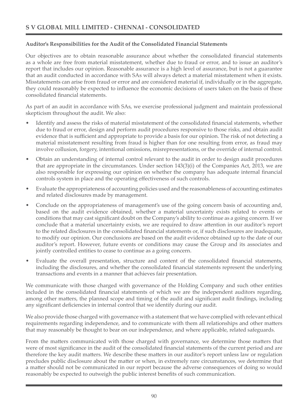## **Auditor's Responsibilities for the Audit of the Consolidated Financial Statements**

Our objectives are to obtain reasonable assurance about whether the consolidated financial statements as a whole are free from material misstatement, whether due to fraud or error, and to issue an auditor's report that includes our opinion. Reasonable assurance is a high level of assurance, but is not a guarantee that an audit conducted in accordance with SAs will always detect a material misstatement when it exists. Misstatements can arise from fraud or error and are considered material if, individually or in the aggregate, they could reasonably be expected to influence the economic decisions of users taken on the basis of these consolidated financial statements.

As part of an audit in accordance with SAs, we exercise professional judgment and maintain professional skepticism throughout the audit. We also:

- Identify and assess the risks of material misstatement of the consolidated financial statements, whether due to fraud or error, design and perform audit procedures responsive to those risks, and obtain audit evidence that is sufficient and appropriate to provide a basis for our opinion. The risk of not detecting a material misstatement resulting from fraud is higher than for one resulting from error, as fraud may involve collusion, forgery, intentional omissions, misrepresentations, or the override of internal control.
- Obtain an understanding of internal control relevant to the audit in order to design audit procedures that are appropriate in the circumstances. Under section 143(3)(i) of the Companies Act, 2013, we are also responsible for expressing our opinion on whether the company has adequate internal financial controls system in place and the operating effectiveness of such controls.
- Evaluate the appropriateness of accounting policies used and the reasonableness of accounting estimates and related disclosures made by management.
- Conclude on the appropriateness of management's use of the going concern basis of accounting and, based on the audit evidence obtained, whether a material uncertainty exists related to events or conditions that may cast significant doubt on the Company's ability to continue as a going concern. If we conclude that a material uncertainty exists, we are required to draw attention in our auditor's report to the related disclosures in the consolidated financial statements or, if such disclosures are inadequate, to modify our opinion. Our conclusions are based on the audit evidence obtained up to the date of our auditor's report. However, future events or conditions may cause the Group and its associates and jointly controlled entities to cease to continue as a going concern.
- Evaluate the overall presentation, structure and content of the consolidated financial statements, including the disclosures, and whether the consolidated financial statements represent the underlying transactions and events in a manner that achieves fair presentation.

We communicate with those charged with governance of the Holding Company and such other entities included in the consolidated financial statements of which we are the independent auditors regarding, among other matters, the planned scope and timing of the audit and significant audit findings, including any significant deficiencies in internal control that we identify during our audit.

We also provide those charged with governance with a statement that we have complied with relevant ethical requirements regarding independence, and to communicate with them all relationships and other matters that may reasonably be thought to bear on our independence, and where applicable, related safeguards.

From the matters communicated with those charged with governance, we determine those matters that were of most significance in the audit of the consolidated financial statements of the current period and are therefore the key audit matters. We describe these matters in our auditor's report unless law or regulation precludes public disclosure about the matter or when, in extremely rare circumstances, we determine that a matter should not be communicated in our report because the adverse consequences of doing so would reasonably be expected to outweigh the public interest benefits of such communication.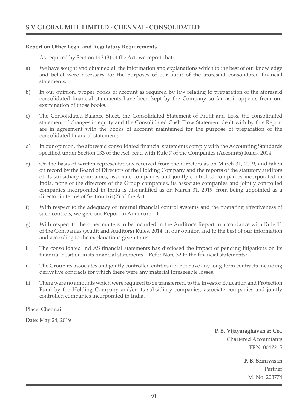## **Report on Other Legal and Regulatory Requirements**

- 1. As required by Section 143 (3) of the Act, we report that:
- a) We have sought and obtained all the information and explanations which to the best of our knowledge and belief were necessary for the purposes of our audit of the aforesaid consolidated financial statements.
- b) In our opinion, proper books of account as required by law relating to preparation of the aforesaid consolidated financial statements have been kept by the Company so far as it appears from our examination of those books.
- c) The Consolidated Balance Sheet, the Consolidated Statement of Profit and Loss, the consolidated statement of changes in equity and the Consolidated Cash Flow Statement dealt with by this Report are in agreement with the books of account maintained for the purpose of preparation of the consolidated financial statements.
- d) In our opinion, the aforesaid consolidated financial statements comply with the Accounting Standards specified under Section 133 of the Act, read with Rule 7 of the Companies (Accounts) Rules, 2014.
- e) On the basis of written representations received from the directors as on March 31, 2019, and taken on record by the Board of Directors of the Holding Company and the reports of the statutory auditors of its subsidiary companies, associate companies and jointly controlled companies incorporated in India, none of the directors of the Group companies, its associate companies and jointly controlled companies incorporated in India is disqualified as on March 31, 2019, from being appointed as a director in terms of Section 164(2) of the Act.
- f) With respect to the adequacy of internal financial control systems and the operating effectiveness of such controls, we give our Report in Annexure – I
- g) With respect to the other matters to be included in the Auditor's Report in accordance with Rule 11 of the Companies (Audit and Auditors) Rules, 2014, in our opinion and to the best of our information and according to the explanations given to us:
- i. The consolidated Ind AS financial statements has disclosed the impact of pending litigations on its financial position in its financial statements – Refer Note 32 to the financial statements;
- ii. The Group its associates and jointly controlled entities did not have any long-term contracts including derivative contracts for which there were any material foreseeable losses.
- iii. There were no amounts which were required to be transferred, to the Investor Education and Protection Fund by the Holding Company and/or its subsidiary companies, associate companies and jointly controlled companies incorporated in India.

Place: Chennai

Date: May 24, 2019

**P. B. Vijayaraghavan & Co.,** Chartered Accountants FRN: 004721S

> **P. B. Srinivasan** Partner M. No. 203774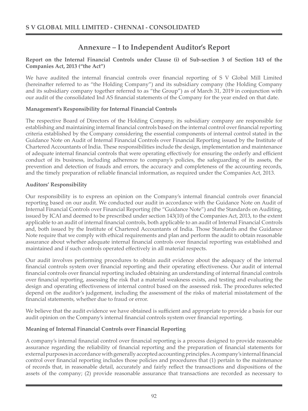# **Annexure – I to Independent Auditor's Report**

## **Report on the Internal Financial Controls under Clause (i) of Sub-section 3 of Section 143 of the Companies Act, 2013 ("the Act")**

We have audited the internal financial controls over financial reporting of S V Global Mill Limited (hereinafter referred to as "the Holding Company") and its subsidiary company (the Holding Company and its subsidiary company together referred to as "the Group") as of March 31, 2019 in conjunction with our audit of the consolidated Ind AS financial statements of the Company for the year ended on that date.

## **Management's Responsibility for Internal Financial Controls**

The respective Board of Directors of the Holding Company, its subsidiary company are responsible for establishing and maintaining internal financial controls based on the internal control over financial reporting criteria established by the Company considering the essential components of internal control stated in the Guidance Note on Audit of Internal Financial Controls over Financial Reporting issued by the Institute of Chartered Accountants of India. These responsibilities include the design, implementation and maintenance of adequate internal financial controls that were operating effectively for ensuring the orderly and efficient conduct of its business, including adherence to company's policies, the safeguarding of its assets, the prevention and detection of frauds and errors, the accuracy and completeness of the accounting records, and the timely preparation of reliable financial information, as required under the Companies Act, 2013.

## **Auditors' Responsibility**

Our responsibility is to express an opinion on the Company's internal financial controls over financial reporting based on our audit. We conducted our audit in accordance with the Guidance Note on Audit of Internal Financial Controls over Financial Reporting (the "Guidance Note") and the Standards on Auditing, issued by ICAI and deemed to be prescribed under section 143(10) of the Companies Act, 2013, to the extent applicable to an audit of internal financial controls, both applicable to an audit of Internal Financial Controls and, both issued by the Institute of Chartered Accountants of India. Those Standards and the Guidance Note require that we comply with ethical requirements and plan and perform the audit to obtain reasonable assurance about whether adequate internal financial controls over financial reporting was established and maintained and if such controls operated effectively in all material respects.

Our audit involves performing procedures to obtain audit evidence about the adequacy of the internal financial controls system over financial reporting and their operating effectiveness. Our audit of internal financial controls over financial reporting included obtaining an understanding of internal financial controls over financial reporting, assessing the risk that a material weakness exists, and testing and evaluating the design and operating effectiveness of internal control based on the assessed risk. The procedures selected depend on the auditor's judgement, including the assessment of the risks of material misstatement of the financial statements, whether due to fraud or error.

We believe that the audit evidence we have obtained is sufficient and appropriate to provide a basis for our audit opinion on the Company's internal financial controls system over financial reporting.

## **Meaning of Internal Financial Controls over Financial Reporting**

A company's internal financial control over financial reporting is a process designed to provide reasonable assurance regarding the reliability of financial reporting and the preparation of financial statements for external purposes in accordance with generally accepted accounting principles. A company's internal financial control over financial reporting includes those policies and procedures that (1) pertain to the maintenance of records that, in reasonable detail, accurately and fairly reflect the transactions and dispositions of the assets of the company; (2) provide reasonable assurance that transactions are recorded as necessary to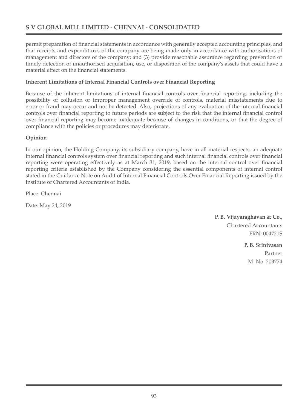# **S V GLOBAL MILL LIMITED - CHENNAI - CONSOLIDATED**

permit preparation of financial statements in accordance with generally accepted accounting principles, and that receipts and expenditures of the company are being made only in accordance with authorisations of management and directors of the company; and (3) provide reasonable assurance regarding prevention or timely detection of unauthorised acquisition, use, or disposition of the company's assets that could have a material effect on the financial statements.

## **Inherent Limitations of Internal Financial Controls over Financial Reporting**

Because of the inherent limitations of internal financial controls over financial reporting, including the possibility of collusion or improper management override of controls, material misstatements due to error or fraud may occur and not be detected. Also, projections of any evaluation of the internal financial controls over financial reporting to future periods are subject to the risk that the internal financial control over financial reporting may become inadequate because of changes in conditions, or that the degree of compliance with the policies or procedures may deteriorate.

## **Opinion**

In our opinion, the Holding Company, its subsidiary company, have in all material respects, an adequate internal financial controls system over financial reporting and such internal financial controls over financial reporting were operating effectively as at March 31, 2019, based on the internal control over financial reporting criteria established by the Company considering the essential components of internal control stated in the Guidance Note on Audit of Internal Financial Controls Over Financial Reporting issued by the Institute of Chartered Accountants of India.

Place: Chennai

Date: May 24, 2019

**P. B. Vijayaraghavan & Co.,** Chartered Accountants FRN: 004721S

> **P. B. Srinivasan** Partner M. No. 203774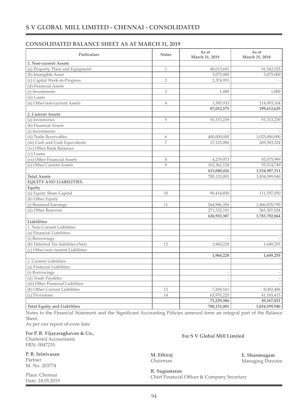|  |  | <b>CONSOLIDATED BALANCE SHEET AS AT MARCH 31, 2019</b> |  |
|--|--|--------------------------------------------------------|--|
|--|--|--------------------------------------------------------|--|

| Particulars                         | <b>Notes</b>   | As at<br>March 31, 2019 | As at<br>March 31, 2018 |
|-------------------------------------|----------------|-------------------------|-------------------------|
| 1. Non-current Assets               |                |                         |                         |
| (a) Property, Plant and Equipment   | $\mathbf{1}$   | 80,015,691              | 81,543,525              |
| (b) Intangible Asset                |                | 3,075,000               | 3,075,000               |
| (c) Capital Work-in-Progress        | $\overline{2}$ | 2,374,951               |                         |
| (d) Financial Assets                |                |                         |                         |
| (i) Investments                     | 3              | 1.000                   | 1,000                   |
| (ii) Loans                          |                |                         |                         |
| (e) Other non-current Assets        | $\overline{4}$ | 1,585,933               | 214,993,104             |
|                                     |                | 87,052,575              | 299,612,629             |
| 2. Current Assets                   |                |                         |                         |
| (a) Inventories                     | 5              | 91,313,239              | 91,313,239              |
| (b) Financial Assets                |                |                         |                         |
| (i) Investments                     |                |                         |                         |
| (ii) Trade Receivables              | 6              | 400,000,000             | 1,025,000,000           |
| (iii) Cash and Cash Equivalents     | 7              | 15,125,086              | 269,583,324             |
| (iv) Other Bank Balances            |                |                         |                         |
| (v) Loans                           |                |                         |                         |
| (vi) Other Financial Assets         | 8              | 4,279,973               | 93,575,999              |
| (c) Other Current Assets            | $\overline{Q}$ | 102,362,128             | 55,514,749              |
|                                     |                | 613,080,426             | 1,534,987,311           |
| <b>Total Assets</b>                 |                | 700,133,001             | 1,834,599,940           |
| <b>EQUITY AND LIABILITIES</b>       |                |                         |                         |
| Equity                              |                |                         |                         |
| (a) Equity Share Capital            | 10             | 90,414,850              | 111,597,050             |
| (b) Other Equity                    |                |                         |                         |
| (i) Retained Earnings               | 11             | 264,986,356             | 1,406,878,790           |
| (ii) Other Reserves                 |                | 271,532,181             | 265,307,024             |
|                                     |                | 626,933,387             | 1,783,782,864           |
| Liabilities                         |                |                         |                         |
| 1. Non-Current Liabilities          |                |                         |                         |
| (a) Financial Liabilities           |                |                         |                         |
| (i) Borrowings                      |                |                         |                         |
| (b) Deferred Tax liabilities (Net)  | 12             | 1,960,228               | 1,649,255               |
| (c) Other non-current Liabilities   |                |                         |                         |
|                                     |                | 1,960,228               | 1,649,255               |
| 2. Current Liabilities              |                |                         |                         |
| (a) Financial Liabilities           |                |                         |                         |
| (i) Borrowings                      |                |                         |                         |
| (ii) Trade Payables                 |                |                         |                         |
| (iii) Other Financial Liabilities   |                |                         |                         |
| (b) Other Current Liabilities       | 13             | 7,269,161               | 8,002,406               |
| (c) Provisions                      | 14             | 63,970,225              | 41,165,415              |
|                                     |                | 71,239,386              | 49,167,821              |
| <b>Total Equity and Liabilities</b> |                | 700,133,001             | 1,834,599,940           |

Notes to the Financial Statement and the Significant Accounting Policies annexed form an integral part of the Balance Sheet.

As per our report of even date

Place: Chennai Date: 24.05.2019

**For P. B. Vijayaraghavan & Co.,** Chartered Accountants FRN: 004721S **P. B. Srinivasan** Partner M. No. 203774  **M. Ethiraj**  Chairman  **For S V Global Mill Limited**

 **E. Shanmugam**  Managing Director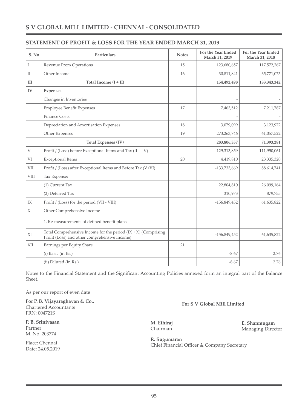| S. No        | Particulars                                                                                                       | <b>Notes</b> | For the Year Ended<br>March 31, 2019 | For the Year Ended<br>March 31, 2018 |
|--------------|-------------------------------------------------------------------------------------------------------------------|--------------|--------------------------------------|--------------------------------------|
| Ι            | Revenue From Operations                                                                                           | 15           | 123,680,657                          | 117,572,267                          |
| $\mathbf{I}$ | Other Income                                                                                                      | 16           | 30,811,841                           | 65,771,075                           |
| III          | Total Income $(I + II)$                                                                                           |              | 154,492,498                          | 183, 343, 342                        |
| IV           | Expenses                                                                                                          |              |                                      |                                      |
|              | Changes in Inventories                                                                                            |              |                                      |                                      |
|              | <b>Employee Benefit Expenses</b>                                                                                  | 17           | 7,463,512                            | 7,211,787                            |
|              | <b>Finance Costs</b>                                                                                              |              |                                      |                                      |
|              | Depreciation and Amortisation Expenses                                                                            | 18           | 3,079,099                            | 3,123,972                            |
|              | Other Expenses                                                                                                    | 19           | 273, 263, 746                        | 61,057,522                           |
|              | <b>Total Expenses (IV)</b>                                                                                        |              | 283,806,357                          | 71,393,281                           |
| $\bar{V}$    | Profit / (Loss) before Exceptional Items and Tax (III - IV)                                                       |              | -129,313,859                         | 111,950,061                          |
| VI           | <b>Exceptional Items</b>                                                                                          | 20           | 4,419,810                            | 23,335,320                           |
| VII          | Profit / (Loss) after Exceptional Items and Before Tax (V+VI)                                                     |              | -133,733,669                         | 88,614,741                           |
| <b>VIII</b>  | Tax Expense:                                                                                                      |              |                                      |                                      |
|              | (1) Current Tax                                                                                                   |              | 22,804,810                           | 26,099,164                           |
|              | (2) Deferred Tax                                                                                                  |              | 310,973                              | 879,755                              |
| IX           | Profit / (Loss) for the period (VII - VIII)                                                                       |              | $-156,849,452$                       | 61,635,822                           |
| $\chi$       | Other Comprehensive Income                                                                                        |              |                                      |                                      |
|              | 1. Re-measurements of defined benefit plans                                                                       |              |                                      |                                      |
| XI           | Total Comprehensive Income for the period $(IX + X)$ (Comprising<br>Profit (Loss) and other comprehensive Income) |              | $-156,849,452$                       | 61,635,822                           |
| XII          | Earnings per Equity Share                                                                                         | 21           |                                      |                                      |
|              | (i) Basic (in Rs.)                                                                                                |              | $-8.67$                              | 2.76                                 |
|              | (ii) Diluted (In Rs.)                                                                                             |              | $-8.67$                              | 2.76                                 |

## **STATEMENT OF PROFIT & LOSS FOR THE YEAR ENDED MARCH 31, 2019**

Notes to the Financial Statement and the Significant Accounting Policies annexed form an integral part of the Balance Sheet.

As per our report of even date

**For P. B. Vijayaraghavan & Co.,** Chartered Accountants FRN: 004721S

**P. B. Srinivasan** Partner M. No. 203774

Place: Chennai Date: 24.05.2019  **For S V Global Mill Limited**

 **M. Ethiraj**  Chairman

 **E. Shanmugam**  Managing Director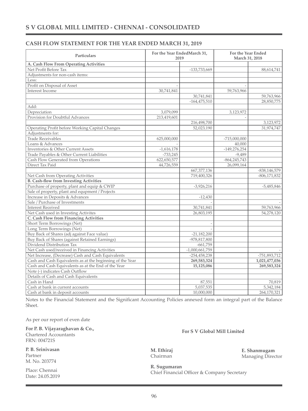#### **CASH FLOW STATEMENT FOR THE YEAR ENDED MARCH 31, 2019**

| Particulars                                               | For the Year EndedMarch 31,<br>2019 |                  | For the Year Ended<br>March 31, 2018 |                  |
|-----------------------------------------------------------|-------------------------------------|------------------|--------------------------------------|------------------|
| A. Cash Flow From Operating Activities                    |                                     |                  |                                      |                  |
| Net Profit Before Tax                                     |                                     | -133,733,669     |                                      | 88,614,741       |
| Adjustments for non-cash items:                           |                                     |                  |                                      |                  |
| Less:                                                     |                                     |                  |                                      |                  |
| Profit on Disposal of Asset                               |                                     |                  |                                      |                  |
| <b>Interest Income</b>                                    | 30,741,841                          |                  | 59,763,966                           |                  |
|                                                           |                                     | 30,741,841       |                                      | 59,763,966       |
|                                                           |                                     | $-164,475,510$   |                                      | 28,850,775       |
| Add:                                                      |                                     |                  |                                      |                  |
| Depreciation                                              | 3,079,099                           |                  | 3,123,972                            |                  |
| Provision for Doubtful Advances                           | 213,419,601                         |                  |                                      |                  |
|                                                           |                                     | 216,498,700      |                                      | 3,123,972        |
| Operating Profit before Working Capital Changes           |                                     | 52,023,190       |                                      | 31,974,747       |
| Adjustments for:                                          |                                     |                  |                                      |                  |
| <b>Trade Receivables</b>                                  | 625,000,000                         |                  | $-715,000,000$                       |                  |
| Loans & Advances                                          |                                     |                  | 40,000                               |                  |
| Inventories & Other Current Assets                        | $-1,616,178$                        |                  | $-149,276,254$                       |                  |
| Trade Pavables & Other Current Liabilities                | $-733,245$                          |                  | $-9,489$                             |                  |
| Cash Flow Generated from Operations                       | 622,650,577                         |                  | $-864, 245, 743$                     |                  |
| Direct Tax Paid                                           | 44,726,559                          |                  | 26,099,164                           |                  |
|                                                           |                                     | 667, 377, 136    |                                      | $-838, 146, 579$ |
| Net Cash from Operating Activities                        |                                     | 719,400,326      |                                      | $-806, 171, 832$ |
| <b>B. Cash-flow from Investing Activities</b>             |                                     |                  |                                      |                  |
| Purchase of property, plant and equip & CWIP              |                                     | $-3,926,216$     |                                      | $-5,485,846$     |
| Sale of property, plant and equpment / Projects           |                                     |                  |                                      |                  |
| Increase in Deposits & Advances                           |                                     | $-12,430$        |                                      |                  |
| Sale / Purchase of Investments                            |                                     |                  |                                      |                  |
| <b>Interest Received</b>                                  |                                     | 30,741,841       |                                      | 59,763,966       |
| Net Cash used in Investing Activites                      |                                     | 26,803,195       |                                      | 54,278,120       |
| C. Cash Flow from Financing Activities                    |                                     |                  |                                      |                  |
| Short Term Borrowings (Net)                               |                                     |                  |                                      |                  |
| Long Term Borrowings (Net)                                |                                     |                  |                                      |                  |
| Buy Back of Shares (adj against Face value)               |                                     | $-21,182,200$    |                                      |                  |
| Buy Back of Shares (against Retained Earnings)            |                                     | -978,817,800     |                                      |                  |
| Dividend Distribution Tax                                 |                                     | $-661,759$       |                                      |                  |
| Net Cash used/received in Financing Activities            |                                     | $-1,000,661,759$ |                                      |                  |
| Net Increase, (Decrease) Cash and Cash Equivalents        |                                     | $-254,458,238$   |                                      | -751,893,712     |
| Cash and Cash Equivalents as at the beginning of the Year |                                     | 269,583,324      |                                      | 1,021,477,036    |
| Cash and Cash Equivalents as at the End of the Year       |                                     | 15,125,086       |                                      | 269,583,324      |
| Note (-) indicates Cash Outflow                           |                                     |                  |                                      |                  |
| Details of Cash and Cash Equivalents                      |                                     |                  |                                      |                  |
| Cash in Hand                                              |                                     | 87,551           |                                      | 70,819           |
| Cash at bank in current accounts                          |                                     | 5,037,535        |                                      | 5,342,184        |
| Cash at bank in deposit accounts                          |                                     | 10,000,000       |                                      | 264,170,321      |

Notes to the Financial Statement and the Significant Accounting Policies annexed form an integral part of the Balance Sheet.

As per our report of even date

**For P. B. Vijayaraghavan & Co.,** Chartered Accountants FRN: 004721S

**P. B. Srinivasan** Partner M. No. 203774

Place: Chennai Date: 24.05.2019  **For S V Global Mill Limited**

 **M. Ethiraj**  Chairman

 **E. Shanmugam**  Managing Director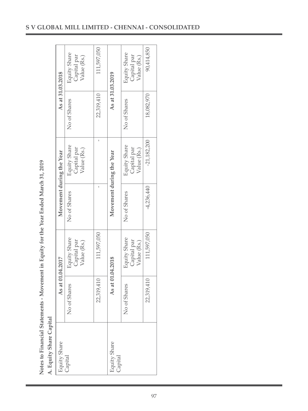| d<br>E.          |
|------------------|
| are<br>É         |
| ١<br>ì<br>۹<br>щ |
| d                |

|                         |                  | Notes to Financial Statements - Movement in Equity for the Year Ended March 31, 2019 |                          |                                            |                  |                                            |
|-------------------------|------------------|--------------------------------------------------------------------------------------|--------------------------|--------------------------------------------|------------------|--------------------------------------------|
| A. Equity Share Capital |                  |                                                                                      |                          |                                            |                  |                                            |
| Equity Share<br>Capital |                  | As at 01.04.2017                                                                     | Movement during the Year |                                            | As at 31.03.2018 |                                            |
|                         | No of Shares     | Equity Share<br>Capital par<br>Value (Rs.)                                           | No of Shares             | Equity Share<br>Capital par<br>Value (Rs.) | No of Shares     | Equity Share<br>Capital par<br>Value (Rs.) |
|                         | 22,319,410       | 111,597,050                                                                          |                          |                                            | 22,319,410       | 111,597,050                                |
| Equity Share<br>Capital | As at 01.04.2018 |                                                                                      | Movement during the Year |                                            | As at 31.03.2019 |                                            |
|                         | No of Shares     | Equity Share<br>Capital par<br>Value (Rs.)                                           | No of Shares             | Equity Share<br>Capital par<br>Value (Rs.) | No of Shares     | Equity Share<br>Capital par<br>Value (Rs.) |
|                         | 22,319,410       | 111,597,050                                                                          | -4,236,440               | $-21,182,200$                              | 18,082,970       | 90,414,850                                 |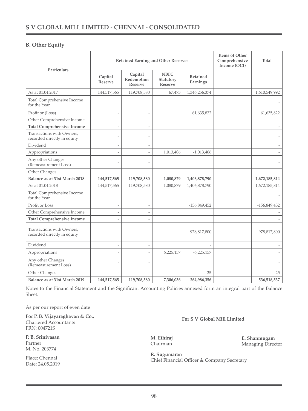#### **B. Other Equity**

|                                                          |                    | <b>Retained Earning and Other Reserves</b> |                              |                      | <b>Items of Other</b><br>Comprehensive<br>Income (OCI) | Total          |
|----------------------------------------------------------|--------------------|--------------------------------------------|------------------------------|----------------------|--------------------------------------------------------|----------------|
| Particulars                                              | Capital<br>Reserve | Capital<br>Redemption<br>Reserve           | NBFC<br>Statutory<br>Reserve | Retained<br>Earnings |                                                        |                |
| As at 01.04.2017                                         | 144,517,565        | 119,708,580                                | 67,473                       | 1,346,256,374        |                                                        | 1,610,549,992  |
| Total Comprehensive Income<br>for the Year               |                    |                                            |                              |                      |                                                        |                |
| Profit or (Loss)                                         |                    |                                            |                              | 61,635,822           |                                                        | 61,635,822     |
| Other Comprehensive Income                               | $\overline{a}$     | L,                                         |                              |                      |                                                        |                |
| <b>Total Comprehensive Income</b>                        | L                  | $\overline{a}$                             |                              |                      |                                                        |                |
| Transactions with Owners.<br>recorded directly in equity |                    |                                            |                              |                      |                                                        |                |
| Dividend                                                 | L                  | ÷                                          |                              |                      |                                                        |                |
| Appropriations                                           |                    |                                            | 1,013,406                    | $-1,013,406$         |                                                        |                |
| Any other Changes<br>(Remeasurement Loss)                |                    |                                            |                              |                      |                                                        |                |
| Other Changes                                            |                    |                                            |                              |                      |                                                        |                |
| Balance as at 31st March 2018                            | 144,517,565        | 119,708,580                                | 1,080,879                    | 1,406,878,790        |                                                        | 1,672,185,814  |
| As at 01.04.2018                                         | 144,517,565        | 119,708,580                                | 1,080,879                    | 1,406,878,790        |                                                        | 1,672,185,814  |
| Total Comprehensive Income<br>for the Year               |                    |                                            |                              |                      |                                                        |                |
| Profit or Loss                                           | L,                 | $\sim$                                     |                              | $-156,849,452$       |                                                        | $-156,849,452$ |
| Other Comprehensive Income                               |                    |                                            |                              |                      |                                                        |                |
| <b>Total Comprehensive Income</b>                        | $\bar{ }$          | $\overline{a}$                             |                              |                      |                                                        |                |
| Transactions with Owners,<br>recorded directly in equity |                    |                                            |                              | -978,817,800         |                                                        | -978,817,800   |
| Dividend                                                 |                    |                                            |                              |                      |                                                        |                |
| Appropriations                                           |                    |                                            | 6,225,157                    | $-6,225,157$         |                                                        |                |
| Any other Changes<br>(Remeasurement Loss)                |                    |                                            |                              |                      |                                                        |                |
| Other Changes                                            |                    |                                            |                              | $-25$                |                                                        | $-25$          |
| Balance as at 31st March 2019                            | 144,517,565        | 119,708,580                                | 7,306,036                    | 264,986,356          |                                                        | 536,518,537    |

Notes to the Financial Statement and the Significant Accounting Policies annexed form an integral part of the Balance Sheet.

As per our report of even date

**For P. B. Vijayaraghavan & Co.,** Chartered Accountants FRN: 004721S

**P. B. Srinivasan** Partner M. No. 203774

Place: Chennai Date: 24.05.2019  **For S V Global Mill Limited**

 **M. Ethiraj**  Chairman

 **E. Shanmugam**  Managing Director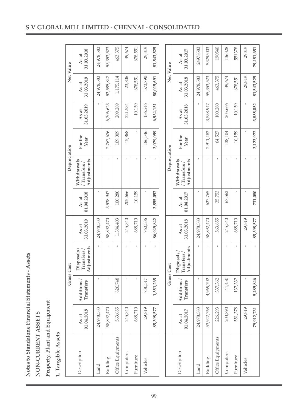| Notes to Standalone Financial Statements - Assets |                                                                             |                         |                                         |                     |                     |                                           |                 |                     |                     |                     |  |
|---------------------------------------------------|-----------------------------------------------------------------------------|-------------------------|-----------------------------------------|---------------------|---------------------|-------------------------------------------|-----------------|---------------------|---------------------|---------------------|--|
| NON-CURRENT ASSETS                                |                                                                             |                         |                                         |                     |                     |                                           |                 |                     |                     |                     |  |
| Property, Plant and Equipment                     |                                                                             |                         |                                         |                     |                     |                                           |                 |                     |                     |                     |  |
| 1. Tangible Assets                                |                                                                             |                         |                                         |                     |                     |                                           |                 |                     |                     |                     |  |
|                                                   |                                                                             |                         | Gross Cost                              |                     |                     | Depreciation                              |                 |                     | Net Value           |                     |  |
| Description                                       | 01.04.2018<br>As at                                                         | Additions/<br>Transfers | Adjustments<br>Transfers/<br>Disposals  | 31.03.2019<br>As at | 01.04.2018<br>As at | Withdrawals<br>Adjustments<br>/Transfers/ | For the<br>Year | 31.03.2019<br>As at | 31.03.2019<br>As at | 31.03.2018<br>As at |  |
| Land                                              | 583<br>24,978,5                                                             | $\mathfrak l$           | $\mathbf I$                             | 24,978,583          | $\mathbf{I}$        |                                           |                 | $\mathbf I$         | 24,978,583          | 24,978,583          |  |
| Building                                          | 470<br>58,892,                                                              | $\mathsf I$             | $\mathsf I$                             | 58,892,470          | 3,538,947           | $\mathbf{I}$                              | 2,767,676       | 6,306,623           | 52,585,847          | 55,353,523          |  |
| Office Equipments                                 | 655<br>563,                                                                 | 820,748                 | $\mathsf I$                             | 1,384,403           | 100,280             | $\mathbf{I}$                              | 109,009         | 209,289             | 1,175,114           | 463,375             |  |
| Computers                                         | 340<br>245,                                                                 | J.                      | $\mathsf I$                             | 245,340             | 205,666             | J.                                        | 15,868          | 221,534             | 23,806              | 39,674              |  |
| Furniture                                         | 710<br>688,                                                                 | $\mathsf I$             | $\mathsf I$                             | 688,710             | 10,159              | $\mathbf{I}$                              | $\mathbf{I}$    | 10,159              | 678,551             | 678,551             |  |
| Vehicles                                          | 29,819                                                                      | 730,517                 | $\mathbf I$                             | 760,336             | $\mathbb{I}$        | $\mathbf{I}$                              | 186,546         | 186,546             | 573,790             | 29,819              |  |
|                                                   | 577<br>85,398,                                                              | 1,551,265               |                                         | 86,949,842          | 3,855,052           | ٠                                         | 3,079,099       | 6,934,151           | 80,015,691          | 81,543,525          |  |
|                                                   |                                                                             |                         |                                         |                     |                     |                                           |                 |                     |                     |                     |  |
|                                                   |                                                                             |                         | Gross Cost                              |                     |                     | Depreciation                              |                 |                     | Net Value           |                     |  |
| Description                                       | $\overline{17}$<br>$\begin{array}{c} \text{As at} \\ 01.04.201 \end{array}$ | Additions/<br>Transfers | Adjustments<br>Disposals/<br>Transfers/ | 31.03.2018<br>As at | 01.04.2017<br>As at | Withdrawals<br>Adjustments<br>/Transfers/ | For the<br>Year | 31.03.2018<br>As at | 31.03.2018<br>As at | 31.03.2017<br>As at |  |
| Land                                              | 583<br>24,978,                                                              |                         | J.                                      | 24,978,583          |                     | J.                                        |                 |                     | 24,978,583          | 24978583            |  |
| <b>Building</b>                                   | 768<br>53,922,                                                              | 4,969,702               | $\mathsf I$                             | 58,892,470          | 627,765             | $\mathbf{I}$                              | 2,911,182       | 3,538,947           | 55,353,523          | 53295003            |  |
| Office Equipments                                 | 226,293                                                                     | 337,362                 | $\mathbf I$                             | 563,655             | 35,753              | $\mathfrak{g}$                            | 64,527          | 100,280             | 463,375             | 190540              |  |
| Computers                                         | 890<br>203,                                                                 | 41,450                  | $\mathsf I$                             | 245,340             | 67,562              | $\mathbf{I}$                              | 138,104         | 205,666             | 39,674              | 136328              |  |
| Fumiture                                          | 551,378                                                                     | 137,332                 | t                                       | 688,710             | $\mathbf{I}$        | $\mathfrak{g}$                            | 10,159          | 10,159              | 678,551             | 551378              |  |
| Vehicles                                          | 29,819                                                                      |                         | $\mathbf I$                             | 29,819              | $\mathbf{I}$        | $\mathbf{I}$                              | $\mathsf I$     |                     | 29,819              | 29819               |  |
|                                                   | 79,912,731                                                                  | 5,485,846               |                                         | 85,398,577          | 731,080             | t.                                        | 3,123,972       | 3,855,052           | 81,543,525          | 79,181,651          |  |

# **S V GLOBAL MILL LIMITED - CHENNAI - CONSOLIDATED**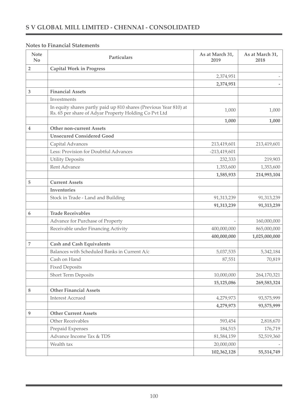## **Notes to Financial Statements**

| <b>Note</b><br>No | Particulars                                                                                                                | As at March 31,<br>2019 | As at March 31,<br>2018 |
|-------------------|----------------------------------------------------------------------------------------------------------------------------|-------------------------|-------------------------|
| $\overline{2}$    | <b>Capital Work in Progress</b>                                                                                            |                         |                         |
|                   |                                                                                                                            | 2,374,951               |                         |
|                   |                                                                                                                            | 2,374,951               |                         |
| 3                 | <b>Financial Assets</b>                                                                                                    |                         |                         |
|                   | Investments                                                                                                                |                         |                         |
|                   | In equity shares partly paid up 810 shares (Previous Year 810) at<br>Rs. 65 per share of Adyar Property Holding Co Pvt Ltd | 1,000                   | 1,000                   |
|                   |                                                                                                                            | 1,000                   | 1,000                   |
| 4                 | <b>Other non-current Assets</b>                                                                                            |                         |                         |
|                   | <b>Unsecured Considered Good</b>                                                                                           |                         |                         |
|                   | Capital Advances                                                                                                           | 213,419,601             | 213,419,601             |
|                   | Less: Provision for Doubtful Advances                                                                                      | $-213,419,601$          |                         |
|                   | <b>Utility Deposits</b>                                                                                                    | 232,333                 | 219,903                 |
|                   | Rent Advance                                                                                                               | 1,353,600               | 1,353,600               |
|                   |                                                                                                                            | 1,585,933               | 214,993,104             |
| 5                 | <b>Current Assets</b>                                                                                                      |                         |                         |
|                   | Inventories                                                                                                                |                         |                         |
|                   | Stock in Trade - Land and Building                                                                                         | 91,313,239              | 91,313,239              |
|                   |                                                                                                                            | 91,313,239              | 91,313,239              |
| 6                 | <b>Trade Receivables</b>                                                                                                   |                         |                         |
|                   | Advance for Purchase of Property                                                                                           |                         | 160,000,000             |
|                   | Receivable under Financing Activity                                                                                        | 400,000,000             | 865,000,000             |
|                   |                                                                                                                            | 400,000,000             | 1,025,000,000           |
| 7                 | <b>Cash and Cash Equivalents</b>                                                                                           |                         |                         |
|                   | Balances with Scheduled Banks in Current A/c                                                                               | 5,037,535               | 5,342,184               |
|                   | Cash on Hand                                                                                                               | 87,551                  | 70,819                  |
|                   | <b>Fixed Deposits</b>                                                                                                      |                         |                         |
|                   | Short Term Deposits                                                                                                        | 10,000,000              | 264,170,321             |
|                   |                                                                                                                            | 15,125,086              | 269,583,324             |
| 8                 | <b>Other Financial Assets</b>                                                                                              |                         |                         |
|                   | <b>Interest Accrued</b>                                                                                                    | 4,279,973               | 93,575,999              |
|                   |                                                                                                                            | 4,279,973               | 93,575,999              |
| 9                 | <b>Other Current Assets</b>                                                                                                |                         |                         |
|                   | <b>Other Receivables</b>                                                                                                   | 593,454                 | 2,818,670               |
|                   | Prepaid Expenses                                                                                                           | 184,515                 | 176,719                 |
|                   | Advance Income Tax & TDS                                                                                                   | 81,584,159              | 52,519,360              |
|                   | Wealth tax                                                                                                                 | 20,000,000              |                         |
|                   |                                                                                                                            | 102,362,128             | 55,514,749              |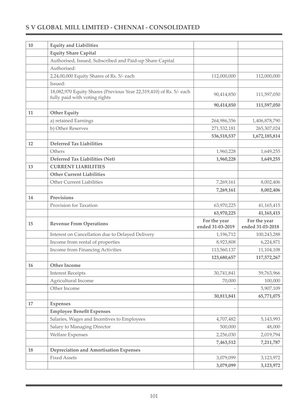# **S V GLOBAL MILL LIMITED - CHENNAI - CONSOLIDATED**

| 10 | <b>Equity and Liabilities</b>                                                                        |                                  |                                  |
|----|------------------------------------------------------------------------------------------------------|----------------------------------|----------------------------------|
|    | <b>Equity Share Capital</b>                                                                          |                                  |                                  |
|    | Authorised, Issued, Subscribed and Paid-up Share Capital                                             |                                  |                                  |
|    | Authorised:                                                                                          |                                  |                                  |
|    | 2,24,00,000 Equity Shares of Rs. 5/- each                                                            | 112,000,000                      | 112,000,000                      |
|    | Issued:                                                                                              |                                  |                                  |
|    | 18,082,970 Equity Shares (Previous Year 22,319,410) of Rs. 5/- each<br>fully paid with voting rights | 90,414,850                       | 111,597,050                      |
|    |                                                                                                      | 90,414,850                       | 111,597,050                      |
| 11 | <b>Other Equity</b>                                                                                  |                                  |                                  |
|    | a) retained Earnings                                                                                 | 264,986,356                      | 1,406,878,790                    |
|    | b) Other Reserves                                                                                    | 271,532,181                      | 265,307,024                      |
|    |                                                                                                      | 536,518,537                      | 1,672,185,814                    |
| 12 | <b>Deferred Tax Liabilities</b>                                                                      |                                  |                                  |
|    | Others                                                                                               | 1,960,228                        | 1,649,255                        |
|    | Deferred Tax Liabilities (Net)                                                                       | 1,960,228                        | 1,649,255                        |
| 13 | <b>CURRENT LIABILITIES</b>                                                                           |                                  |                                  |
|    | <b>Other Current Liabilities</b>                                                                     |                                  |                                  |
|    | Other Current Liabilities                                                                            | 7,269,161                        | 8,002,406                        |
|    |                                                                                                      | 7,269,161                        | 8,002,406                        |
| 14 | Provisions                                                                                           |                                  |                                  |
|    |                                                                                                      |                                  |                                  |
|    | Provision for Taxation                                                                               | 63,970,225                       | 41,165,415                       |
|    |                                                                                                      | 63,970,225                       | 41,165,415                       |
| 15 | <b>Revenue From Operations</b>                                                                       | For the year<br>ended 31-03-2019 | For the year<br>ended 31-03-2018 |
|    | Interest on Cancellation due to Delayed Delivery                                                     | 1,196,712                        | 100,243,288                      |
|    | Income from rental of properties                                                                     | 8,923,808                        | 6,224,871                        |
|    | Income from Financing Activities                                                                     | 113,560,137                      | 11,104,108                       |
|    |                                                                                                      | 123,680,657                      | 117,572,267                      |
| 16 | Other Income                                                                                         |                                  |                                  |
|    | <b>Interest Receipts</b>                                                                             | 30,741,841                       | 59,763,966                       |
|    | Agricultural Income                                                                                  | 70,000                           | 100,000                          |
|    | Other Income                                                                                         |                                  | 5,907,109                        |
|    |                                                                                                      | 30,811,841                       | 65,771,075                       |
| 17 | <b>Expenses</b>                                                                                      |                                  |                                  |
|    | <b>Employee Benefit Expenses</b>                                                                     |                                  |                                  |
|    | Salaries, Wages and Incentives to Employees                                                          | 4,707,482                        | 5,143,993                        |
|    | Salary to Managing Director                                                                          | 500,000                          | 48,000                           |
|    | Welfare Expenses                                                                                     | 2,256,030                        | 2,019,794                        |
|    |                                                                                                      | 7,463,512                        | 7,211,787                        |
| 18 | <b>Depreciation and Amortisation Expenses</b>                                                        |                                  |                                  |
|    | <b>Fixed Assets</b>                                                                                  | 3,079,099<br>3,079,099           | 3,123,972                        |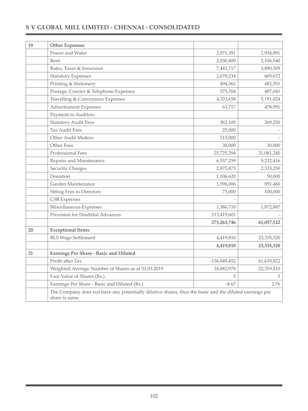# **S V GLOBAL MILL LIMITED - CHENNAI - CONSOLIDATED**

| 19 | <b>Other Expenses</b>                                                                                                    |                |            |
|----|--------------------------------------------------------------------------------------------------------------------------|----------------|------------|
|    | Power and Water                                                                                                          | 2,071,391      | 1,954,891  |
|    | Rent                                                                                                                     | 2,030,400      | 2,106,540  |
|    | Rates, Taxes & Insurance                                                                                                 | 7,441,717      | 3,890,309  |
|    | <b>Statutory Expenses</b>                                                                                                | 2,678,234      | 605,672    |
|    | Printing & Stationery                                                                                                    | 494,362        | 482,551    |
|    | Postage, Courier & Telephone Expenses                                                                                    | 575,704        | 487,041    |
|    | Travelling & Conveyance Expenses                                                                                         | 4,333,658      | 5,191,024  |
|    | <b>Advertisment Expenses</b>                                                                                             | 63,717         | 478,991    |
|    | Payment to Auditors                                                                                                      |                |            |
|    | <b>Statutory Audit Fees</b>                                                                                              | 362,100        | 269,250    |
|    | <b>Tax Audit Fees</b>                                                                                                    | 25,000         |            |
|    | Other Audit Matters                                                                                                      | 315,000        |            |
|    | Other Fees                                                                                                               | 30,000         | 30,000     |
|    | Professional Fees                                                                                                        | 25,725,394     | 31,081,240 |
|    | Repairs and Maintenance                                                                                                  | 6,557,259      | 9,232,416  |
|    | Security Charges                                                                                                         | 2,975,873      | 2,333,250  |
|    | Donation                                                                                                                 | 1,106,620      | 50,000     |
|    | Garden Maintenance                                                                                                       | 1,596,006      | 891,460    |
|    | Sitting Fees to Directors                                                                                                | 75,000         | 100,000    |
|    | <b>CSR</b> Expenses                                                                                                      |                |            |
|    | Miscellaneous Expenses                                                                                                   | 1,386,710      | 1,872,887  |
|    | Provision for Doubtful Advances                                                                                          | 213,419,601    |            |
|    |                                                                                                                          | 273, 263, 746  | 61,057,522 |
| 20 | <b>Exceptional Items</b>                                                                                                 |                |            |
|    | <b>BLS Wage Settlement</b>                                                                                               | 4,419,810      | 23,335,320 |
|    |                                                                                                                          | 4,419,810      | 23,335,320 |
| 21 | Earnings Per Share - Basic and Diluted                                                                                   |                |            |
|    | Profit after Tax                                                                                                         | $-156,849,452$ | 61,635,822 |
|    | Weighted Average Number of Shares as at 31.03.2019                                                                       | 18,082,970     | 22,319,410 |
|    | Face Value of Shares (Rs.)                                                                                               | 5              | 5          |
|    | Earnings Per Share - Basic and Diluted (Rs.)                                                                             | $-8.67$        | 2.76       |
|    | The Company does not have any potentially dilutive shares, thus the basic and the diluted earnings per<br>share is same. |                |            |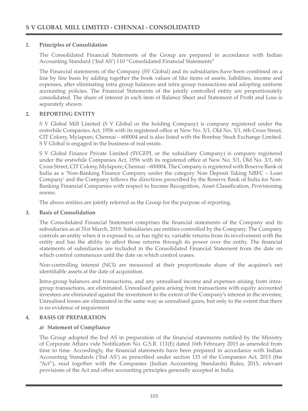## **1. Principles of Consolidation**

The Consolidated Financial Statements of the Group are prepared in accordance with Indian Accounting Standard ('Ind AS') 110 "Consolidated Financial Statements"

The Financial statements of the Company (SV Global) and its subsidiaries have been combined on a line by line basis by adding together the book values of like items of assets, liabilities, income and expenses, after eliminating intra group balances and intra group transactions and adopting uniform accounting policies. The Financial Statements of the jointly controlled entity are proportionately consolidated. The share of interest in each item of Balance Sheet and Statement of Profit and Loss is separately shown.

## **2. REPORTING ENTITY**

S V Global Mill Limited (S V Global or the holding Company) is company registered under the erstwhile Companies Act, 1956 with its registered office at New No. 5/1, Old No. 3/1, 6th Cross Street, CIT Colony, Mylapore, Chennai – 600004 and is also listed with the Bombay Stock Exchange Limited. S V Global is engaged in the business of real estate.

S V Global Finance Private Limited (SVGFPL or the subsidiary Company) is company registered under the erstwhile Companies Act, 1956 with its registered office at New No. 5/1, Old No. 3/1, 6th Cross Street, CIT Colony, Mylapore, Chennai – 600004. The Company is registered with Reserve Bank of India as a 'Non-Banking Finance Company under the category Non Deposit Taking NBFC – Loan Company' and the Company follows the directions prescribed by the Reserve Bank of India for Non-Banking Financial Companies with respect to Income Recognition, Asset Classification, Provisioning norms.

The above entities are jointly referred as the Group for the purpose of reporting.

#### **3. Basis of Consolidation**

The Consolidated Financial Statement comprises the financial statements of the Company and its subsidiaries as at 31st March, 2019. Subsidiaries are entities controlled by the Company. The Company controls an entity when it is exposed to, or has right to, variable returns from its involvement with the entity and has the ability to affect those returns through its power over the entity. The financial statements of subsidiaries are included in the Consolidated Financial Statement from the date on which control commences until the date on which control ceases.

Non-controlling interest (NCI) are measured at their proportionate share of the acquiree's net identifiable assets at the date of acquisition.

Intra-group balances and transactions, and any unrealised income and expenses arising from intragroup transactions, are eliminated. Unrealised gains arising from transactions with equity accounted investees are eliminated against the investment to the extent of the Company's interest in the investee, Unrealised losses are eliminated in the same way as unrealised gains, but only to the extent that there is no evidence of impairment

## **4. BASIS OF PREPARATION**

#### **a) Statement of Compliance**

The Group adopted the Ind AS in preparation of the financial statements notified by the Ministry of Corporate Affairs vide Notification No. G.S.R. 111(E) dated 16th February 2015 as amended from time to time. Accordingly, the financial statements have been prepared in accordance with Indian Accounting Standards ('Ind AS') as prescribed under section 133 of the Companies Act, 2013 (the "Act"), read together with the Companies (Indian Accounting Standards) Rules, 2015, relevant provisions of the Act and other accounting principles generally accepted in India.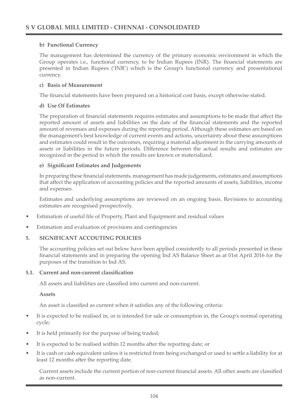## **b) Functional Currency**

The management has determined the currency of the primary economic environment in which the Group operates i.e., functional currency, to be Indian Rupees (INR). The financial statements are presented in Indian Rupees ('INR') which is the Group's functional currency and presentational currency.

#### **c) Basis of Measurement**

The financial statements have been prepared on a historical cost basis, except otherwise stated.

#### **d) Use Of Estimates**

The preparation of financial statements requires estimates and assumptions to be made that affect the reported amount of assets and liabilities on the date of the financial statements and the reported amount of revenues and expenses during the reporting period. Although these estimates are based on the management's best knowledge of current events and actions, uncertainty about these assumptions and estimates could result in the outcomes, requiring a material adjustment in the carrying amounts of assets or liabilities in the future periods. Difference between the actual results and estimates are recognized in the period in which the results are known or materialized.

## **e) Significant Estimates and Judgements**

In preparing these financial statements, management has made judgements, estimates and assumptions that affect the application of accounting policies and the reported amounts of assets, liabilities, income and expenses.

Estimates and underlying assumptions are reviewed on an ongoing basis. Revisions to accounting estimates are recognised prospectively.

- Estimation of useful life of Property, Plant and Equipment and residual values
- Estimation and evaluation of provisions and contingencies

#### **5. SIGNIFICANT ACCOUTING POLICIES**

The accounting policies set out below have been applied consistently to all periods presented in these financial statements and in preparing the opening Ind AS Balance Sheet as at 01st April 2016 for the purposes of the transition to Ind AS.

#### **5.1. Current and non-current classification**

All assets and liabilities are classified into current and non-current.

**Assets**

An asset is classified as current when it satisfies any of the following criteria:

- It is expected to be realised in, or is intended for sale or consumption in, the Group's normal operating cycle;
- It is held primarily for the purpose of being traded;
- It is expected to be realised within 12 months after the reporting date; or
- It is cash or cash equivalent unless it is restricted from being exchanged or used to settle a liability for at least 12 months after the reporting date.

Current assets include the current portion of non-current financial assets. All other assets are classified as non-current.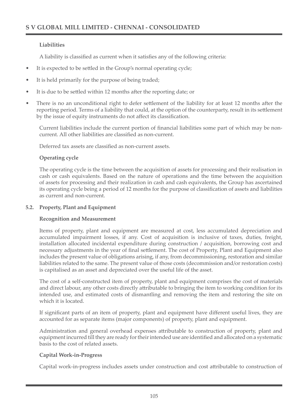# **Liabilities**

A liability is classified as current when it satisfies any of the following criteria:

- It is expected to be settled in the Group's normal operating cycle;
- It is held primarily for the purpose of being traded;
- It is due to be settled within 12 months after the reporting date; or
- There is no an unconditional right to defer settlement of the liability for at least 12 months after the reporting period. Terms of a liability that could, at the option of the counterparty, result in its settlement by the issue of equity instruments do not affect its classification.

Current liabilities include the current portion of financial liabilities some part of which may be noncurrent. All other liabilities are classified as non-current.

Deferred tax assets are classified as non-current assets.

## **Operating cycle**

The operating cycle is the time between the acquisition of assets for processing and their realisation in cash or cash equivalents. Based on the nature of operations and the time between the acquisition of assets for processing and their realization in cash and cash equivalents, the Group has ascertained its operating cycle being a period of 12 months for the purpose of classification of assets and liabilities as current and non-current.

## **5.2. Property, Plant and Equipment**

## **Recognition and Measurement**

Items of property, plant and equipment are measured at cost, less accumulated depreciation and accumulated impairment losses, if any. Cost of acquisition is inclusive of taxes, duties, freight, installation allocated incidental expenditure during construction / acquisition, borrowing cost and necessary adjustments in the year of final settlement. The cost of Property, Plant and Equipment also includes the present value of obligations arising, if any, from decommissioning, restoration and similar liabilities related to the same. The present value of those costs (decommission and/or restoration costs) is capitalised as an asset and depreciated over the useful life of the asset.

The cost of a self-constructed item of property, plant and equipment comprises the cost of materials and direct labour, any other costs directly attributable to bringing the item to working condition for its intended use, and estimated costs of dismantling and removing the item and restoring the site on which it is located.

If significant parts of an item of property, plant and equipment have different useful lives, they are accounted for as separate items (major components) of property, plant and equipment.

Administration and general overhead expenses attributable to construction of property, plant and equipment incurred till they are ready for their intended use are identified and allocated on a systematic basis to the cost of related assets.

# **Capital Work-in-Progress**

Capital work-in-progress includes assets under construction and cost attributable to construction of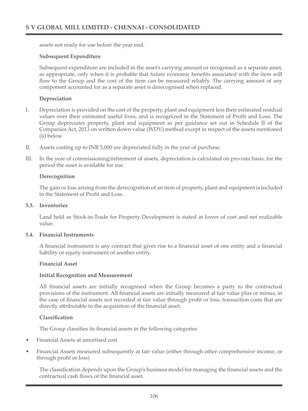assets not ready for use before the year end.

## **Subsequent Expenditure**

Subsequent expenditure are included in the asset's carrying amount or recognised as a separate asset, as appropriate, only when it is probable that future economic benefits associated with the item will flow to the Group and the cost of the item can be measured reliably. The carrying amount of any component accounted for as a separate asset is derecognised when replaced.

## **Depreciation**

- I. Depreciation is provided on the cost of the property, plant and equipment less their estimated residual values over their estimated useful lives, and is recognized in the Statement of Profit and Loss. The Group depreciates property, plant and equipment as per guidance set out in Schedule II of the Companies Act, 2013 on written down value (WDV) method except in respect of the assets mentioned (ii) below
- II. Assets costing up to INR 5,000 are depreciated fully in the year of purchase.
- III. In the year of commissioning/retirement of assets, depreciation is calculated on pro-rata basis, for the period the asset is available for use.

## **Derecognition**

The gain or loss arising from the derecognition of an item of property, plant and equipment is included in the Statement of Profit and Loss.

#### **5.3. Inventories**

Land held as Stock-in-Trade for Property Development is stated at lower of cost and net realizable value.

#### **5.4. Financial Instruments**

A financial instrument is any contract that gives rise to a financial asset of one entity and a financial liability or equity instrument of another entity.

#### **Financial Asset**

#### **Initial Recognition and Measurement**

All financial assets are initially recognised when the Group becomes a party to the contractual provisions of the instrument. All financial assets are initially measured at fair value plus or minus, in the case of financial assets not recorded at fair value through profit or loss, transaction costs that are directly attributable to the acquisition of the financial asset.

#### **Classification**

The Group classifies its financial assets in the following categories

- Financial Assets at amortised cost
- Financial Assets measured subsequently at fair value (either through other comprehensive income, or through profit or loss)

The classification depends upon the Group's business model for managing the financial assets and the contractual cash flows of the financial asset.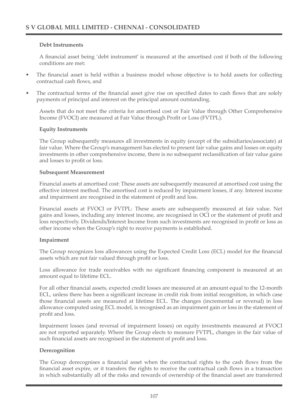## **Debt Instruments**

A financial asset being 'debt instrument' is measured at the amortised cost if both of the following conditions are met:

- The financial asset is held within a business model whose objective is to hold assets for collecting contractual cash flows, and
- The contractual terms of the financial asset give rise on specified dates to cash flows that are solely payments of principal and interest on the principal amount outstanding.

Assets that do not meet the criteria for amortised cost or Fair Value through Other Comprehensive Income (FVOCI) are measured at Fair Value through Profit or Loss (FVTPL).

## **Equity Instruments**

The Group subsequently measures all investments in equity (except of the subsidiaries/associate) at fair value. Where the Group's management has elected to present fair value gains and losses on equity investments in other comprehensive income, there is no subsequent reclassification of fair value gains and losses to profit or loss.

#### **Subsequent Measurement**

Financial assets at amortised cost: These assets are subsequently measured at amortised cost using the effective interest method. The amortised cost is reduced by impairment losses, if any. Interest income and impairment are recognised in the statement of profit and loss.

Financial assets at FVOCI or FVTPL: These assets are subsequently measured at fair value. Net gains and losses, including any interest income, are recognised in OCI or the statement of profit and loss respectively. Dividends/Interest Income from such investments are recognised in profit or loss as other income when the Group's right to receive payments is established.

#### **Impairment**

The Group recognizes loss allowances using the Expected Credit Loss (ECL) model for the financial assets which are not fair valued through profit or loss.

Loss allowance for trade receivables with no significant financing component is measured at an amount equal to lifetime ECL.

For all other financial assets, expected credit losses are measured at an amount equal to the 12-month ECL, unless there has been a significant increase in credit risk from initial recognition, in which case those financial assets are measured at lifetime ECL. The changes (incremental or reversal) in loss allowance computed using ECL model, is recognised as an impairment gain or loss in the statement of profit and loss.

Impairment losses (and reversal of impairment losses) on equity investments measured at FVOCI are not reported separately. Where the Group elects to measure FVTPL, changes in the fair value of such financial assets are recognised in the statement of profit and loss.

## **Derecognition**

The Group derecognises a financial asset when the contractual rights to the cash flows from the financial asset expire, or it transfers the rights to receive the contractual cash flows in a transaction in which substantially all of the risks and rewards of ownership of the financial asset are transferred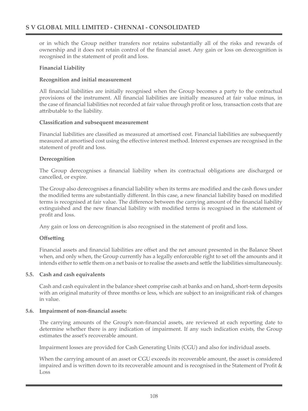or in which the Group neither transfers nor retains substantially all of the risks and rewards of ownership and it does not retain control of the financial asset. Any gain or loss on derecognition is recognised in the statement of profit and loss.

#### **Financial Liability**

#### **Recognition and initial measurement**

All financial liabilities are initially recognised when the Group becomes a party to the contractual provisions of the instrument. All financial liabilities are initially measured at fair value minus, in the case of financial liabilities not recorded at fair value through profit or loss, transaction costs that are attributable to the liability.

#### **Classification and subsequent measurement**

Financial liabilities are classified as measured at amortised cost. Financial liabilities are subsequently measured at amortised cost using the effective interest method. Interest expenses are recognised in the statement of profit and loss.

#### **Derecognition**

The Group derecognises a financial liability when its contractual obligations are discharged or cancelled, or expire.

The Group also derecognises a financial liability when its terms are modified and the cash flows under the modified terms are substantially different. In this case, a new financial liability based on modified terms is recognised at fair value. The difference between the carrying amount of the financial liability extinguished and the new financial liability with modified terms is recognised in the statement of profit and loss.

Any gain or loss on derecognition is also recognised in the statement of profit and loss.

#### **Offsetting**

Financial assets and financial liabilities are offset and the net amount presented in the Balance Sheet when, and only when, the Group currently has a legally enforceable right to set off the amounts and it intends either to settle them on a net basis or to realise the assets and settle the liabilities simultaneously.

#### **5.5. Cash and cash equivalents**

Cash and cash equivalent in the balance sheet comprise cash at banks and on hand, short-term deposits with an original maturity of three months or less, which are subject to an insignificant risk of changes in value.

#### **5.6. Impairment of non-financial assets:**

The carrying amounts of the Group's non-financial assets, are reviewed at each reporting date to determine whether there is any indication of impairment. If any such indication exists, the Group estimates the asset's recoverable amount.

Impairment losses are provided for Cash Generating Units (CGU) and also for individual assets.

When the carrying amount of an asset or CGU exceeds its recoverable amount, the asset is considered impaired and is written down to its recoverable amount and is recognised in the Statement of Profit & Loss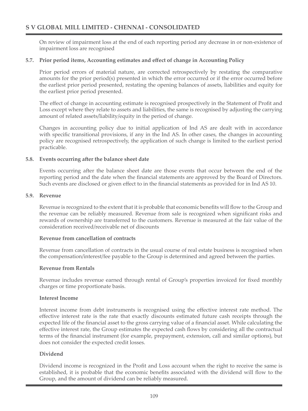On review of impairment loss at the end of each reporting period any decrease in or non-existence of impairment loss are recognised

#### **5.7. Prior period items, Accounting estimates and effect of change in Accounting Policy**

Prior period errors of material nature, are corrected retrospectively by restating the comparative amounts for the prior period(s) presented in which the error occurred or if the error occurred before the earliest prior period presented, restating the opening balances of assets, liabilities and equity for the earliest prior period presented.

The effect of change in accounting estimate is recognised prospectively in the Statement of Profit and Loss except where they relate to assets and liabilities, the same is recognised by adjusting the carrying amount of related assets/liability/equity in the period of change.

Changes in accounting policy due to initial application of Ind AS are dealt with in accordance with specific transitional provisions, if any in the Ind AS. In other cases, the changes in accounting policy are recognised retrospectively, the application of such change is limited to the earliest period practicable.

#### **5.8. Events occurring after the balance sheet date**

Events occurring after the balance sheet date are those events that occur between the end of the reporting period and the date when the financial statements are approved by the Board of Directors. Such events are disclosed or given effect to in the financial statements as provided for in Ind AS 10.

#### **5.9. Revenue**

Revenue is recognized to the extent that it is probable that economic benefits will flow to the Group and the revenue can be reliably measured. Revenue from sale is recognized when significant risks and rewards of ownership are transferred to the customers. Revenue is measured at the fair value of the consideration received/receivable net of discounts

#### **Revenue from cancellation of contracts**

Revenue from cancellation of contracts in the usual course of real estate business is recognised when the compensation/interest/fee payable to the Group is determined and agreed between the parties.

#### **Revenue from Rentals**

Revenue includes revenue earned through rental of Group's properties invoiced for fixed monthly charges or time proportionate basis.

#### **Interest Income**

Interest income from debt instruments is recognised using the effective interest rate method. The effective interest rate is the rate that exactly discounts estimated future cash receipts through the expected life of the financial asset to the gross carrying value of a financial asset. While calculating the effective interest rate, the Group estimates the expected cash flows by considering all the contractual terms of the financial instrument (for example, prepayment, extension, call and similar options), but does not consider the expected credit losses.

#### **Dividend**

Dividend income is recognized in the Profit and Loss account when the right to receive the same is established, it is probable that the economic benefits associated with the dividend will flow to the Group, and the amount of dividend can be reliably measured.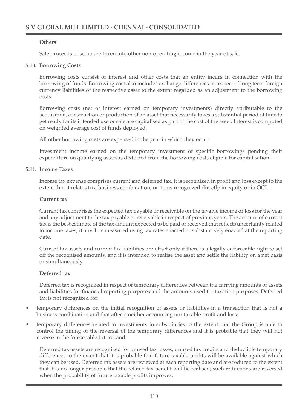#### **Others**

Sale proceeds of scrap are taken into other non-operating income in the year of sale.

#### **5.10. Borrowing Costs**

Borrowing costs consist of interest and other costs that an entity incurs in connection with the borrowing of funds. Borrowing cost also includes exchange differences in respect of long term foreign currency liabilities of the respective asset to the extent regarded as an adjustment to the borrowing costs.

Borrowing costs (net of interest earned on temporary investments) directly attributable to the acquisition, construction or production of an asset that necessarily takes a substantial period of time to get ready for its intended use or sale are capitalised as part of the cost of the asset. Interest is computed on weighted average cost of funds deployed.

All other borrowing costs are expensed in the year in which they occur

Investment income earned on the temporary investment of specific borrowings pending their expenditure on qualifying assets is deducted from the borrowing costs eligible for capitalisation.

#### **5.11. Income Taxes**

Income tax expense comprises current and deferred tax. It is recognized in profit and loss except to the extent that it relates to a business combination, or items recognized directly in equity or in OCI.

#### **Current tax**

Current tax comprises the expected tax payable or receivable on the taxable income or loss for the year and any adjustment to the tax payable or receivable in respect of previous years. The amount of current tax is the best estimate of the tax amount expected to be paid or received that reflects uncertainty related to income taxes, if any. It is measured using tax rates enacted or substantively enacted at the reporting date.

Current tax assets and current tax liabilities are offset only if there is a legally enforceable right to set off the recognised amounts, and it is intended to realise the asset and settle the liability on a net basis or simultaneously.

#### **Deferred tax**

Deferred tax is recognized in respect of temporary differences between the carrying amounts of assets and liabilities for financial reporting purposes and the amounts used for taxation purposes. Deferred tax is not recognized for:

- temporary differences on the initial recognition of assets or liabilities in a transaction that is not a business combination and that affects neither accounting nor taxable profit and loss;
- temporary differences related to investments in subsidiaries to the extent that the Group is able to control the timing of the reversal of the temporary differences and it is probable that they will not reverse in the foreseeable future; and

Deferred tax assets are recognized for unused tax losses, unused tax credits and deductible temporary differences to the extent that it is probable that future taxable profits will be available against which they can be used. Deferred tax assets are reviewed at each reporting date and are reduced to the extent that it is no longer probable that the related tax benefit will be realised; such reductions are reversed when the probability of future taxable profits improves.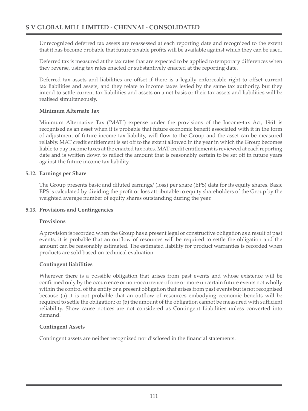Unrecognized deferred tax assets are reassessed at each reporting date and recognized to the extent that it has become probable that future taxable profits will be available against which they can be used.

Deferred tax is measured at the tax rates that are expected to be applied to temporary differences when they reverse, using tax rates enacted or substantively enacted at the reporting date.

Deferred tax assets and liabilities are offset if there is a legally enforceable right to offset current tax liabilities and assets, and they relate to income taxes levied by the same tax authority, but they intend to settle current tax liabilities and assets on a net basis or their tax assets and liabilities will be realised simultaneously.

#### **Minimum Alternate Tax**

Minimum Alternative Tax ('MAT') expense under the provisions of the Income-tax Act, 1961 is recognised as an asset when it is probable that future economic benefit associated with it in the form of adjustment of future income tax liability, will flow to the Group and the asset can be measured reliably. MAT credit entitlement is set off to the extent allowed in the year in which the Group becomes liable to pay income taxes at the enacted tax rates. MAT credit entitlement is reviewed at each reporting date and is written down to reflect the amount that is reasonably certain to be set off in future years against the future income tax liability.

#### **5.12. Earnings per Share**

The Group presents basic and diluted earnings/ (loss) per share (EPS) data for its equity shares. Basic EPS is calculated by dividing the profit or loss attributable to equity shareholders of the Group by the weighted average number of equity shares outstanding during the year.

#### **5.13. Provisions and Contingencies**

#### **Provisions**

A provision is recorded when the Group has a present legal or constructive obligation as a result of past events, it is probable that an outflow of resources will be required to settle the obligation and the amount can be reasonably estimated. The estimated liability for product warranties is recorded when products are sold based on technical evaluation.

#### **Contingent liabilities**

Wherever there is a possible obligation that arises from past events and whose existence will be confirmed only by the occurrence or non-occurrence of one or more uncertain future events not wholly within the control of the entity or a present obligation that arises from past events but is not recognised because (a) it is not probable that an outflow of resources embodying economic benefits will be required to settle the obligation; or (b) the amount of the obligation cannot be measured with sufficient reliability. Show cause notices are not considered as Contingent Liabilities unless converted into demand.

#### **Contingent Assets**

Contingent assets are neither recognized nor disclosed in the financial statements.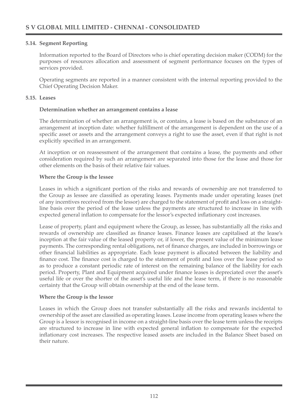#### **5.14. Segment Reporting**

Information reported to the Board of Directors who is chief operating decision maker (CODM) for the purposes of resources allocation and assessment of segment performance focuses on the types of services provided.

Operating segments are reported in a manner consistent with the internal reporting provided to the Chief Operating Decision Maker.

#### **5.15. Leases**

#### **Determination whether an arrangement contains a lease**

The determination of whether an arrangement is, or contains, a lease is based on the substance of an arrangement at inception date: whether fulfillment of the arrangement is dependent on the use of a specific asset or assets and the arrangement conveys a right to use the asset, even if that right is not explicitly specified in an arrangement.

At inception or on reassessment of the arrangement that contains a lease, the payments and other consideration required by such an arrangement are separated into those for the lease and those for other elements on the basis of their relative fair values.

#### **Where the Group is the lessee**

Leases in which a significant portion of the risks and rewards of ownership are not transferred to the Group as lessee are classified as operating leases. Payments made under operating leases (net of any incentives received from the lessor) are charged to the statement of profit and loss on a straightline basis over the period of the lease unless the payments are structured to increase in line with expected general inflation to compensate for the lessor's expected inflationary cost increases.

Lease of property, plant and equipment where the Group, as lessee, has substantially all the risks and rewards of ownership are classified as finance leases. Finance leases are capitalised at the lease's inception at the fair value of the leased property or, if lower, the present value of the minimum lease payments. The corresponding rental obligations, net of finance charges, are included in borrowings or other financial liabilities as appropriate. Each lease payment is allocated between the liability and finance cost. The finance cost is charged to the statement of profit and loss over the lease period so as to produce a constant periodic rate of interest on the remaining balance of the liability for each period. Property, Plant and Equipment acquired under finance leases is depreciated over the asset's useful life or over the shorter of the asset's useful life and the lease term, if there is no reasonable certainty that the Group will obtain ownership at the end of the lease term.

#### **Where the Group is the lessor**

Leases in which the Group does not transfer substantially all the risks and rewards incidental to ownership of the asset are classified as operating leases. Lease income from operating leases where the Group is a lessor is recognised in income on a straight-line basis over the lease term unless the receipts are structured to increase in line with expected general inflation to compensate for the expected inflationary cost increases. The respective leased assets are included in the Balance Sheet based on their nature.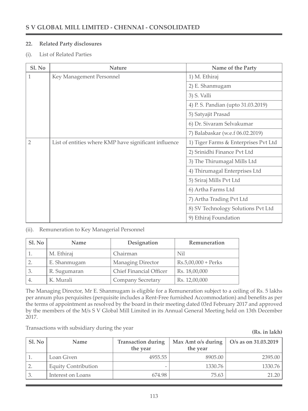### **22. Related Party disclosures**

#### (i). List of Related Parties

| Sl. No         | <b>Nature</b>                                         | Name of the Party                    |
|----------------|-------------------------------------------------------|--------------------------------------|
| 1              | Key Management Personnel                              | 1) M. Ethiraj                        |
|                |                                                       | 2) E. Shanmugam                      |
|                |                                                       | 3) S. Valli                          |
|                |                                                       | 4) P. S. Pandian (upto 31.03.2019)   |
|                |                                                       | 5) Satyajit Prasad                   |
|                |                                                       | 6) Dr. Sivaram Selvakumar            |
|                |                                                       | 7) Balabaskar (w.e.f 06.02.2019)     |
| $\overline{2}$ | List of entities where KMP have significant influence | 1) Tiger Farms & Enterprises Pvt Ltd |
|                |                                                       | 2) Srinidhi Finance Pvt Ltd          |
|                |                                                       | 3) The Thirumagal Mills Ltd          |
|                |                                                       | 4) Thirumagal Enterprises Ltd        |
|                |                                                       | 5) Sriraj Mills Pvt Ltd              |
|                |                                                       | 6) Artha Farms Ltd                   |
|                |                                                       | 7) Artha Trading Pvt Ltd             |
|                |                                                       | 8) SV Technology Solutions Pvt Ltd   |
|                |                                                       | 9) Ethiraj Foundation                |

#### (ii). Remuneration to Key Managerial Personnel

| Sl. No | <b>Name</b>  | Designation             | Remuneration          |
|--------|--------------|-------------------------|-----------------------|
|        | M. Ethiraj   | Chairman                | N <sub>il</sub>       |
|        | E. Shanmugam | Managing Director       | $Rs.5,00,000 + Perks$ |
| -3.    | R. Sugumaran | Chief Financial Officer | Rs. 18,00,000         |
|        | K. Murali    | Company Secretary       | Rs. 12,00,000         |

The Managing Director, Mr E. Shanmugam is eligible for a Remuneration subject to a ceiling of Rs. 5 lakhs per annum plus perquisites (perquisite includes a Rent-Free furnished Accommodation) and benefits as per the terms of appointment as resolved by the board in their meeting dated 03rd February 2017 and approved by the members of the M/s S V Global Mill Limited in its Annual General Meeting held on 13th December 2017.

Transactions with subsidiary during the year

#### **(Rs. in lakh)**

| Sl. No | <b>Name</b>                | <b>Transaction during</b><br>the year | Max Amt o/s during<br>the year | $O/s$ as on 31.03.2019 |
|--------|----------------------------|---------------------------------------|--------------------------------|------------------------|
|        | Loan Given                 | 4955.55                               | 8905.00                        | 2395.00                |
|        | <b>Equity Contribution</b> |                                       | 1330.76                        | 1330.76                |
| 3.     | Interest on Loans          | 674.98                                | 75.63                          | 21.20                  |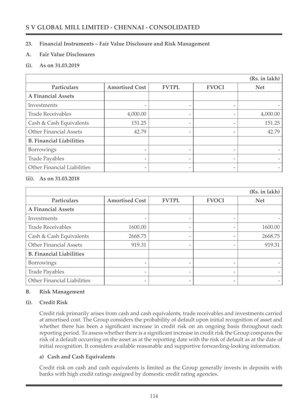## **S V GLOBAL MILL LIMITED - CHENNAI - CONSOLIDATED**

#### **23. Financial Instruments – Fair Value Disclosure and Risk Management**

#### **A. Fair Value Disclosures**

#### **(i). As on 31.03.2019**

|                                 |                       |                          |                          | (Rs. in lakh) |
|---------------------------------|-----------------------|--------------------------|--------------------------|---------------|
| Particulars                     | <b>Amortised Cost</b> | <b>FVTPL</b>             | <b>FVOCI</b>             | <b>Net</b>    |
| <b>A Financial Assets</b>       |                       |                          |                          |               |
| Investments                     | $\qquad \qquad$       |                          | $\overline{\phantom{a}}$ |               |
| <b>Trade Receivables</b>        | 4,000.00              | $\overline{\phantom{a}}$ |                          | 4,000.00      |
| Cash & Cash Equivalents         | 151.25                | $\overline{\phantom{a}}$ | $\overline{\phantom{a}}$ | 151.25        |
| <b>Other Financial Assets</b>   | 42.79                 | $\overline{\phantom{a}}$ |                          | 42.79         |
| <b>B. Financial Liabilities</b> |                       |                          |                          |               |
| <b>Borrowings</b>               | $\qquad \qquad$       | $\overline{\phantom{a}}$ | $\overline{\phantom{a}}$ |               |
| <b>Trade Payables</b>           | $\qquad \qquad$       | $\overline{\phantom{a}}$ | $\overline{\phantom{a}}$ |               |
| Other Financial Liabilities     |                       |                          |                          |               |

#### **(ii). As on 31.03.2018**

|                                 |                       |                          |                          | (Rs. in lakh) |
|---------------------------------|-----------------------|--------------------------|--------------------------|---------------|
| Particulars                     | <b>Amortised Cost</b> | <b>FVTPL</b>             | <b>FVOCI</b>             | <b>Net</b>    |
| <b>A Financial Assets</b>       |                       |                          |                          |               |
| Investments                     | $\qquad \qquad$       | $\overline{\phantom{a}}$ | $\overline{\phantom{a}}$ |               |
| Trade Receivables               | 1600.00               | $\overline{\phantom{a}}$ |                          | 1600.00       |
| Cash & Cash Equivalents         | 2668.75               |                          |                          | 2668.75       |
| <b>Other Financial Assets</b>   | 919.31                | $\overline{\phantom{a}}$ |                          | 919.31        |
| <b>B. Financial Liabilities</b> |                       |                          |                          |               |
| <b>Borrowings</b>               | $\qquad \qquad$       | $\overline{\phantom{a}}$ | $\overline{\phantom{a}}$ |               |
| <b>Trade Payables</b>           |                       |                          |                          |               |
| Other Financial Liabilities     | $\qquad \qquad$       | -                        |                          |               |

#### **B. Risk Management**

#### **(i). Credit Risk**

Credit risk primarily arises from cash and cash equivalents, trade receivables and investments carried at amortised cost. The Group considers the probability of default upon initial recognition of asset and whether there has been a significant increase in credit risk on an ongoing basis throughout each reporting period. To assess whether there is a significant increase in credit risk the Group compares the risk of a default occurring on the asset as at the reporting date with the risk of default as at the date of initial recognition. It considers available reasonable and supportive forwarding-looking information.

#### **a) Cash and Cash Equivalents**

Credit risk on cash and cash equivalents is limited as the Group generally invests in deposits with banks with high credit ratings assigned by domestic credit rating agencies.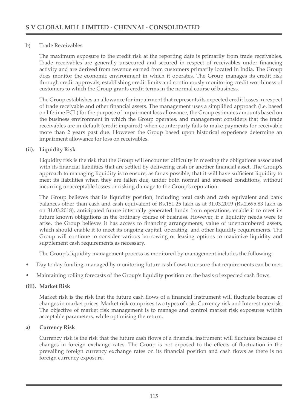#### b) Trade Receivables

The maximum exposure to the credit risk at the reporting date is primarily from trade receivables. Trade receivables are generally unsecured and secured in respect of receivables under financing activity and are derived from revenue earned from customers primarily located in India. The Group does monitor the economic environment in which it operates. The Group manages its credit risk through credit approvals, establishing credit limits and continuously monitoring credit worthiness of customers to which the Group grants credit terms in the normal course of business.

The Group establishes an allowance for impairment that represents its expected credit losses in respect of trade receivable and other financial assets. The management uses a simplified approach (i.e. based on lifetime ECL) for the purpose of impairment loss allowance, the Group estimates amounts based on the business environment in which the Group operates, and management considers that the trade receivables are in default (credit impaired) when counterparty fails to make payments for receivable more than 2 years past due. However the Group based upon historical experience determine an impairment allowance for loss on receivables.

#### **(ii). Liquidity Risk**

Liquidity risk is the risk that the Group will encounter difficulty in meeting the obligations associated with its financial liabilities that are settled by delivering cash or another financial asset. The Group's approach to managing liquidity is to ensure, as far as possible, that it will have sufficient liquidity to meet its liabilities when they are fallen due, under both normal and stressed conditions, without incurring unacceptable losses or risking damage to the Group's reputation.

The Group believes that its liquidity position, including total cash and cash equivalent and bank balances other than cash and cash equivalent of Rs.151.25 lakh as at 31.03.2019 (Rs.2,695.83 lakh as on 31.03.2018), anticipated future internally generated funds from operations, enable it to meet its future known obligations in the ordinary course of business. However, if a liquidity needs were to arise, the Group believes it has access to financing arrangements, value of unencumbered assets, which should enable it to meet its ongoing capital, operating, and other liquidity requirements. The Group will continue to consider various borrowing or leasing options to maximize liquidity and supplement cash requirements as necessary.

The Group's liquidity management process as monitored by management includes the following:

- Day to day funding, managed by monitoring future cash flows to ensure that requirements can be met.
- Maintaining rolling forecasts of the Group's liquidity position on the basis of expected cash flows.

#### **(iii). Market Risk**

Market risk is the risk that the future cash flows of a financial instrument will fluctuate because of changes in market prices. Market risk comprises two types of risk: Currency risk and Interest rate risk. The objective of market risk management is to manage and control market risk exposures within acceptable parameters, while optimising the return.

#### **a) Currency Risk**

Currency risk is the risk that the future cash flows of a financial instrument will fluctuate because of changes in foreign exchange rates. The Group is not exposed to the effects of fluctuation in the prevailing foreign currency exchange rates on its financial position and cash flows as there is no foreign currency exposure.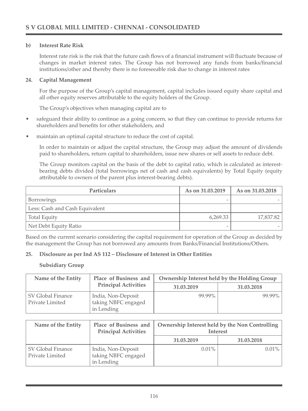#### **b) Interest Rate Risk**

Interest rate risk is the risk that the future cash flows of a financial instrument will fluctuate because of changes in market interest rates. The Group has not borrowed any funds from banks/financial institutions/other and thereby there is no foreseeable risk due to change in interest rates

#### **24. Capital Management**

For the purpose of the Group's capital management, capital includes issued equity share capital and all other equity reserves attributable to the equity holders of the Group.

The Group's objectives when managing capital are to

- safeguard their ability to continue as a going concern, so that they can continue to provide returns for shareholders and benefits for other stakeholders, and
- maintain an optimal capital structure to reduce the cost of capital.

In order to maintain or adjust the capital structure, the Group may adjust the amount of dividends paid to shareholders, return capital to shareholders, issue new shares or sell assets to reduce debt.

The Group monitors capital on the basis of the debt to capital ratio, which is calculated as interestbearing debts divided (total borrowings net of cash and cash equivalents) by Total Equity (equity attributable to owners of the parent plus interest-bearing debts).

| <b>Particulars</b>             | As on 31,03,2019 | As on 31,03,2018 |
|--------------------------------|------------------|------------------|
| <b>Borrowings</b>              |                  |                  |
| Less: Cash and Cash Equivalent |                  |                  |
| <b>Total Equity</b>            | 6.269.33         | 17,837.82        |
| Net Debt Equity Ratio          |                  |                  |

Based on the current scenario considering the capital requirement for operation of the Group as decided by the management the Group has not borrowed any amounts from Banks/Financial Institutions/Others.

#### **25. Disclosure as per Ind AS 112 – Disclosure of Interest in Other Entities**

#### **Subsidiary Group**

| Name of the Entity                   | Place of Business and<br><b>Principal Activities</b>    | Ownership Interest held by the Holding Group |            |  |
|--------------------------------------|---------------------------------------------------------|----------------------------------------------|------------|--|
|                                      |                                                         | 31.03.2019                                   | 31.03.2018 |  |
| SV Global Finance<br>Private Limited | India, Non-Deposit<br>taking NBFC engaged<br>in Lending | 99.99%                                       | $99.99\%$  |  |

| Name of the Entity                   | Place of Business and<br><b>Principal Activities</b>    | Ownership Interest held by the Non Controlling<br><b>Interest</b> |            |
|--------------------------------------|---------------------------------------------------------|-------------------------------------------------------------------|------------|
|                                      |                                                         | 31.03.2019                                                        | 31.03.2018 |
| SV Global Finance<br>Private Limited | India, Non-Deposit<br>taking NBFC engaged<br>in Lending | $0.01\%$                                                          | $0.01\%$   |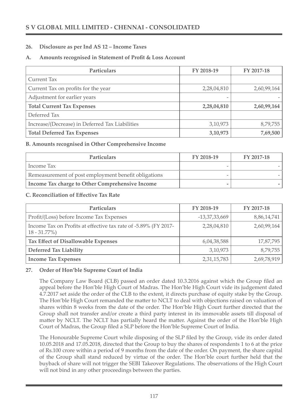## **S V GLOBAL MILL LIMITED - CHENNAI - CONSOLIDATED**

#### **26. Disclosure as per Ind AS 12 – Income Taxes**

#### **A. Amounts recognised in Statement of Profit & Loss Account**

| Particulars                                     | FY 2018-19               | FY 2017-18  |
|-------------------------------------------------|--------------------------|-------------|
| Current Tax                                     |                          |             |
| Current Tax on profits for the year             | 2,28,04,810              | 2,60,99,164 |
| Adjustment for earlier years                    | $\overline{\phantom{a}}$ |             |
| <b>Total Current Tax Expenses</b>               | 2,28,04,810              | 2,60,99,164 |
| Deferred Tax                                    |                          |             |
| Increase/(Decrease) in Deferred Tax Liabilities | 3,10,973                 | 8,79,755    |
| <b>Total Deferred Tax Expenses</b>              | 3,10,973                 | 7,69,500    |

#### **B. Amounts recognised in Other Comprehensive Income**

| <b>Particulars</b>                                   | FY 2018-19 | FY 2017-18 |
|------------------------------------------------------|------------|------------|
| Income Tax                                           |            |            |
| Remeasurement of post employment benefit obligations |            |            |
| Income Tax charge to Other Comprehensive Income      |            |            |

#### **C. Reconciliation of Effective Tax Rate**

| <b>Particulars</b>                                                                 | FY 2018-19      | FY 2017-18  |
|------------------------------------------------------------------------------------|-----------------|-------------|
| Profit/(Loss) before Income Tax Expenses                                           | $-13,37,33,669$ | 8,86,14,741 |
| Income Tax on Profits at effective tax rate of -5.89% (FY 2017-<br>$18 - 31.77\%)$ | 2,28,04,810     | 2,60,99,164 |
| <b>Tax Effect of Disallowable Expenses</b>                                         | 6,04,38,588     | 17,87,795   |
| <b>Deferred Tax Liability</b>                                                      | 3,10,973        | 8,79,755    |
| <b>Income Tax Expenses</b>                                                         | 2,31,15,783     | 2,69,78,919 |

#### **27. Order of Hon'ble Supreme Court of India**

The Company Law Board (CLB) passed an order dated 10.3.2016 against which the Group filed an appeal before the Hon'ble High Court of Madras. The Hon'ble High Court vide its judgement dated 4.7.2017 set aside the order of the CLB to the extent, it directs purchase of equity stake by the Group. The Hon'ble High Court remanded the matter to NCLT to deal with objections raised on valuation of shares within 8 weeks from the date of the order. The Hon'ble High Court further directed that the Group shall not transfer and/or create a third party interest in its immovable assets till disposal of matter by NCLT. The NCLT has partially heard the matter. Against the order of the Hon'ble High Court of Madras, the Group filed a SLP before the Hon'ble Supreme Court of India.

The Honourable Supreme Court while disposing of the SLP filed by the Group, vide its order dated 10.05.2018 and 17.05.2018, directed that the Group to buy the shares of respondents 1 to 6 at the price of Rs.100 crore within a period of 9 months from the date of the order. On payment, the share capital of the Group shall stand reduced by virtue of the order. The Hon'ble court further held that the buyback of share will not trigger the SEBI Takeover Regulations. The observations of the High Court will not bind in any other proceedings between the parties.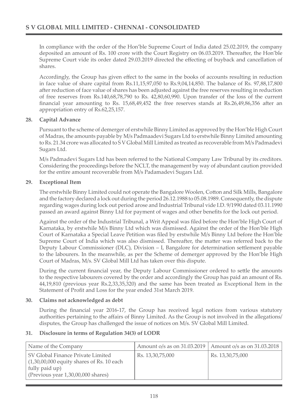In compliance with the order of the Hon'ble Supreme Court of India dated 25.02.2019, the company deposited an amount of Rs. 100 crore with the Court Registry on 06.03.2019. Thereafter, the Hon'ble Supreme Court vide its order dated 29.03.2019 directed the effecting of buyback and cancellation of shares.

Accordingly, the Group has given effect to the same in the books of accounts resulting in reduction in face value of share capital from Rs.11,15,97,050 to Rs.9,04,14,850. The balance of Rs. 97,88,17,800 after reduction of face value of shares has been adjusted against the free reserves resulting in reduction of free reserves from Rs.140,68,78,790 to Rs. 42,80,60,990. Upon transfer of the loss of the current financial year amounting to Rs. 15,68,49,452 the free reserves stands at Rs.26,49,86,356 after an appropriation entry of Rs.62,25,157.

### **28. Capital Advance**

Pursuant to the scheme of demerger of erstwhile Binny Limited as approved by the Hon'ble High Court of Madras, the amounts payable by M/s Padmaadevi Sugars Ltd to erstwhile Binny Limited amounting to Rs. 21.34 crore was allocated to S V Global Mill Limited as treated as recoverable from M/s Padmadevi Sugars Ltd.

M/s Padmadevi Sugars Ltd has been referred to the National Company Law Tribunal by its creditors. Considering the proceedings before the NCLT, the management by way of abundant caution provided for the entire amount recoverable from M/s Padamadevi Sugars Ltd.

#### **29. Exceptional Item**

The erstwhile Binny Limited could not operate the Bangalore Woolen, Cotton and Silk Mills, Bangalore and the factory declared a lock out during the period 26.12.1988 to 05.08.1989. Consequently, the dispute regarding wages during lock out period arose and Industrial Tribunal vide I.D. 9/1990 dated 03.11.1990 passed an award against Binny Ltd for payment of wages and other benefits for the lock out period.

Against the order of the Industrial Tribunal, a Writ Appeal was filed before the Hon'ble High Court of Karnataka, by erstwhile M/s Binny Ltd which was dismissed. Against the order of the Hon'ble High Court of Karnataka a Special Leave Petition was filed by erstwhile M/s Binny Ltd before the Hon'ble Supreme Court of India which was also dismissed. Thereafter, the matter was referred back to the Deputy Labour Commissioner (DLC), Division – I, Bangalore for determination settlement payable to the labourers. In the meanwhile, as per the Scheme of demerger approved by the Hon'ble High Court of Madras, M/s. SV Global Mill Ltd has taken over this dispute.

During the current financial year, the Deputy Labour Commissioner ordered to settle the amounts to the respective labourers covered by the order and accordingly the Group has paid an amount of Rs. 44,19,810 (previous year Rs.2,33,35,320) and the same has been treated as Exceptional Item in the Statement of Profit and Loss for the year ended 31st March 2019.

#### **30. Claims not acknowledged as debt**

During the financial year 2016-17, the Group has received legal notices from various statutory authorities pertaining to the affairs of Binny Limited. As the Group is not involved in the allegations/ disputes, the Group has challenged the issue of notices on M/s. SV Global Mill Limited.

#### **31. Disclosure in terms of Regulation 34(3) of LODR**

| Name of the Company                                                                                                                         | Amount o/s as on 31.03.2019   Amount o/s as on 31.03.2018 |                  |
|---------------------------------------------------------------------------------------------------------------------------------------------|-----------------------------------------------------------|------------------|
| SV Global Finance Private Limited<br>$(1,30,00,000)$ equity shares of Rs. 10 each<br>fully paid up)<br>(Previous year $1,30,00,000$ shares) | Rs. 13,30,75,000                                          | Rs. 13,30,75,000 |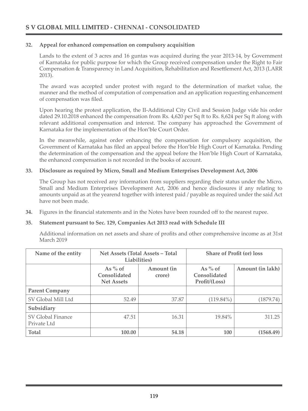#### **32. Appeal for enhanced compensation on compulsory acquisition**

Lands to the extent of 3 acres and 16 guntas was acquired during the year 2013-14, by Government of Karnataka for public purpose for which the Group received compensation under the Right to Fair Compensation & Transparency in Land Acquisition, Rehabilitation and Resettlement Act, 2013 (LARR 2013).

The award was accepted under protest with regard to the determination of market value, the manner and the method of computation of compensation and an application requesting enhancement of compensation was filed.

Upon hearing the protest application, the II-Additional City Civil and Session Judge vide his order dated 29.10.2018 enhanced the compensation from Rs. 4,620 per Sq ft to Rs. 8,624 per Sq ft along with relevant additional compensation and interest. The company has approached the Government of Karnataka for the implementation of the Hon'ble Court Order.

In the meanwhile, against order enhancing the compensation for compulsory acquisition, the Government of Karnataka has filed an appeal before the Hon'ble High Court of Karnataka. Pending the determination of the compensation and the appeal before the Hon'ble High Court of Karnataka, the enhanced compensation is not recorded in the books of account.

#### **33. Disclosure as required by Micro, Small and Medium Enterprises Development Act, 2006**

The Group has not received any information from suppliers regarding their status under the Micro, Small and Medium Enterprises Development Act, 2006 and hence disclosures if any relating to amounts unpaid as at the yearend together with interest paid / payable as required under the said Act have not been made.

**34.** Figures in the financial statements and in the Notes have been rounded off to the nearest rupee.

#### **35. Statement pursuant to Sec. 129, Companies Act 2013 read with Schedule III**

Additional information on net assets and share of profits and other comprehensive income as at 31st March 2019

| Name of the entity               | Net Assets (Total Assets – Total<br>Liabilities) |                      | Share of Profit (or) loss                  |                  |  |
|----------------------------------|--------------------------------------------------|----------------------|--------------------------------------------|------------------|--|
|                                  | As $\%$ of<br>Consolidated<br><b>Net Assets</b>  | Amount (in<br>crore) | As $%$ of<br>Consolidated<br>Profit/(Loss) | Amount (in lakh) |  |
| <b>Parent Company</b>            |                                                  |                      |                                            |                  |  |
| SV Global Mill Ltd               | 52.49                                            | 37.87                | $(119.84\%)$                               | (1879.74)        |  |
| Subsidiary                       |                                                  |                      |                                            |                  |  |
| SV Global Finance<br>Private Ltd | 47.51                                            | 16.31                | 19.84%                                     | 311.25           |  |
| <b>Total</b>                     | 100.00                                           | 54.18                | 100                                        | (1568.49)        |  |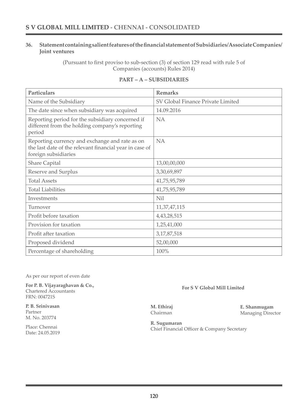#### **36. Statement containing salient features of the financial statement of Subsidiaries/Associate Companies/ Joint ventures**

(Pursuant to first proviso to sub-section (3) of section 129 read with rule 5 of Companies (accounts) Rules 2014)

| <b>Particulars</b>                                                                                                                | <b>Remarks</b>                    |  |  |  |
|-----------------------------------------------------------------------------------------------------------------------------------|-----------------------------------|--|--|--|
| Name of the Subsidiary                                                                                                            | SV Global Finance Private Limited |  |  |  |
| The date since when subsidiary was acquired                                                                                       | 14.09.2016                        |  |  |  |
| Reporting period for the subsidiary concerned if<br>different from the holding company's reporting<br>period                      | NA                                |  |  |  |
| Reporting currency and exchange and rate as on<br>the last date of the relevant financial year in case of<br>foreign subsidiaries | <b>NA</b>                         |  |  |  |
| Share Capital                                                                                                                     | 13,00,00,000                      |  |  |  |
| Reserve and Surplus                                                                                                               | 3,30,69,897                       |  |  |  |
| <b>Total Assets</b>                                                                                                               | 41,75,95,789                      |  |  |  |
| <b>Total Liabilities</b>                                                                                                          | 41,75,95,789                      |  |  |  |
| Investments                                                                                                                       | <b>Nil</b>                        |  |  |  |
| Turnover                                                                                                                          | 11,37,47,115                      |  |  |  |
| Profit before taxation                                                                                                            | 4,43,28,515                       |  |  |  |
| Provision for taxation                                                                                                            | 1,25,41,000                       |  |  |  |
| Profit after taxation                                                                                                             | 3,17,87,518                       |  |  |  |
| Proposed dividend                                                                                                                 | 52,00,000                         |  |  |  |
| Percentage of shareholding                                                                                                        | 100%                              |  |  |  |

#### **PART – A – SUBSIDIARIES**

As per our report of even date

**For P. B. Vijayaraghavan & Co.,** Chartered Accountants FRN: 004721S

**P. B. Srinivasan** Partner M. No. 203774

Place: Chennai Date: 24.05.2019

#### **For S V Global Mill Limited**

 **M. Ethiraj**  Chairman

 **E. Shanmugam**  Managing Director

 **R. Sugumaran**  Chief Financial Officer & Company Secretary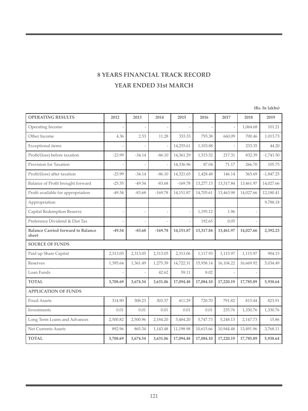# **8 YEARS FINANCIAL TRACK RECORD YEAR ENDED 31st MARCH**

**(Rs. In lakhs)**

| <b>OPERATING RESULTS</b>                           | 2012                     | 2013     | 2014      | 2015      | 2016      | 2017      | 2018      | 2019        |
|----------------------------------------------------|--------------------------|----------|-----------|-----------|-----------|-----------|-----------|-------------|
| Operating Income                                   |                          |          |           |           |           |           | 1,064.68  | 101.21      |
| Other Income                                       | 4.36                     | 2.53     | 11.28     | 333.33    | 793.38    | 660.09    | 700.46    | 1,013.73    |
| Exceptional items                                  |                          |          |           | 14,255.61 | 1.103.88  |           | 233.35    | 44.20       |
| Profit/(loss) before taxation                      | $-23.99$                 | $-34.14$ | $-86.10$  | 14,361.29 | 1,515.52  | 217.31    | 832.39    | $-1,741.50$ |
| Provision for Taxation                             |                          |          |           | 14,336.96 | 87.04     | 71.17     | 266.70    | 105.75      |
| Profit/(loss) after taxation                       | $-23.99$                 | $-34.14$ | $-86.10$  | 14,321.65 | 1,428.48  | 146.14    | 565.69    | $-1,847.25$ |
| Balance of Profit brought forward                  | $-25.55$                 | $-49.54$ | $-83.68$  | $-169.78$ | 13,277.13 | 13,317.84 | 13,461.97 | 14,027.66   |
| Profit available for appropriation                 | $-49.54$                 | $-83.68$ | $-169.78$ | 14,151.87 | 14,705.61 | 13,463.98 | 14,027.66 | 12,180.41   |
| Appropriation                                      |                          |          |           |           |           |           |           | 9,788.18    |
| Capital Redemption Reserve                         | $\overline{\phantom{a}}$ |          |           |           | 1,195.12  | 1.96      |           |             |
| Preference Dividend & Dist Tax                     |                          |          |           |           | 192.65    | 0.05      |           |             |
| <b>Balance Carried forward to Balance</b><br>sheet | $-49.54$                 | $-83.68$ | $-169.78$ | 14,151.87 | 13,317.84 | 13,461.97 | 14,027.66 | 2,392.23    |
| <b>SOURCE OF FUNDS</b>                             |                          |          |           |           |           |           |           |             |
| Paid up Share Capital                              | 2,313.05                 | 2,313.05 | 2,313.05  | 2,313.06  | 1,117.93  | 1,115.97  | 1,115.97  | 904.15      |
| Reserves                                           | 1,395.64                 | 1,361.49 | 1,275.39  | 14,722.31 | 15,958.14 | 16,104.22 | 16,669.92 | 5,034.49    |
| Loan Funds                                         |                          |          | 42.62     | 59.11     | 8.02      |           |           |             |
| <b>TOTAL</b>                                       | 3,708.69                 | 3,674.54 | 3,631.06  | 17,094.48 | 17,084.10 | 17,220.19 | 17,785.89 | 5,938.64    |
| <b>APPLICATION OF FUNDS</b>                        |                          |          |           |           |           |           |           |             |
| <b>Fixed Assets</b>                                | 314.90                   | 308.23   | 303.37    | 411.29    | 720.70    | 791.82    | 815.44    | 823.91      |
| Investments                                        | 0.01                     | 0.01     | 0.01      | 0.01      | 0.01      | 235.76    | 1,330.76  | 1,330.76    |
| Long Term Loans and Advances                       | 2,500.82                 | 2,500.96 | 2,184.20  | 5,484.20  | 5,747.73  | 5,248.13  | 2,147.73  | 15.86       |
| <b>Net Currents Assets</b>                         | 892.96                   | 865.34   | 1,143.48  | 11,198.98 | 10,615.66 | 10,944.48 | 13,491.96 | 3,768.11    |
| TOTAL                                              | 3,708.69                 | 3,674.54 | 3,631.06  | 17,094.48 | 17,084.10 | 17,220.19 | 17,785.89 | 5,938.64    |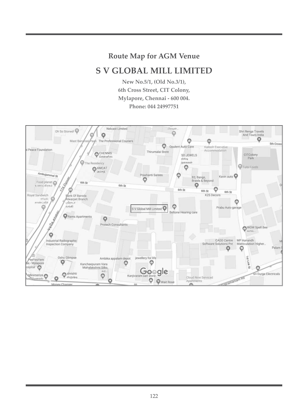## **Route Map for AGM Venue**

# **S V GLOBAL MILL LIMITED**

**New No.5/1, (Old No.3/1), 6th Cross Street, CIT Colony, Mylapore, Chennai - 600 004. Phone: 044 24997751**

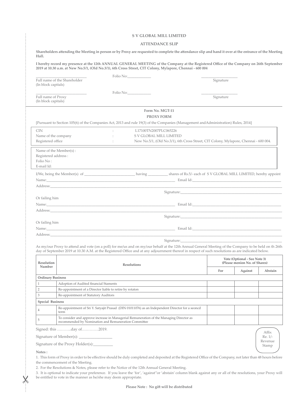#### **S V GLOBAL MILL LIMITED**

#### **ATTENDANCE SLIP**

| Hall.                                     |                                                                                                                                                 |                      |                       | Shareholders attending the Meeting in person or by Proxy are requested to complete the attendance slip and hand it over at the entrance of the Meeting                                                                                                                                                      |                                                               |         |                  |
|-------------------------------------------|-------------------------------------------------------------------------------------------------------------------------------------------------|----------------------|-----------------------|-------------------------------------------------------------------------------------------------------------------------------------------------------------------------------------------------------------------------------------------------------------------------------------------------------------|---------------------------------------------------------------|---------|------------------|
|                                           |                                                                                                                                                 |                      |                       | I hereby record my presence at the 12th ANNUAL GENERAL MEETING of the Company at the Registered Office of the Company on 26th September<br>2019 at 10.30 a.m. at New No.5/1, (Old No.3/1), 6th Cross Street, CIT Colony, Mylapore, Chennai - 600 004                                                        |                                                               |         |                  |
|                                           |                                                                                                                                                 | Folio No:            |                       |                                                                                                                                                                                                                                                                                                             |                                                               |         |                  |
| (In block capitals)                       | Full name of the Shareholder                                                                                                                    |                      |                       |                                                                                                                                                                                                                                                                                                             | Signature                                                     |         |                  |
|                                           |                                                                                                                                                 | Folio No:            |                       |                                                                                                                                                                                                                                                                                                             |                                                               |         |                  |
| Full name of Proxy<br>(In block capitals) |                                                                                                                                                 |                      |                       |                                                                                                                                                                                                                                                                                                             | Signature                                                     |         |                  |
|                                           |                                                                                                                                                 |                      |                       | Form No. MGT-11                                                                                                                                                                                                                                                                                             |                                                               |         |                  |
|                                           |                                                                                                                                                 |                      |                       | PROXY FORM<br>[Pursuant to Section 105(6) of the Companies Act, 2013 and rule 19(3) of the Companies (Management andAdministration) Rules, 2014]                                                                                                                                                            |                                                               |         |                  |
| <b>CIN</b>                                |                                                                                                                                                 | $\ddot{\phantom{a}}$ | L17100TN2007PLC065226 |                                                                                                                                                                                                                                                                                                             |                                                               |         |                  |
| Name of the company                       |                                                                                                                                                 | $\ddot{\phantom{a}}$ |                       | S V GLOBAL MILL LIMITED                                                                                                                                                                                                                                                                                     |                                                               |         |                  |
| Registered office                         |                                                                                                                                                 | $\ddot{\phantom{a}}$ |                       | New No.5/1, (Old No.3/1), 6th Cross Street, CIT Colony, Mylapore, Chennai - 600 004.                                                                                                                                                                                                                        |                                                               |         |                  |
|                                           | Name of the Member(s):                                                                                                                          |                      |                       |                                                                                                                                                                                                                                                                                                             |                                                               |         |                  |
| Registered address:                       |                                                                                                                                                 |                      |                       |                                                                                                                                                                                                                                                                                                             |                                                               |         |                  |
| Folio No:<br>E-mail Id:                   |                                                                                                                                                 |                      |                       |                                                                                                                                                                                                                                                                                                             |                                                               |         |                  |
|                                           |                                                                                                                                                 |                      |                       |                                                                                                                                                                                                                                                                                                             |                                                               |         |                  |
|                                           |                                                                                                                                                 |                      |                       | Email Id:                                                                                                                                                                                                                                                                                                   |                                                               |         |                  |
| Name:<br>Address:                         |                                                                                                                                                 |                      |                       |                                                                                                                                                                                                                                                                                                             |                                                               |         |                  |
|                                           |                                                                                                                                                 |                      |                       | Signature:                                                                                                                                                                                                                                                                                                  |                                                               |         |                  |
| Or failing him                            |                                                                                                                                                 |                      |                       |                                                                                                                                                                                                                                                                                                             |                                                               |         |                  |
| Name:                                     |                                                                                                                                                 |                      |                       |                                                                                                                                                                                                                                                                                                             |                                                               |         |                  |
| Address:                                  |                                                                                                                                                 |                      |                       |                                                                                                                                                                                                                                                                                                             |                                                               |         |                  |
|                                           |                                                                                                                                                 |                      |                       | Signature: The Commission of the Commission of the Commission of the Commission of the Commission of the Commission of the Commission of the Commission of the Commission of the Commission of the Commission of the Commissio                                                                              |                                                               |         |                  |
| Or failing him                            |                                                                                                                                                 |                      |                       |                                                                                                                                                                                                                                                                                                             |                                                               |         |                  |
| Name:                                     |                                                                                                                                                 |                      |                       | Email Id: The contract of the contract of the contract of the contract of the contract of the contract of the contract of the contract of the contract of the contract of the contract of the contract of the contract of the                                                                               |                                                               |         |                  |
| Address:                                  |                                                                                                                                                 |                      |                       |                                                                                                                                                                                                                                                                                                             |                                                               |         |                  |
|                                           |                                                                                                                                                 |                      |                       | Signature:                                                                                                                                                                                                                                                                                                  |                                                               |         |                  |
|                                           |                                                                                                                                                 |                      |                       | As my/our Proxy to attend and vote (on a poll) for me/us and on my/our behalf at the 12th Annual General Meeting of the Company to be held on th 26th<br>day of September 2019 at 10.30 A.M. at the Registered Office and at any adjournment thereof in respect of such resolutions as are indicated below. |                                                               |         |                  |
| Resolution<br>Number                      |                                                                                                                                                 |                      | Resolutions           |                                                                                                                                                                                                                                                                                                             | Vote (Optional - See Note 3)<br>(Please menion No. of Shares) |         |                  |
|                                           |                                                                                                                                                 |                      |                       |                                                                                                                                                                                                                                                                                                             |                                                               | Against | Abstain          |
| <b>Ordinary Business</b>                  |                                                                                                                                                 |                      |                       |                                                                                                                                                                                                                                                                                                             |                                                               |         |                  |
| 1                                         | Adoption of Audited financial Staments                                                                                                          |                      |                       |                                                                                                                                                                                                                                                                                                             |                                                               |         |                  |
| $\overline{2}$                            | Re-appointment of a Director liable to retire by rotaton                                                                                        |                      |                       |                                                                                                                                                                                                                                                                                                             |                                                               |         |                  |
| 3                                         | Re-appointment of Statutory Auditors                                                                                                            |                      |                       |                                                                                                                                                                                                                                                                                                             |                                                               |         |                  |
| Special Business                          |                                                                                                                                                 |                      |                       |                                                                                                                                                                                                                                                                                                             |                                                               |         |                  |
| $\overline{4}$                            | term                                                                                                                                            |                      |                       | Re-appointment of Sri Y. Satyajit Prasad (DIN 01011076) as an Independent Director for a seoncd                                                                                                                                                                                                             |                                                               |         |                  |
| 5                                         | To consider and approve increase in Managerial Remuneration of the Managing Director as<br>recommended by Nomination and Remuneration Committee |                      |                       |                                                                                                                                                                                                                                                                                                             |                                                               |         |                  |
|                                           | Signed: this day of2019.                                                                                                                        |                      |                       |                                                                                                                                                                                                                                                                                                             |                                                               |         |                  |
|                                           |                                                                                                                                                 |                      |                       |                                                                                                                                                                                                                                                                                                             |                                                               |         | Affix<br>Re. 1/- |
|                                           |                                                                                                                                                 |                      |                       |                                                                                                                                                                                                                                                                                                             |                                                               |         | Revenue          |
|                                           |                                                                                                                                                 |                      |                       |                                                                                                                                                                                                                                                                                                             |                                                               |         |                  |
| Notes:                                    | Signature of the Proxy Holder(s):                                                                                                               |                      |                       |                                                                                                                                                                                                                                                                                                             |                                                               |         | Stamp            |

the commencement of the Meeting.

 $\chi$ 

2. For the Resolutions & Notes, please refer to the Notice of the 12th Annual General Meeting.

3. It is optional to indicate your preference. If you leave the 'for', 'against''or 'abstain' column blank against any or all of the resolutions, your Proxy will<br>be entitled to vote in the manner as he/she may deem appropr